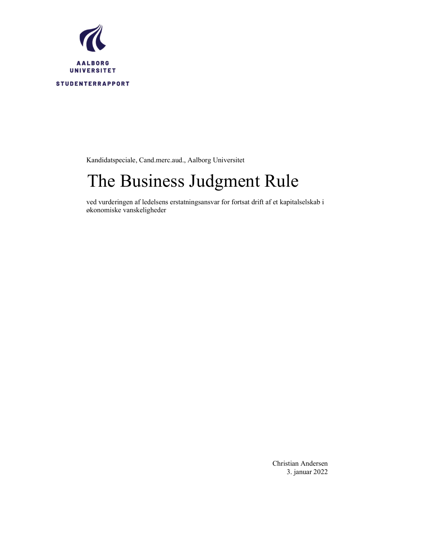

Kandidatspeciale, Cand.merc.aud., Aalborg Universitet

# The Business Judgment Rule

ved vurderingen af ledelsens erstatningsansvar for fortsat drift af et kapitalselskab i økonomiske vanskeligheder

> Christian Andersen 3. januar 2022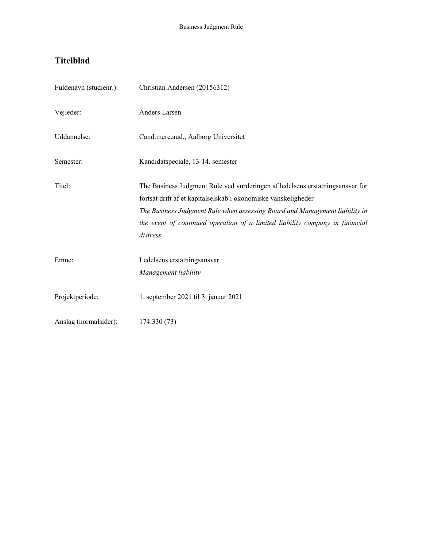# Titelblad

| Fuldenavn (studienr.): | Christian Andersen (20156312)                                                                                                                                                                                                                                                                                              |
|------------------------|----------------------------------------------------------------------------------------------------------------------------------------------------------------------------------------------------------------------------------------------------------------------------------------------------------------------------|
| Vejleder:              | Anders Larsen                                                                                                                                                                                                                                                                                                              |
| Uddannelse:            | Cand.merc.aud., Aalborg Universitet                                                                                                                                                                                                                                                                                        |
| Semester:              | Kandidatspeciale, 13-14. semester                                                                                                                                                                                                                                                                                          |
| Titel:                 | The Business Judgment Rule ved vurderingen af ledelsens erstatningsansvar for<br>fortsat drift af et kapitalselskab i økonomiske vanskeligheder<br>The Business Judgment Rule when assessing Board and Management liability in<br>the event of continued operation of a limited liability company in financial<br>distress |
| Emne:                  | Ledelsens erstatningsansvar<br>Management liability                                                                                                                                                                                                                                                                        |
| Projektperiode:        | 1. september 2021 til 3. januar 2021                                                                                                                                                                                                                                                                                       |
| Anslag (normalsider):  | 174.330 (73)                                                                                                                                                                                                                                                                                                               |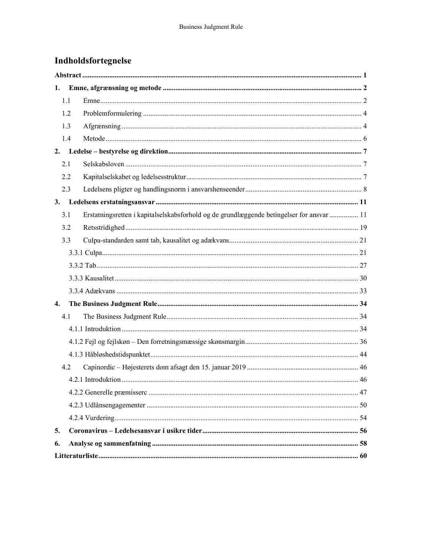# Indholdsfortegnelse

| 1.  |     |                                                                                           |    |
|-----|-----|-------------------------------------------------------------------------------------------|----|
|     | 1.1 |                                                                                           |    |
|     | 1.2 |                                                                                           |    |
|     | 1.3 |                                                                                           |    |
|     | 1.4 |                                                                                           |    |
|     |     |                                                                                           |    |
| 2.1 |     |                                                                                           |    |
|     | 2.2 |                                                                                           |    |
|     | 2.3 |                                                                                           |    |
| 3.  |     |                                                                                           |    |
| 3.1 |     | Erstatningsretten i kapitalselskabsforhold og de grundlæggende betingelser for ansvar  11 |    |
|     | 3.2 |                                                                                           |    |
|     | 3.3 |                                                                                           |    |
|     |     |                                                                                           |    |
|     |     |                                                                                           |    |
|     |     |                                                                                           |    |
|     |     |                                                                                           |    |
| 4.  |     |                                                                                           |    |
|     | 4.1 |                                                                                           |    |
|     |     |                                                                                           |    |
|     |     |                                                                                           |    |
|     |     |                                                                                           |    |
|     | 4.2 |                                                                                           |    |
|     |     | 4.2.1 Introduktion                                                                        | 46 |
|     |     |                                                                                           |    |
|     |     |                                                                                           |    |
|     |     |                                                                                           |    |
| 5.  |     |                                                                                           |    |
| 6.  |     |                                                                                           |    |
|     |     |                                                                                           |    |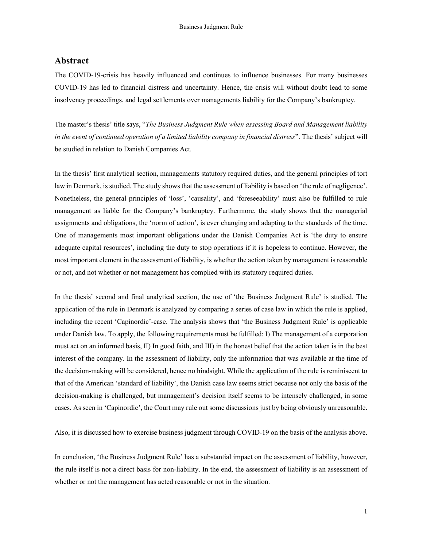# Abstract

The COVID-19-crisis has heavily influenced and continues to influence businesses. For many businesses COVID-19 has led to financial distress and uncertainty. Hence, the crisis will without doubt lead to some insolvency proceedings, and legal settlements over managements liability for the Company's bankruptcy.

The master's thesis' title says, "The Business Judgment Rule when assessing Board and Management liability in the event of continued operation of a limited liability company in financial distress". The thesis' subject will be studied in relation to Danish Companies Act.

In the thesis' first analytical section, managements statutory required duties, and the general principles of tort law in Denmark, is studied. The study shows that the assessment of liability is based on 'the rule of negligence'. Nonetheless, the general principles of 'loss', 'causality', and 'foreseeability' must also be fulfilled to rule management as liable for the Company's bankruptcy. Furthermore, the study shows that the managerial assignments and obligations, the 'norm of action', is ever changing and adapting to the standards of the time. One of managements most important obligations under the Danish Companies Act is 'the duty to ensure adequate capital resources', including the duty to stop operations if it is hopeless to continue. However, the most important element in the assessment of liability, is whether the action taken by management is reasonable or not, and not whether or not management has complied with its statutory required duties.

In the thesis' second and final analytical section, the use of 'the Business Judgment Rule' is studied. The application of the rule in Denmark is analyzed by comparing a series of case law in which the rule is applied, including the recent 'Capinordic'-case. The analysis shows that 'the Business Judgment Rule' is applicable under Danish law. To apply, the following requirements must be fulfilled: I) The management of a corporation must act on an informed basis, II) In good faith, and III) in the honest belief that the action taken is in the best interest of the company. In the assessment of liability, only the information that was available at the time of the decision-making will be considered, hence no hindsight. While the application of the rule is reminiscent to that of the American 'standard of liability', the Danish case law seems strict because not only the basis of the decision-making is challenged, but management's decision itself seems to be intensely challenged, in some cases. As seen in 'Capinordic', the Court may rule out some discussions just by being obviously unreasonable.

Also, it is discussed how to exercise business judgment through COVID-19 on the basis of the analysis above.

In conclusion, 'the Business Judgment Rule' has a substantial impact on the assessment of liability, however, the rule itself is not a direct basis for non-liability. In the end, the assessment of liability is an assessment of whether or not the management has acted reasonable or not in the situation.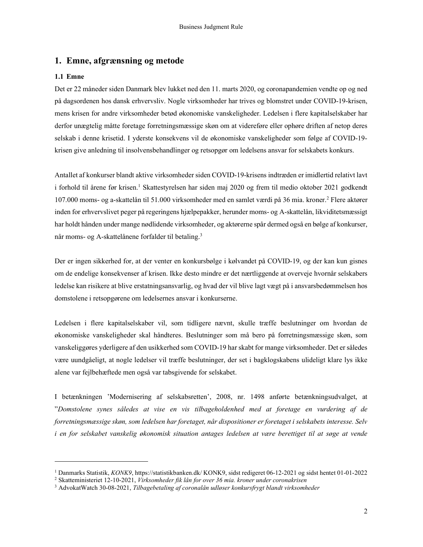# 1. Emne, afgrænsning og metode

### 1.1 Emne

Det er 22 måneder siden Danmark blev lukket ned den 11. marts 2020, og coronapandemien vendte op og ned på dagsordenen hos dansk erhvervsliv. Nogle virksomheder har trives og blomstret under COVID-19-krisen, mens krisen for andre virksomheder betød økonomiske vanskeligheder. Ledelsen i flere kapitalselskaber har derfor unægtelig måtte foretage forretningsmæssige skøn om at videreføre eller ophøre driften af netop deres selskab i denne krisetid. I yderste konsekvens vil de økonomiske vanskeligheder som følge af COVID-19 krisen give anledning til insolvensbehandlinger og retsopgør om ledelsens ansvar for selskabets konkurs.

Antallet af konkurser blandt aktive virksomheder siden COVID-19-krisens indtræden er imidlertid relativt lavt i forhold til årene før krisen.<sup>1</sup> Skattestyrelsen har siden maj 2020 og frem til medio oktober 2021 godkendt 107.000 moms- og a-skattelån til 51.000 virksomheder med en samlet værdi på 36 mia. kroner.<sup>2</sup> Flere aktører inden for erhvervslivet peger på regeringens hjælpepakker, herunder moms- og A-skattelån, likviditetsmæssigt har holdt hånden under mange nødlidende virksomheder, og aktørerne spår dermed også en bølge af konkurser, når moms- og A-skattelånene forfalder til betaling.<sup>3</sup>

Der er ingen sikkerhed for, at der venter en konkursbølge i kølvandet på COVID-19, og der kan kun gisnes om de endelige konsekvenser af krisen. Ikke desto mindre er det nærtliggende at overveje hvornår selskabers ledelse kan risikere at blive erstatningsansvarlig, og hvad der vil blive lagt vægt på i ansvarsbedømmelsen hos domstolene i retsopgørene om ledelsernes ansvar i konkurserne.

Ledelsen i flere kapitalselskaber vil, som tidligere nævnt, skulle træffe beslutninger om hvordan de økonomiske vanskeligheder skal håndteres. Beslutninger som må bero på forretningsmæssige skøn, som vanskeliggøres yderligere af den usikkerhed som COVID-19 har skabt for mange virksomheder. Det er således være uundgåeligt, at nogle ledelser vil træffe beslutninger, der set i bagklogskabens ulideligt klare lys ikke alene var fejlbehæftede men også var tabsgivende for selskabet.

I betænkningen 'Modernisering af selskabsretten', 2008, nr. 1498 anførte betænkningsudvalget, at "Domstolene synes således at vise en vis tilbageholdenhed med at foretage en vurdering af de forretningsmæssige skøn, som ledelsen har foretaget, når dispositioner er foretaget i selskabets interesse. Selv i en for selskabet vanskelig økonomisk situation antages ledelsen at være berettiget til at søge at vende

<sup>1</sup> Danmarks Statistik, KONK9, https://statistikbanken.dk/ KONK9, sidst redigeret 06-12-2021 og sidst hentet 01-01-2022

<sup>2</sup> Skatteministeriet 12-10-2021, Virksomheder fik lån for over 36 mia. kroner under coronakrisen

<sup>&</sup>lt;sup>3</sup> AdvokatWatch 30-08-2021, Tilbagebetaling af coronalån udløser konkursfrygt blandt virksomheder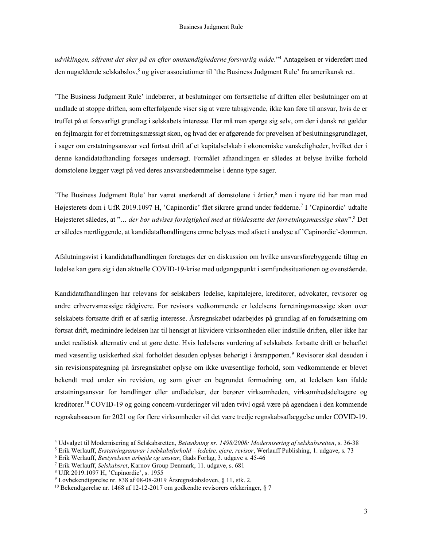udviklingen, såfremt det sker på en efter omstændighederne forsvarlig måde." 4 Antagelsen er videreført med den nugældende selskabslov,<sup>5</sup> og giver associationer til 'the Business Judgment Rule' fra amerikansk ret.

'The Business Judgment Rule' indebærer, at beslutninger om fortsættelse af driften eller beslutninger om at undlade at stoppe driften, som efterfølgende viser sig at være tabsgivende, ikke kan føre til ansvar, hvis de er truffet på et forsvarligt grundlag i selskabets interesse. Her må man spørge sig selv, om der i dansk ret gælder en fejlmargin for et forretningsmæssigt skøn, og hvad der er afgørende for prøvelsen af beslutningsgrundlaget, i sager om erstatningsansvar ved fortsat drift af et kapitalselskab i økonomiske vanskeligheder, hvilket der i denne kandidatafhandling forsøges undersøgt. Formålet afhandlingen er således at belyse hvilke forhold domstolene lægger vægt på ved deres ansvarsbedømmelse i denne type sager.

'The Business Judgment Rule' har været anerkendt af domstolene i årtier,<sup>6</sup> men i nyere tid har man med Højesterets dom i UfR 2019.1097 H, 'Capinordic' fået sikrere grund under fødderne.<sup>7</sup> I 'Capinordic' udtalte Højesteret således, at "... der bør udvises forsigtighed med at tilsidesætte det forretningsmæssige skøn".<sup>8</sup> Det er således nærtliggende, at kandidatafhandlingens emne belyses med afsæt i analyse af 'Capinordic'-dommen.

Afslutningsvist i kandidatafhandlingen foretages der en diskussion om hvilke ansvarsforebyggende tiltag en ledelse kan gøre sig i den aktuelle COVID-19-krise med udgangspunkt i samfundssituationen og ovenstående.

Kandidatafhandlingen har relevans for selskabers ledelse, kapitalejere, kreditorer, advokater, revisorer og andre erhvervsmæssige rådgivere. For revisors vedkommende er ledelsens forretningsmæssige skøn over selskabets fortsatte drift er af særlig interesse. Årsregnskabet udarbejdes på grundlag af en forudsætning om fortsat drift, medmindre ledelsen har til hensigt at likvidere virksomheden eller indstille driften, eller ikke har andet realistisk alternativ end at gøre dette. Hvis ledelsens vurdering af selskabets fortsatte drift er behæftet med væsentlig usikkerhed skal forholdet desuden oplyses behørigt i årsrapporten.<sup>9</sup> Revisorer skal desuden i sin revisionspåtegning på årsregnskabet oplyse om ikke uvæsentlige forhold, som vedkommende er blevet bekendt med under sin revision, og som giver en begrundet formodning om, at ledelsen kan ifalde erstatningsansvar for handlinger eller undladelser, der berører virksomheden, virksomhedsdeltagere og kreditorer.<sup>10</sup> COVID-19 og going concern-vurderinger vil uden tvivl også være på agendaen i den kommende regnskabssæson for 2021 og for flere virksomheder vil det være tredje regnskabsaflæggelse under COVID-19.

<sup>4</sup> Udvalget til Modernisering af Selskabsretten, Betænkning nr. 1498/2008: Modernisering af selskabsretten, s. 36-38

<sup>&</sup>lt;sup>5</sup> Erik Werlauff, *Erstatningsansvar i selskabsforhold – ledelse, ejere, revisor*, Werlauff Publishing, 1. udgave, s. 73

<sup>&</sup>lt;sup>6</sup> Erik Werlauff, Bestyrelsens arbejde og ansvar, Gads Forlag, 3. udgave s. 45-46

<sup>&</sup>lt;sup>7</sup> Erik Werlauff, Selskabsret, Karnov Group Denmark, 11. udgave, s. 681

<sup>8</sup> UfR 2019.1097 H, 'Capinordic', s. 1955

<sup>9</sup> Lovbekendtgørelse nr. 838 af 08-08-2019 Årsregnskabsloven, § 11, stk. 2.

<sup>10</sup> Bekendtgørelse nr. 1468 af 12-12-2017 om godkendte revisorers erklæringer, § 7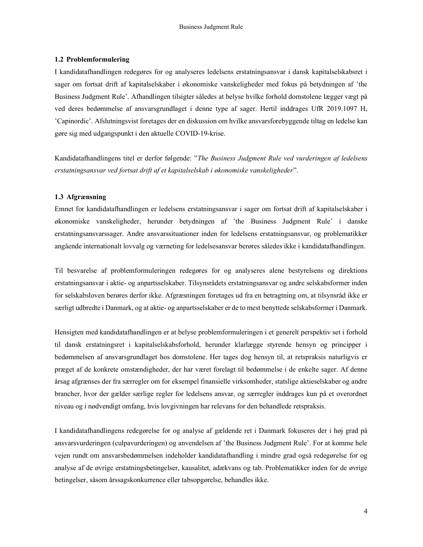#### 1.2 Problemformulering

I kandidatafhandlingen redegøres for og analyseres ledelsens erstatningsansvar i dansk kapitalselskabsret i sager om fortsat drift af kapitalselskaber i økonomiske vanskeligheder med fokus på betydningen af 'the Business Judgment Rule'. Afhandlingen tilsigter således at belyse hvilke forhold domstolene lægger vægt på ved deres bedømmelse af ansvarsgrundlaget i denne type af sager. Hertil inddrages UfR 2019.1097 H, 'Capinordic'. Afslutningsvist foretages der en diskussion om hvilke ansvarsforebyggende tiltag en ledelse kan gøre sig med udgangspunkt i den aktuelle COVID-19-krise.

Kandidatafhandlingens titel er derfor følgende: "The Business Judgment Rule ved vurderingen af ledelsens erstatningsansvar ved fortsat drift af et kapitalselskab i økonomiske vanskeligheder".

#### 1.3 Afgrænsning

Emnet for kandidatafhandlingen er ledelsens erstatningsansvar i sager om fortsat drift af kapitalselskaber i økonomiske vanskeligheder, herunder betydningen af 'the Business Judgment Rule' i danske erstatningsansvarssager. Andre ansvarssituationer inden for ledelsens erstatningsansvar, og problematikker angående internationalt lovvalg og værneting for ledelsesansvar berøres således ikke i kandidatafhandlingen.

Til besvarelse af problemformuleringen redegøres for og analyseres alene bestyrelsens og direktions erstatningsansvar i aktie- og anpartsselskaber. Tilsynsrådets erstatningsansvar og andre selskabsformer inden for selskabsloven berøres derfor ikke. Afgræsningen foretages ud fra en betragtning om, at tilsynsråd ikke er særligt udbredte i Danmark, og at aktie- og anpartsselskaber er de to mest benyttede selskabsformer i Danmark.

Hensigten med kandidatafhandlingen er at belyse problemformuleringen i et generelt perspektiv set i forhold til dansk erstatningsret i kapitalselskabsforhold, herunder klarlægge styrende hensyn og principper i bedømmelsen af ansvarsgrundlaget hos domstolene. Her tages dog hensyn til, at retspraksis naturligvis er præget af de konkrete omstændigheder, der har været forelagt til bedømmelse i de enkelte sager. Af denne årsag afgrænses der fra særregler om for eksempel finansielle virksomheder, statslige aktieselskaber og andre brancher, hvor der gælder særlige regler for ledelsens ansvar, og særregler inddrages kun på et overordnet niveau og i nødvendigt omfang, hvis lovgivningen har relevans for den behandlede retspraksis.

I kandidatafhandlingens redegørelse for og analyse af gældende ret i Danmark fokuseres der i høj grad på ansvarsvurderingen (culpavurderingen) og anvendelsen af 'the Business Judgment Rule'. For at komme hele vejen rundt om ansvarsbedømmelsen indeholder kandidatafhandling i mindre grad også redegørelse for og analyse af de øvrige erstatningsbetingelser, kausalitet, adækvans og tab. Problematikker inden for de øvrige betingelser, såsom årssagskonkurrence eller tabsopgørelse, behandles ikke.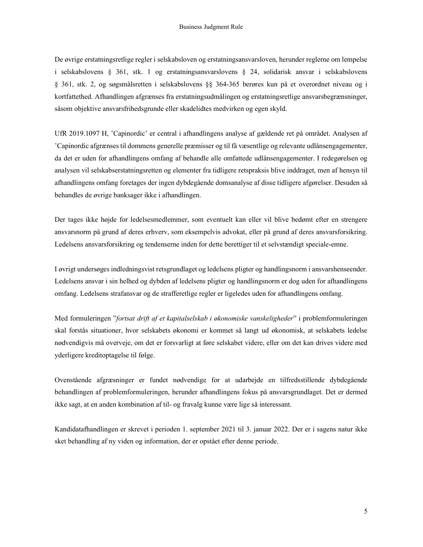De øvrige erstatningsretlige regler i selskabsloven og erstatningsansvarsloven, herunder reglerne om lempelse i selskabslovens § 361, stk. 1 og erstatningsansvarslovens § 24, solidarisk ansvar i selskabslovens § 361, stk. 2, og søgsmålsretten i selskabslovens §§ 364-365 berøres kun på et overordnet niveau og i kortfattethed. Afhandlingen afgrænses fra erstatningsudmålingen og erstatningsretlige ansvarsbegrænsninger, såsom objektive ansvarsfrihedsgrunde eller skadelidtes medvirken og egen skyld.

UfR 2019.1097 H, 'Capinordic' er central i afhandlingens analyse af gældende ret på området. Analysen af 'Capinordic afgrænses til dommens generelle præmisser og til få væsentlige og relevante udlånsengagementer, da det er uden for afhandlingens omfang af behandle alle omfattede udlånsengagementer. I redegørelsen og analysen vil selskabserstatningsretten og elementer fra tidligere retspraksis blive inddraget, men af hensyn til afhandlingens omfang foretages der ingen dybdegående domsanalyse af disse tidligere afgørelser. Desuden så behandles de øvrige banksager ikke i afhandlingen.

Der tages ikke højde for ledelsesmedlemmer, som eventuelt kan eller vil blive bedømt efter en strengere ansvarsnorm på grund af deres erhverv, som eksempelvis advokat, eller på grund af deres ansvarsforsikring. Ledelsens ansvarsforsikring og tendenserne inden for dette berettiger til et selvstændigt speciale-emne.

I øvrigt undersøges indledningsvist retsgrundlaget og ledelsens pligter og handlingsnorm i ansvarshenseender. Ledelsens ansvar i sin helhed og dybden af ledelsens pligter og handlingsnorm er dog uden for afhandlingens omfang. Ledelsens strafansvar og de strafferetlige regler er ligeledes uden for afhandlingens omfang.

Med formuleringen "fortsat drift af et kapitalselskab i økonomiske vanskeligheder" i problemformuleringen skal forstås situationer, hvor selskabets økonomi er kommet så langt ud økonomisk, at selskabets ledelse nødvendigvis må overveje, om det er forsvarligt at føre selskabet videre, eller om det kan drives videre med yderligere kreditoptagelse til følge.

Ovenstående afgræsninger er fundet nødvendige for at udarbejde en tilfredsstillende dybdegående behandlingen af problemformuleringen, herunder afhandlingens fokus på ansvarsgrundlaget. Det er dermed ikke sagt, at en anden kombination af til- og fravalg kunne være lige så interessant.

Kandidatafhandlingen er skrevet i perioden 1. september 2021 til 3. januar 2022. Der er i sagens natur ikke sket behandling af ny viden og information, der er opstået efter denne periode.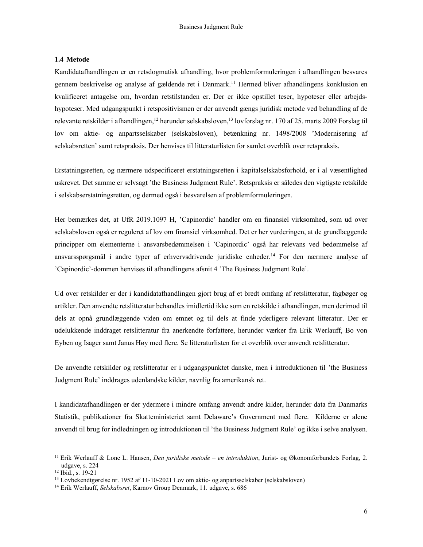#### 1.4 Metode

Kandidatafhandlingen er en retsdogmatisk afhandling, hvor problemformuleringen i afhandlingen besvares gennem beskrivelse og analyse af gældende ret i Danmark.<sup>11</sup> Hermed bliver afhandlingens konklusion en kvalificeret antagelse om, hvordan retstilstanden er. Der er ikke opstillet teser, hypoteser eller arbejdshypoteser. Med udgangspunkt i retspositivismen er der anvendt gængs juridisk metode ved behandling af de relevante retskilder i afhandlingen,<sup>12</sup> herunder selskabsloven,<sup>13</sup> lovforslag nr. 170 af 25. marts 2009 Forslag til lov om aktie- og anpartsselskaber (selskabsloven), betænkning nr. 1498/2008 'Modernisering af selskabsretten' samt retspraksis. Der henvises til litteraturlisten for samlet overblik over retspraksis.

Erstatningsretten, og nærmere udspecificeret erstatningsretten i kapitalselskabsforhold, er i al væsentlighed uskrevet. Det samme er selvsagt 'the Business Judgment Rule'. Retspraksis er således den vigtigste retskilde i selskabserstatningsretten, og dermed også i besvarelsen af problemformuleringen.

Her bemærkes det, at UfR 2019.1097 H, 'Capinordic' handler om en finansiel virksomhed, som ud over selskabsloven også er reguleret af lov om finansiel virksomhed. Det er her vurderingen, at de grundlæggende principper om elementerne i ansvarsbedømmelsen i 'Capinordic' også har relevans ved bedømmelse af ansvarsspørgsmål i andre typer af erhvervsdrivende juridiske enheder.<sup>14</sup> For den nærmere analyse af 'Capinordic'-dommen henvises til afhandlingens afsnit 4 'The Business Judgment Rule'.

Ud over retskilder er der i kandidatafhandlingen gjort brug af et bredt omfang af retslitteratur, fagbøger og artikler. Den anvendte retslitteratur behandles imidlertid ikke som en retskilde i afhandlingen, men derimod til dels at opnå grundlæggende viden om emnet og til dels at finde yderligere relevant litteratur. Der er udelukkende inddraget retslitteratur fra anerkendte forfattere, herunder værker fra Erik Werlauff, Bo von Eyben og Isager samt Janus Høy med flere. Se litteraturlisten for et overblik over anvendt retslitteratur.

De anvendte retskilder og retslitteratur er i udgangspunktet danske, men i introduktionen til 'the Business Judgment Rule' inddrages udenlandske kilder, navnlig fra amerikansk ret.

I kandidatafhandlingen er der ydermere i mindre omfang anvendt andre kilder, herunder data fra Danmarks Statistik, publikationer fra Skatteministeriet samt Delaware's Government med flere. Kilderne er alene anvendt til brug for indledningen og introduktionen til 'the Business Judgment Rule' og ikke i selve analysen.

<sup>&</sup>lt;sup>11</sup> Erik Werlauff & Lone L. Hansen, *Den juridiske metode – en introduktion*, Jurist- og Økonomforbundets Forlag, 2. udgave, s. 224

<sup>12</sup> Ibid., s. 19-21

 $13$  Lovbekendtgørelse nr. 1952 af 11-10-2021 Lov om aktie- og anpartsselskaber (selskabsloven)

<sup>&</sup>lt;sup>14</sup> Erik Werlauff, Selskabsret, Karnov Group Denmark, 11. udgave, s. 686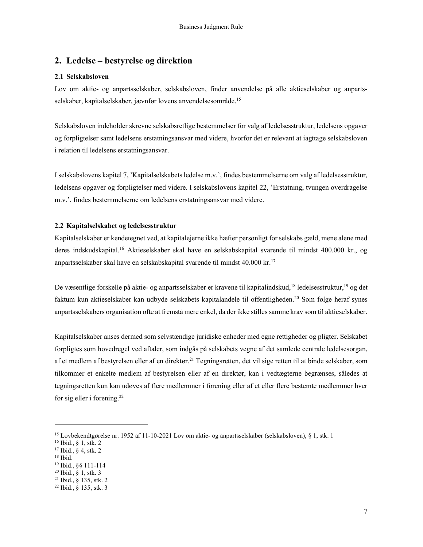# 2. Ledelse – bestyrelse og direktion

#### 2.1 Selskabsloven

Lov om aktie- og anpartsselskaber, selskabsloven, finder anvendelse på alle aktieselskaber og anpartsselskaber, kapitalselskaber, jævnfør lovens anvendelsesområde.<sup>15</sup>

Selskabsloven indeholder skrevne selskabsretlige bestemmelser for valg af ledelsesstruktur, ledelsens opgaver og forpligtelser samt ledelsens erstatningsansvar med videre, hvorfor det er relevant at iagttage selskabsloven i relation til ledelsens erstatningsansvar.

I selskabslovens kapitel 7, 'Kapitalselskabets ledelse m.v.', findes bestemmelserne om valg af ledelsesstruktur, ledelsens opgaver og forpligtelser med videre. I selskabslovens kapitel 22, 'Erstatning, tvungen overdragelse m.v.', findes bestemmelserne om ledelsens erstatningsansvar med videre.

#### 2.2 Kapitalselskabet og ledelsesstruktur

Kapitalselskaber er kendetegnet ved, at kapitalejerne ikke hæfter personligt for selskabs gæld, mene alene med deres indskudskapital.<sup>16</sup> Aktieselskaber skal have en selskabskapital svarende til mindst 400.000 kr., og anpartsselskaber skal have en selskabskapital svarende til mindst 40.000 kr.<sup>17</sup>

De væsentlige forskelle på aktie- og anpartsselskaber er kravene til kapitalindskud,<sup>18</sup> ledelsesstruktur,<sup>19</sup> og det faktum kun aktieselskaber kan udbyde selskabets kapitalandele til offentligheden.<sup>20</sup> Som følge heraf synes anpartsselskabers organisation ofte at fremstå mere enkel, da der ikke stilles samme krav som til aktieselskaber.

Kapitalselskaber anses dermed som selvstændige juridiske enheder med egne rettigheder og pligter. Selskabet forpligtes som hovedregel ved aftaler, som indgås på selskabets vegne af det samlede centrale ledelsesorgan, af et medlem af bestyrelsen eller af en direktør.<sup>21</sup> Tegningsretten, det vil sige retten til at binde selskaber, som tilkommer et enkelte medlem af bestyrelsen eller af en direktør, kan i vedtægterne begrænses, således at tegningsretten kun kan udøves af flere medlemmer i forening eller af et eller flere bestemte medlemmer hver for sig eller i forening.<sup>22</sup>

<sup>18</sup> Ibid.

<sup>15</sup> Lovbekendtgørelse nr. 1952 af 11-10-2021 Lov om aktie- og anpartsselskaber (selskabsloven), § 1, stk. 1

<sup>16</sup> Ibid., § 1, stk. 2

<sup>17</sup> Ibid., § 4, stk. 2

<sup>19</sup> Ibid., §§ 111-114

<sup>20</sup> Ibid., § 1, stk. 3

<sup>21</sup> Ibid., § 135, stk. 2

<sup>22</sup> Ibid., § 135, stk. 3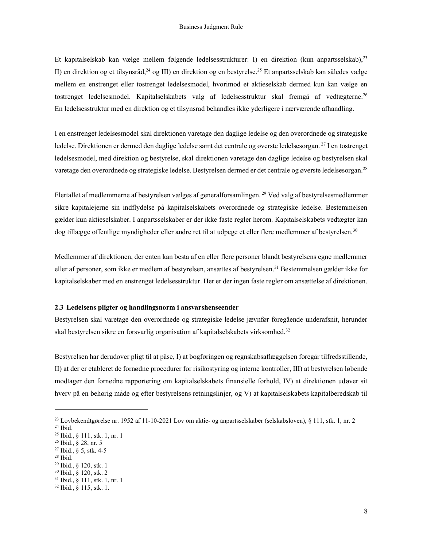Et kapitalselskab kan vælge mellem følgende ledelsesstrukturer: I) en direktion (kun anpartsselskab), 23 II) en direktion og et tilsynsråd,<sup>24</sup> og III) en direktion og en bestyrelse.<sup>25</sup> Et anpartsselskab kan således vælge mellem en enstrenget eller tostrenget ledelsesmodel, hvorimod et aktieselskab dermed kun kan vælge en tostrenget ledelsesmodel. Kapitalselskabets valg af ledelsesstruktur skal fremgå af vedtægterne.<sup>26</sup> En ledelsesstruktur med en direktion og et tilsynsråd behandles ikke yderligere i nærværende afhandling.

I en enstrenget ledelsesmodel skal direktionen varetage den daglige ledelse og den overordnede og strategiske ledelse. Direktionen er dermed den daglige ledelse samt det centrale og øverste ledelsesorgan.<sup>27</sup> I en tostrenget ledelsesmodel, med direktion og bestyrelse, skal direktionen varetage den daglige ledelse og bestyrelsen skal varetage den overordnede og strategiske ledelse. Bestyrelsen dermed er det centrale og øverste ledelsesorgan.<sup>28</sup>

Flertallet af medlemmerne af bestyrelsen vælges af generalforsamlingen.<sup>29</sup> Ved valg af bestyrelsesmedlemmer sikre kapitalejerne sin indflydelse på kapitalselskabets overordnede og strategiske ledelse. Bestemmelsen gælder kun aktieselskaber. I anpartsselskaber er der ikke faste regler herom. Kapitalselskabets vedtægter kan dog tillægge offentlige myndigheder eller andre ret til at udpege et eller flere medlemmer af bestyrelsen.<sup>30</sup>

Medlemmer af direktionen, der enten kan bestå af en eller flere personer blandt bestyrelsens egne medlemmer eller af personer, som ikke er medlem af bestyrelsen, ansættes af bestyrelsen.<sup>31</sup> Bestemmelsen gælder ikke for kapitalselskaber med en enstrenget ledelsesstruktur. Her er der ingen faste regler om ansættelse af direktionen.

#### 2.3 Ledelsens pligter og handlingsnorm i ansvarshenseender

Bestyrelsen skal varetage den overordnede og strategiske ledelse jævnfør foregående underafsnit, herunder skal bestyrelsen sikre en forsvarlig organisation af kapitalselskabets virksomhed.<sup>32</sup>

Bestyrelsen har derudover pligt til at påse, I) at bogføringen og regnskabsaflæggelsen foregår tilfredsstillende, II) at der er etableret de fornødne procedurer for risikostyring og interne kontroller, III) at bestyrelsen løbende modtager den fornødne rapportering om kapitalselskabets finansielle forhold, IV) at direktionen udøver sit hverv på en behørig måde og efter bestyrelsens retningslinjer, og V) at kapitalselskabets kapitalberedskab til

<sup>28</sup> Ibid.

<sup>23</sup> Lovbekendtgørelse nr. 1952 af 11-10-2021 Lov om aktie- og anpartsselskaber (selskabsloven), § 111, stk. 1, nr. 2 <sup>24</sup> Ibid.

<sup>25</sup> Ibid., § 111, stk. 1, nr. 1

<sup>26</sup> Ibid., § 28, nr. 5

<sup>27</sup> Ibid., § 5, stk. 4-5

<sup>29</sup> Ibid., § 120, stk. 1

<sup>30</sup> Ibid., § 120, stk. 2

<sup>31</sup> Ibid., § 111, stk. 1, nr. 1

<sup>32</sup> Ibid., § 115, stk. 1.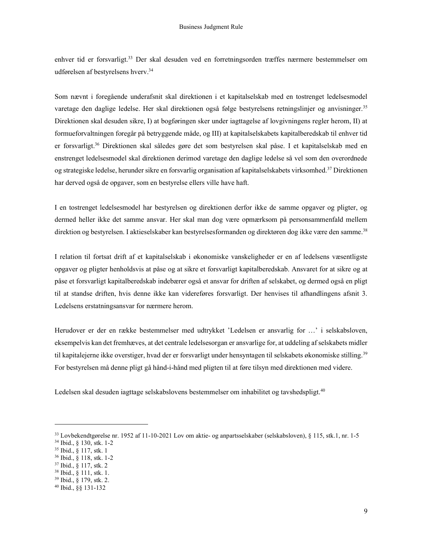enhver tid er forsvarligt.<sup>33</sup> Der skal desuden ved en forretningsorden træffes nærmere bestemmelser om udførelsen af bestyrelsens hverv.<sup>34</sup>

Som nævnt i foregående underafsnit skal direktionen i et kapitalselskab med en tostrenget ledelsesmodel varetage den daglige ledelse. Her skal direktionen også følge bestyrelsens retningslinjer og anvisninger.<sup>35</sup> Direktionen skal desuden sikre, I) at bogføringen sker under iagttagelse af lovgivningens regler herom, II) at formueforvaltningen foregår på betryggende måde, og III) at kapitalselskabets kapitalberedskab til enhver tid er forsvarligt.<sup>36</sup> Direktionen skal således gøre det som bestyrelsen skal påse. I et kapitalselskab med en enstrenget ledelsesmodel skal direktionen derimod varetage den daglige ledelse så vel som den overordnede og strategiske ledelse, herunder sikre en forsvarlig organisation af kapitalselskabets virksomhed.<sup>37</sup> Direktionen har derved også de opgaver, som en bestyrelse ellers ville have haft.

I en tostrenget ledelsesmodel har bestyrelsen og direktionen derfor ikke de samme opgaver og pligter, og dermed heller ikke det samme ansvar. Her skal man dog være opmærksom på personsammenfald mellem direktion og bestyrelsen. I aktieselskaber kan bestyrelsesformanden og direktøren dog ikke være den samme.<sup>38</sup>

I relation til fortsat drift af et kapitalselskab i økonomiske vanskeligheder er en af ledelsens væsentligste opgaver og pligter henholdsvis at påse og at sikre et forsvarligt kapitalberedskab. Ansvaret for at sikre og at påse et forsvarligt kapitalberedskab indebærer også et ansvar for driften af selskabet, og dermed også en pligt til at standse driften, hvis denne ikke kan videreføres forsvarligt. Der henvises til afhandlingens afsnit 3. Ledelsens erstatningsansvar for nærmere herom.

Herudover er der en række bestemmelser med udtrykket 'Ledelsen er ansvarlig for …' i selskabsloven, eksempelvis kan det fremhæves, at det centrale ledelsesorgan er ansvarlige for, at uddeling af selskabets midler til kapitalejerne ikke overstiger, hvad der er forsvarligt under hensyntagen til selskabets økonomiske stilling.<sup>39</sup> For bestyrelsen må denne pligt gå hånd-i-hånd med pligten til at føre tilsyn med direktionen med videre.

Ledelsen skal desuden iagttage selskabslovens bestemmelser om inhabilitet og tavshedspligt.<sup>40</sup>

<sup>33</sup> Lovbekendtgørelse nr. 1952 af 11-10-2021 Lov om aktie- og anpartsselskaber (selskabsloven), § 115, stk.1, nr. 1-5

<sup>34</sup> Ibid., § 130, stk. 1-2

<sup>35</sup> Ibid., § 117, stk. 1

<sup>36</sup> Ibid., § 118, stk. 1-2

<sup>37</sup> Ibid., § 117, stk. 2

<sup>38</sup> Ibid., § 111, stk. 1.

<sup>39</sup> Ibid., § 179, stk. 2.

<sup>40</sup> Ibid., §§ 131-132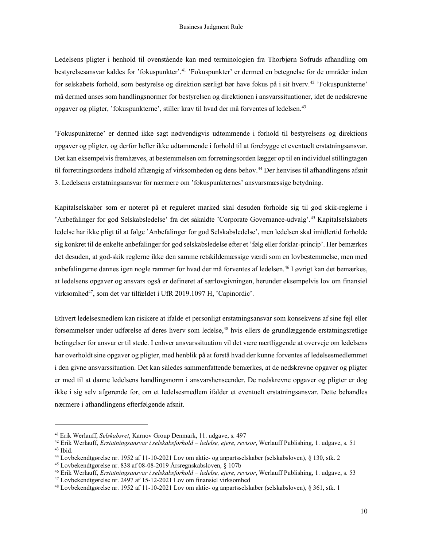Ledelsens pligter i henhold til ovenstående kan med terminologien fra Thorbjørn Sofruds afhandling om bestyrelsesansvar kaldes for 'fokuspunkter'.<sup>41</sup> 'Fokuspunkter' er dermed en betegnelse for de områder inden for selskabets forhold, som bestyrelse og direktion særligt bør have fokus på i sit hverv.<sup>42</sup> 'Fokuspunkterne' må dermed anses som handlingsnormer for bestyrelsen og direktionen i ansvarssituationer, idet de nedskrevne opgaver og pligter, 'fokuspunkterne', stiller krav til hvad der må forventes af ledelsen.<sup>43</sup>

'Fokuspunkterne' er dermed ikke sagt nødvendigvis udtømmende i forhold til bestyrelsens og direktions opgaver og pligter, og derfor heller ikke udtømmende i forhold til at forebygge et eventuelt erstatningsansvar. Det kan eksempelvis fremhæves, at bestemmelsen om forretningsorden lægger op til en individuel stillingtagen til forretningsordens indhold afhængig af virksomheden og dens behov.<sup>44</sup> Der henvises til afhandlingens afsnit 3. Ledelsens erstatningsansvar for nærmere om 'fokuspunkternes' ansvarsmæssige betydning.

Kapitalselskaber som er noteret på et reguleret marked skal desuden forholde sig til god skik-reglerne i 'Anbefalinger for god Selskabsledelse' fra det såkaldte 'Corporate Governance-udvalg'.<sup>45</sup> Kapitalselskabets ledelse har ikke pligt til at følge 'Anbefalinger for god Selskabsledelse', men ledelsen skal imidlertid forholde sig konkret til de enkelte anbefalinger for god selskabsledelse efter et 'følg eller forklar-princip'. Her bemærkes det desuden, at god-skik reglerne ikke den samme retskildemæssige værdi som en lovbestemmelse, men med anbefalingerne dannes igen nogle rammer for hvad der må forventes af ledelsen.<sup>46</sup> I øvrigt kan det bemærkes, at ledelsens opgaver og ansvars også er defineret af særlovgivningen, herunder eksempelvis lov om finansiel virksomhed<sup>47</sup>, som det var tilfældet i UfR 2019.1097 H, 'Capinordic'.

Ethvert ledelsesmedlem kan risikere at ifalde et personligt erstatningsansvar som konsekvens af sine fejl eller forsømmelser under udførelse af deres hverv som ledelse,<sup>48</sup> hvis ellers de grundlæggende erstatningsretlige betingelser for ansvar er til stede. I enhver ansvarssituation vil det være nærtliggende at overveje om ledelsens har overholdt sine opgaver og pligter, med henblik på at forstå hvad der kunne forventes af ledelsesmedlemmet i den givne ansvarssituation. Det kan således sammenfattende bemærkes, at de nedskrevne opgaver og pligter er med til at danne ledelsens handlingsnorm i ansvarshenseender. De nedskrevne opgaver og pligter er dog ikke i sig selv afgørende for, om et ledelsesmedlem ifalder et eventuelt erstatningsansvar. Dette behandles nærmere i afhandlingens efterfølgende afsnit.

<sup>&</sup>lt;sup>41</sup> Erik Werlauff, Selskabsret, Karnov Group Denmark, 11. udgave, s. 497

 $42$  Erik Werlauff, Erstatningsansvar i selskabsforhold – ledelse, ejere, revisor, Werlauff Publishing, 1. udgave, s. 51 <sup>43</sup> Ibid.

<sup>44</sup> Lovbekendtgørelse nr. 1952 af 11-10-2021 Lov om aktie- og anpartsselskaber (selskabsloven), § 130, stk. 2

<sup>45</sup> Lovbekendtgørelse nr. 838 af 08-08-2019 Årsregnskabsloven, § 107b

<sup>&</sup>lt;sup>46</sup> Erik Werlauff, *Erstatningsansvar i selskabsforhold – ledelse, ejere, revisor*, Werlauff Publishing, 1. udgave, s. 53

<sup>47</sup> Lovbekendtgørelse nr. 2497 af 15-12-2021 Lov om finansiel virksomhed

<sup>48</sup> Lovbekendtgørelse nr. 1952 af 11-10-2021 Lov om aktie- og anpartsselskaber (selskabsloven), § 361, stk. 1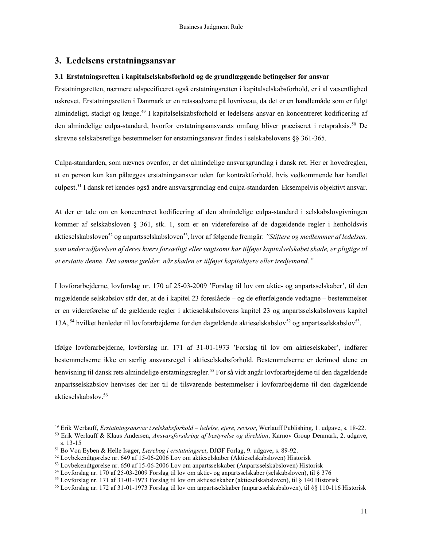## 3. Ledelsens erstatningsansvar

#### 3.1 Erstatningsretten i kapitalselskabsforhold og de grundlæggende betingelser for ansvar

Erstatningsretten, nærmere udspecificeret også erstatningsretten i kapitalselskabsforhold, er i al væsentlighed uskrevet. Erstatningsretten i Danmark er en retssædvane på lovniveau, da det er en handlemåde som er fulgt almindeligt, stadigt og længe.<sup>49</sup> I kapitalselskabsforhold er ledelsens ansvar en koncentreret kodificering af den almindelige culpa-standard, hvorfor erstatningsansvarets omfang bliver præciseret i retspraksis.<sup>50</sup> De skrevne selskabsretlige bestemmelser for erstatningsansvar findes i selskabslovens §§ 361-365.

Culpa-standarden, som nævnes ovenfor, er det almindelige ansvarsgrundlag i dansk ret. Her er hovedreglen, at en person kun kan pålægges erstatningsansvar uden for kontraktforhold, hvis vedkommende har handlet culpøst.<sup>51</sup> I dansk ret kendes også andre ansvarsgrundlag end culpa-standarden. Eksempelvis objektivt ansvar.

At der er tale om en koncentreret kodificering af den almindelige culpa-standard i selskabslovgivningen kommer af selskabsloven § 361, stk. 1, som er en videreførelse af de dagældende regler i henholdsvis aktieselskabsloven<sup>52</sup> og anpartsselskabsloven<sup>53</sup>, hvor af følgende fremgår: "Stiftere og medlemmer af ledelsen, som under udførelsen af deres hverv forsætligt eller uagtsomt har tilføjet kapitalselskabet skade, er pligtige til at erstatte denne. Det samme gælder, når skaden er tilføjet kapitalejere eller tredjemand."

I lovforarbejderne, lovforslag nr. 170 af 25-03-2009 'Forslag til lov om aktie- og anpartsselskaber', til den nugældende selskabslov står der, at de i kapitel 23 foreslåede – og de efterfølgende vedtagne – bestemmelser er en videreførelse af de gældende regler i aktieselskabslovens kapitel 23 og anpartsselskabslovens kapitel 13A,<sup>54</sup> hvilket henleder til lovforarbejderne for den dagældende aktieselskabslov<sup>52</sup> og anpartsselskabslov<sup>53</sup>.

Ifølge lovforarbejderne, lovforslag nr. 171 af 31-01-1973 'Forslag til lov om aktieselskaber', indfører bestemmelserne ikke en særlig ansvarsregel i aktieselskabsforhold. Bestemmelserne er derimod alene en henvisning til dansk rets almindelige erstatningsregler.<sup>55</sup> For så vidt angår lovforarbejderne til den dagældende anpartsselskabslov henvises der her til de tilsvarende bestemmelser i lovforarbejderne til den dagældende aktieselskabslov.<sup>56</sup>

<sup>&</sup>lt;sup>49</sup> Erik Werlauff, *Erstatningsansvar i selskabsforhold – ledelse, ejere, revisor*, Werlauff Publishing, 1. udgave, s. 18-22.

<sup>&</sup>lt;sup>50</sup> Erik Werlauff & Klaus Andersen, Ansvarsforsikring af bestyrelse og direktion, Karnov Group Denmark, 2. udgave, s. 13-15

<sup>51</sup> Bo Von Eyben & Helle Isager, Lærebog i erstatningsret, DJØF Forlag, 9. udgave, s. 89-92.

<sup>52</sup> Lovbekendtgørelse nr. 649 af 15-06-2006 Lov om aktieselskaber (Aktieselskabsloven) Historisk

<sup>53</sup> Lovbekendtgørelse nr. 650 af 15-06-2006 Lov om anpartsselskaber (Anpartsselskabsloven) Historisk

<sup>54</sup> Lovforslag nr. 170 af 25-03-2009 Forslag til lov om aktie- og anpartsselskaber (selskabsloven), til § 376

<sup>55</sup> Lovforslag nr. 171 af 31-01-1973 Forslag til lov om aktieselskaber (aktieselskabsloven), til § 140 Historisk

<sup>56</sup> Lovforslag nr. 172 af 31-01-1973 Forslag til lov om anpartsselskaber (anpartsselskabsloven), til §§ 110-116 Historisk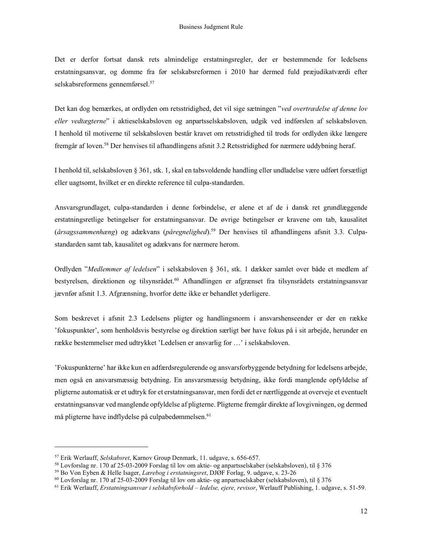Det er derfor fortsat dansk rets almindelige erstatningsregler, der er bestemmende for ledelsens erstatningsansvar, og domme fra før selskabsreformen i 2010 har dermed fuld præjudikatværdi efter selskabsreformens gennemførsel.<sup>57</sup>

Det kan dog bemærkes, at ordlyden om retsstridighed, det vil sige sætningen "ved overtrædelse af denne lov eller vedtægterne" i aktieselskabsloven og anpartsselskabsloven, udgik ved indførslen af selskabsloven. I henhold til motiverne til selskabsloven består kravet om retsstridighed til trods for ordlyden ikke længere fremgår af loven.<sup>58</sup> Der henvises til afhandlingens afsnit 3.2 Retsstridighed for nærmere uddybning heraf.

I henhold til, selskabsloven § 361, stk. 1, skal en tabsvoldende handling eller undladelse være udført forsætligt eller uagtsomt, hvilket er en direkte reference til culpa-standarden.

Ansvarsgrundlaget, culpa-standarden i denne forbindelse, er alene et af de i dansk ret grundlæggende erstatningsretlige betingelser for erstatningsansvar. De øvrige betingelser er kravene om tab, kausalitet  $(\text{årsagssammenhæng})$  og adækvans (påregnelighed).<sup>59</sup> Der henvises til afhandlingens afsnit 3.3. Culpastandarden samt tab, kausalitet og adækvans for nærmere herom.

Ordlyden "Medlemmer af ledelsen" i selskabsloven § 361, stk. 1 dækker samlet over både et medlem af bestyrelsen, direktionen og tilsynsrådet.<sup>60</sup> Afhandlingen er afgrænset fra tilsynsrådets erstatningsansvar jævnfør afsnit 1.3. Afgrænsning, hvorfor dette ikke er behandlet yderligere.

Som beskrevet i afsnit 2.3 Ledelsens pligter og handlingsnorm i ansvarshenseender er der en række 'fokuspunkter', som henholdsvis bestyrelse og direktion særligt bør have fokus på i sit arbejde, herunder en række bestemmelser med udtrykket 'Ledelsen er ansvarlig for …' i selskabsloven.

'Fokuspunkterne' har ikke kun en adfærdsregulerende og ansvarsforbyggende betydning for ledelsens arbejde, men også en ansvarsmæssig betydning. En ansvarsmæssig betydning, ikke fordi manglende opfyldelse af pligterne automatisk er et udtryk for et erstatningsansvar, men fordi det er nærtliggende at overveje et eventuelt erstatningsansvar ved manglende opfyldelse af pligterne. Pligterne fremgår direkte af lovgivningen, og dermed må pligterne have indflydelse på culpabedømmelsen.<sup>61</sup>

<sup>57</sup> Erik Werlauff, Selskabsret, Karnov Group Denmark, 11. udgave, s. 656-657.

<sup>58</sup> Lovforslag nr. 170 af 25-03-2009 Forslag til lov om aktie- og anpartsselskaber (selskabsloven), til § 376

<sup>59</sup> Bo Von Eyben & Helle Isager, Lærebog i erstatningsret, DJØF Forlag, 9. udgave, s. 23-26

<sup>60</sup> Lovforslag nr. 170 af 25-03-2009 Forslag til lov om aktie- og anpartsselskaber (selskabsloven), til § 376

<sup>&</sup>lt;sup>61</sup> Erik Werlauff, *Erstatningsansvar i selskabsforhold – ledelse, ejere, revisor*, Werlauff Publishing, 1. udgave, s. 51-59.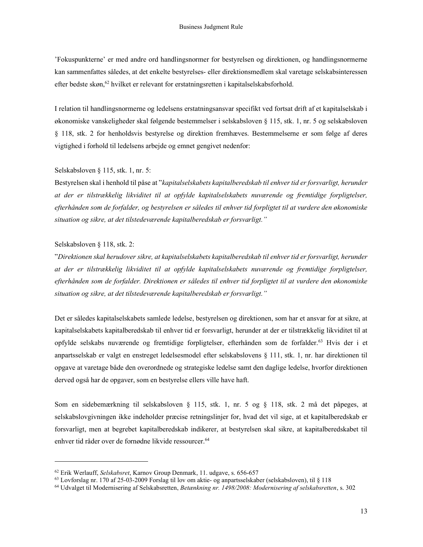'Fokuspunkterne' er med andre ord handlingsnormer for bestyrelsen og direktionen, og handlingsnormerne kan sammenfattes således, at det enkelte bestyrelses- eller direktionsmedlem skal varetage selskabsinteressen efter bedste skøn,  $62$  hvilket er relevant for erstatningsretten i kapitalselskabsforhold.

I relation til handlingsnormerne og ledelsens erstatningsansvar specifikt ved fortsat drift af et kapitalselskab i økonomiske vanskeligheder skal følgende bestemmelser i selskabsloven § 115, stk. 1, nr. 5 og selskabsloven § 118, stk. 2 for henholdsvis bestyrelse og direktion fremhæves. Bestemmelserne er som følge af deres vigtighed i forhold til ledelsens arbejde og emnet gengivet nedenfor:

#### Selskabsloven § 115, stk. 1, nr. 5:

Bestyrelsen skal i henhold til påse at "kapitalselskabets kapitalberedskab til enhver tid er forsvarligt, herunder at der er tilstrækkelig likviditet til at opfylde kapitalselskabets nuværende og fremtidige forpligtelser, efterhånden som de forfalder, og bestyrelsen er således til enhver tid forpligtet til at vurdere den økonomiske situation og sikre, at det tilstedeværende kapitalberedskab er forsvarligt."

#### Selskabsloven § 118, stk. 2:

"Direktionen skal herudover sikre, at kapitalselskabets kapitalberedskab til enhver tid er forsvarligt, herunder at der er tilstrækkelig likviditet til at opfylde kapitalselskabets nuværende og fremtidige forpligtelser, efterhånden som de forfalder. Direktionen er således til enhver tid forpligtet til at vurdere den økonomiske situation og sikre, at det tilstedeværende kapitalberedskab er forsvarligt."

Det er således kapitalselskabets samlede ledelse, bestyrelsen og direktionen, som har et ansvar for at sikre, at kapitalselskabets kapitalberedskab til enhver tid er forsvarligt, herunder at der er tilstrækkelig likviditet til at opfylde selskabs nuværende og fremtidige forpligtelser, efterhånden som de forfalder.<sup>63</sup> Hvis der i et anpartsselskab er valgt en enstreget ledelsesmodel efter selskabslovens § 111, stk. 1, nr. har direktionen til opgave at varetage både den overordnede og strategiske ledelse samt den daglige ledelse, hvorfor direktionen derved også har de opgaver, som en bestyrelse ellers ville have haft.

Som en sidebemærkning til selskabsloven § 115, stk. 1, nr. 5 og § 118, stk. 2 må det påpeges, at selskabslovgivningen ikke indeholder præcise retningslinjer for, hvad det vil sige, at et kapitalberedskab er forsvarligt, men at begrebet kapitalberedskab indikerer, at bestyrelsen skal sikre, at kapitalberedskabet til enhver tid råder over de fornødne likvide ressourcer.<sup>64</sup>

<sup>&</sup>lt;sup>62</sup> Erik Werlauff, Selskabsret, Karnov Group Denmark, 11. udgave, s. 656-657

<sup>63</sup> Lovforslag nr. 170 af 25-03-2009 Forslag til lov om aktie- og anpartsselskaber (selskabsloven), til § 118

<sup>&</sup>lt;sup>64</sup> Udvalget til Modernisering af Selskabsretten, Betænkning nr. 1498/2008: Modernisering af selskabsretten, s. 302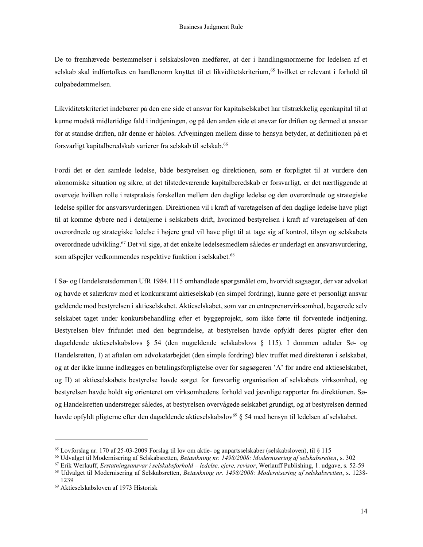De to fremhævede bestemmelser i selskabsloven medfører, at der i handlingsnormerne for ledelsen af et selskab skal indfortolkes en handlenorm knyttet til et likviditetskriterium,<sup>65</sup> hvilket er relevant i forhold til culpabedømmelsen.

Likviditetskriteriet indebærer på den ene side et ansvar for kapitalselskabet har tilstrækkelig egenkapital til at kunne modstå midlertidige fald i indtjeningen, og på den anden side et ansvar for driften og dermed et ansvar for at standse driften, når denne er håbløs. Afvejningen mellem disse to hensyn betyder, at definitionen på et forsvarligt kapitalberedskab varierer fra selskab til selskab.<sup>66</sup>

Fordi det er den samlede ledelse, både bestyrelsen og direktionen, som er forpligtet til at vurdere den økonomiske situation og sikre, at det tilstedeværende kapitalberedskab er forsvarligt, er det nærtliggende at overveje hvilken rolle i retspraksis forskellen mellem den daglige ledelse og den overordnede og strategiske ledelse spiller for ansvarsvurderingen. Direktionen vil i kraft af varetagelsen af den daglige ledelse have pligt til at komme dybere ned i detaljerne i selskabets drift, hvorimod bestyrelsen i kraft af varetagelsen af den overordnede og strategiske ledelse i højere grad vil have pligt til at tage sig af kontrol, tilsyn og selskabets overordnede udvikling.<sup>67</sup> Det vil sige, at det enkelte ledelsesmedlem således er underlagt en ansvarsvurdering, som afspejler vedkommendes respektive funktion i selskabet.<sup>68</sup>

I Sø- og Handelsretsdommen UfR 1984.1115 omhandlede spørgsmålet om, hvorvidt sagsøger, der var advokat og havde et salærkrav mod et konkursramt aktieselskab (en simpel fordring), kunne gøre et personligt ansvar gældende mod bestyrelsen i aktieselskabet. Aktieselskabet, som var en entreprenørvirksomhed, begærede selv selskabet taget under konkursbehandling efter et byggeprojekt, som ikke førte til forventede indtjening. Bestyrelsen blev frifundet med den begrundelse, at bestyrelsen havde opfyldt deres pligter efter den dagældende aktieselskabslovs § 54 (den nugældende selskabslovs § 115). I dommen udtaler Sø- og Handelsretten, I) at aftalen om advokatarbejdet (den simple fordring) blev truffet med direktøren i selskabet, og at der ikke kunne indlægges en betalingsforpligtelse over for sagsøgeren 'A' for andre end aktieselskabet, og II) at aktieselskabets bestyrelse havde sørget for forsvarlig organisation af selskabets virksomhed, og bestyrelsen havde holdt sig orienteret om virksomhedens forhold ved jævnlige rapporter fra direktionen. Søog Handelsretten understreger således, at bestyrelsen overvågede selskabet grundigt, og at bestyrelsen dermed havde opfyldt pligterne efter den dagældende aktieselskabslov<sup>69</sup> § 54 med hensyn til ledelsen af selskabet.

<sup>65</sup> Lovforslag nr. 170 af 25-03-2009 Forslag til lov om aktie- og anpartsselskaber (selskabsloven), til § 115

<sup>66</sup> Udvalget til Modernisering af Selskabsretten, Betænkning nr. 1498/2008: Modernisering af selskabsretten, s. 302

<sup>67</sup> Erik Werlauff, Erstatningsansvar i selskabsforhold – ledelse, ejere, revisor, Werlauff Publishing, 1. udgave, s. 52-59

<sup>68</sup> Udvalget til Modernisering af Selskabsretten, Betænkning nr. 1498/2008: Modernisering af selskabsretten, s. 1238- 1239

<sup>69</sup> Aktieselskabsloven af 1973 Historisk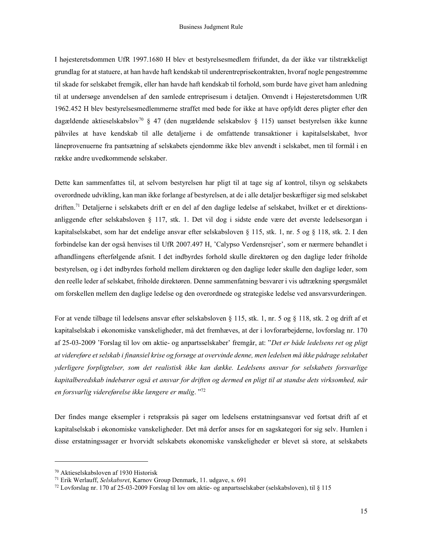I højesteretsdommen UfR 1997.1680 H blev et bestyrelsesmedlem frifundet, da der ikke var tilstrækkeligt grundlag for at statuere, at han havde haft kendskab til underentreprisekontrakten, hvoraf nogle pengestrømme til skade for selskabet fremgik, eller han havde haft kendskab til forhold, som burde have givet ham anledning til at undersøge anvendelsen af den samlede entreprisesum i detaljen. Omvendt i Højesteretsdommen UfR 1962.452 H blev bestyrelsesmedlemmerne straffet med bøde for ikke at have opfyldt deres pligter efter den dagældende aktieselskabslov<sup>70</sup> § 47 (den nugældende selskabslov § 115) uanset bestyrelsen ikke kunne påhviles at have kendskab til alle detaljerne i de omfattende transaktioner i kapitalselskabet, hvor låneprovenuerne fra pantsætning af selskabets ejendomme ikke blev anvendt i selskabet, men til formål i en række andre uvedkommende selskaber.

Dette kan sammenfattes til, at selvom bestyrelsen har pligt til at tage sig af kontrol, tilsyn og selskabets overordnede udvikling, kan man ikke forlange af bestyrelsen, at de i alle detaljer beskæftiger sig med selskabet driften.71 Detaljerne i selskabets drift er en del af den daglige ledelse af selskabet, hvilket er et direktionsanliggende efter selskabsloven § 117, stk. 1. Det vil dog i sidste ende være det øverste ledelsesorgan i kapitalselskabet, som har det endelige ansvar efter selskabsloven § 115, stk. 1, nr. 5 og § 118, stk. 2. I den forbindelse kan der også henvises til UfR 2007.497 H, 'Calypso Verdensrejser', som er nærmere behandlet i afhandlingens efterfølgende afsnit. I det indbyrdes forhold skulle direktøren og den daglige leder friholde bestyrelsen, og i det indbyrdes forhold mellem direktøren og den daglige leder skulle den daglige leder, som den reelle leder af selskabet, friholde direktøren. Denne sammenfatning besvarer i vis udtrækning spørgsmålet om forskellen mellem den daglige ledelse og den overordnede og strategiske ledelse ved ansvarsvurderingen.

For at vende tilbage til ledelsens ansvar efter selskabsloven § 115, stk. 1, nr. 5 og § 118, stk. 2 og drift af et kapitalselskab i økonomiske vanskeligheder, må det fremhæves, at der i lovforarbejderne, lovforslag nr. 170 af 25-03-2009 'Forslag til lov om aktie- og anpartsselskaber' fremgår, at: "Det er både ledelsens ret og pligt at videreføre et selskab i finansiel krise og forsøge at overvinde denne, men ledelsen må ikke pådrage selskabet yderligere forpligtelser, som det realistisk ikke kan dække. Ledelsens ansvar for selskabets forsvarlige kapitalberedskab indebærer også et ansvar for driften og dermed en pligt til at standse dets virksomhed, når en forsvarlig videreførelse ikke længere er mulig. "<sup>72</sup>

Der findes mange eksempler i retspraksis på sager om ledelsens erstatningsansvar ved fortsat drift af et kapitalselskab i økonomiske vanskeligheder. Det må derfor anses for en sagskategori for sig selv. Humlen i disse erstatningssager er hvorvidt selskabets økonomiske vanskeligheder er blevet så store, at selskabets

<sup>70</sup> Aktieselskabsloven af 1930 Historisk

<sup>71</sup> Erik Werlauff, Selskabsret, Karnov Group Denmark, 11. udgave, s. 691

 $^{72}$  Lovforslag nr. 170 af 25-03-2009 Forslag til lov om aktie- og anpartsselskaber (selskabsloven), til § 115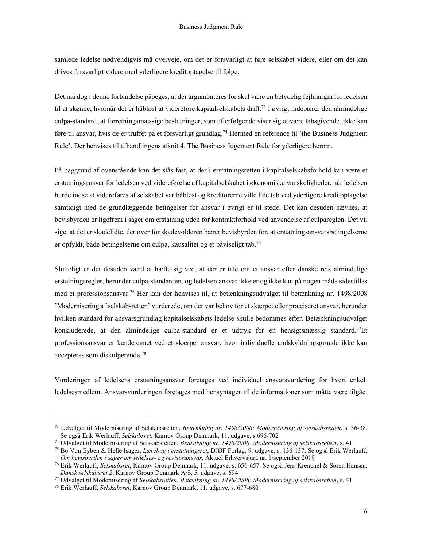samlede ledelse nødvendigvis må overveje, om det er forsvarligt at føre selskabet videre, eller om det kan drives forsvarligt videre med yderligere kreditoptagelse til følge.

Det må dog i denne forbindelse påpeges, at der argumenteres for skal være en betydelig fejlmargin for ledelsen til at skønne, hvornår det er håbløst at videreføre kapitalselskabets drift.<sup>73</sup> I øvrigt indebærer den almindelige culpa-standard, at forretningsmæssige beslutninger, som efterfølgende viser sig at være tabsgivende, ikke kan føre til ansvar, hvis de er truffet på et forsvarligt grundlag.<sup>74</sup> Hermed en reference til 'the Business Judgment Rule'. Der henvises til afhandlingens afsnit 4. The Business Jugement Rule for yderligere herom.

På baggrund af ovenstående kan det slås fast, at der i erstatningsretten i kapitalselskabsforhold kan være et erstatningsansvar for ledelsen ved videreførelse af kapitalselskabet i økonomiske vanskeligheder, når ledelsen burde indse at videreføres af selskabet var håbløst og kreditorerne ville lide tab ved yderligere kreditoptagelse samtidigt med de grundlæggende betingelser for ansvar i øvrigt er til stede. Det kan desuden nævnes, at bevisbyrden er ligefrem i sager om erstatning uden for kontraktforhold ved anvendelse af culpareglen. Det vil sige, at det er skadelidte, der over for skadevolderen bærer bevisbyrden for, at erstatningsansvarsbetingelserne er opfyldt, både betingelserne om culpa, kausalitet og et påviseligt tab.<sup>75</sup>

Slutteligt er det desuden værd at hæfte sig ved, at der er tale om et ansvar efter danske rets almindelige erstatningsregler, herunder culpa-standarden, og ledelsen ansvar ikke er og ikke kan på nogen måde sidestilles med et professionsansvar.<sup>76</sup> Her kan der henvises til, at betænkningsudvalget til betænkning nr. 1498/2008 'Modernisering af selskabsretten' vurderede, om der var behov for et skærpet eller præciseret ansvar, herunder hvilken standard for ansvarsgrundlag kapitalselskabets ledelse skulle bedømmes efter. Betænkningsudvalget konkluderede, at den almindelige culpa-standard er et udtryk for en hensigtsmæssig standard.<sup>77</sup>Et professionsansvar er kendetegnet ved et skærpet ansvar, hvor individuelle undskyldningsgrunde ikke kan accepteres som diskulperende.<sup>78</sup>

Vurderingen af ledelsens erstatningsansvar foretages ved individuel ansvarsvurdering for hvert enkelt ledelsesmedlem. Ansvarsvurderingen foretages med hensyntagen til de informationer som måtte være tilgået

<sup>73</sup> Udvalget til Modernisering af Selskabsretten, Betænkning nr. 1498/2008: Modernisering af selskabsretten, s. 36-38. <sup>73</sup> Se også Erik Werlauff, Selskabsret, Karnov Group Denmark, 11. udgave, s.696-702

<sup>74</sup> Udvalget til Modernisering af Selskabsretten, Betænkning nr. 1498/2008: Modernisering af selskabsretten, s. 41

<sup>75</sup> Bo Von Eyben & Helle Isager, Lærebog i erstatningsret, DJØF Forlag, 9. udgave, s. 136-137. Se også Erik Werlauff, <sup>75</sup> Om bevisbyrden i sager om ledelses- og revisoransvar, Aktuel Erhvervsjura nr. 1/september 2019

<sup>76</sup> Erik Werlauff, Selskabsret, Karnov Group Denmark, 11. udgave, s. 656-657. Se også Jens Krenchel & Søren Hansen, Dansk selskabsret 2, Karnov Group Denmark A/S, 5. udgave, s. 694

<sup>77</sup> Udvalget til Modernisering af Selskabsretten, Betænkning nr. 1498/2008: Modernisering af selskabsretten, s. 41.

<sup>78</sup> Erik Werlauff, Selskabsret, Karnov Group Denmark, 11. udgave, s. 677-680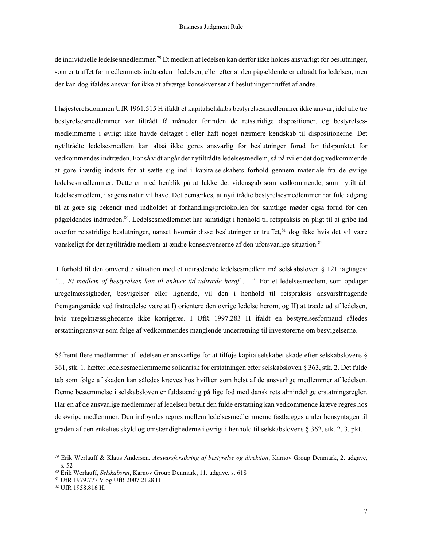de individuelle ledelsesmedlemmer.<sup>79</sup> Et medlem af ledelsen kan derfor ikke holdes ansvarligt for beslutninger, som er truffet før medlemmets indtræden i ledelsen, eller efter at den pågældende er udtrådt fra ledelsen, men der kan dog ifaldes ansvar for ikke at afværge konsekvenser af beslutninger truffet af andre.

I højesteretsdommen UfR 1961.515 H ifaldt et kapitalselskabs bestyrelsesmedlemmer ikke ansvar, idet alle tre bestyrelsesmedlemmer var tiltrådt få måneder forinden de retsstridige dispositioner, og bestyrelsesmedlemmerne i øvrigt ikke havde deltaget i eller haft noget nærmere kendskab til dispositionerne. Det nytiltrådte ledelsesmedlem kan altså ikke gøres ansvarlig for beslutninger forud for tidspunktet for vedkommendes indtræden. For så vidt angår det nytiltrådte ledelsesmedlem, så påhviler det dog vedkommende at gøre ihærdig indsats for at sætte sig ind i kapitalselskabets forhold gennem materiale fra de øvrige ledelsesmedlemmer. Dette er med henblik på at lukke det vidensgab som vedkommende, som nytiltrådt ledelsesmedlem, i sagens natur vil have. Det bemærkes, at nytiltrådte bestyrelsesmedlemmer har fuld adgang til at gøre sig bekendt med indholdet af forhandlingsprotokollen for samtlige møder også forud for den pågældendes indtræden.<sup>80</sup>. Ledelsesmedlemmet har samtidigt i henhold til retspraksis en pligt til at gribe ind overfor retsstridige beslutninger, uanset hvornår disse beslutninger er truffet,<sup>81</sup> dog ikke hvis det vil være vanskeligt for det nytiltrådte medlem at ændre konsekvenserne af den uforsvarlige situation.<sup>82</sup>

 I forhold til den omvendte situation med et udtrædende ledelsesmedlem må selskabsloven § 121 iagttages: "... Et medlem af bestyrelsen kan til enhver tid udtræde heraf ... ". For et ledelsesmedlem, som opdager uregelmæssigheder, besvigelser eller lignende, vil den i henhold til retspraksis ansvarsfritagende fremgangsmåde ved fratrædelse være at I) orientere den øvrige ledelse herom, og II) at træde ud af ledelsen, hvis uregelmæssighederne ikke korrigeres. I UfR 1997.283 H ifaldt en bestyrelsesformand således erstatningsansvar som følge af vedkommendes manglende underretning til investorerne om besvigelserne.

Såfremt flere medlemmer af ledelsen er ansvarlige for at tilføje kapitalselskabet skade efter selskabslovens § 361, stk. 1. hæfter ledelsesmedlemmerne solidarisk for erstatningen efter selskabsloven § 363, stk. 2. Det fulde tab som følge af skaden kan således kræves hos hvilken som helst af de ansvarlige medlemmer af ledelsen. Denne bestemmelse i selskabsloven er fuldstændig på lige fod med dansk rets almindelige erstatningsregler. Har en af de ansvarlige medlemmer af ledelsen betalt den fulde erstatning kan vedkommende kræve regres hos de øvrige medlemmer. Den indbyrdes regres mellem ledelsesmedlemmerne fastlægges under hensyntagen til graden af den enkeltes skyld og omstændighederne i øvrigt i henhold til selskabslovens § 362, stk. 2, 3. pkt.

<sup>&</sup>lt;sup>79</sup> Erik Werlauff & Klaus Andersen, Ansvarsforsikring af bestyrelse og direktion, Karnov Group Denmark, 2. udgave, s. 52

<sup>&</sup>lt;sup>80</sup> Erik Werlauff, Selskabsret, Karnov Group Denmark, 11. udgave, s. 618

<sup>81</sup> UfR 1979.777 V og UfR 2007.2128 H

<sup>82</sup> UfR 1958.816 H.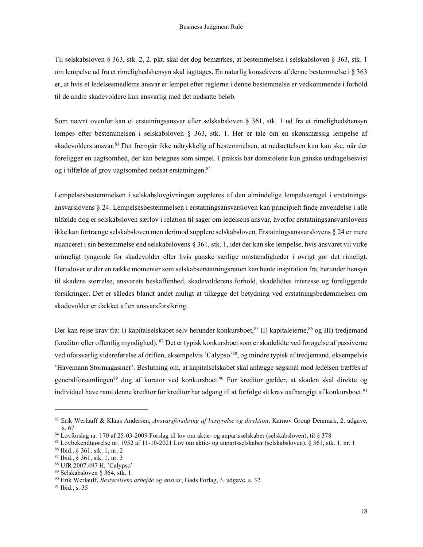Til selskabsloven § 363, stk. 2, 2. pkt. skal det dog bemærkes, at bestemmelsen i selskabsloven § 363, stk. 1 om lempelse ud fra et rimelighedshensyn skal iagttages. En naturlig konsekvens af denne bestemmelse i § 363 er, at hvis et ledelsesmedlems ansvar er lempet efter reglerne i denne bestemmelse er vedkommende i forhold til de andre skadevoldere kun ansvarlig med det nedsatte beløb.

Som nævnt ovenfor kan et erstatningsansvar efter selskabsloven § 361, stk. 1 ud fra et rimelighedshensyn lempes efter bestemmelsen i selskabsloven § 363, stk. 1. Her er tale om en skønsmæssig lempelse af skadevolders ansvar.<sup>83</sup> Det fremgår ikke udtrykkelig af bestemmelsen, at nedsættelsen kun kan ske, når der foreligger en uagtsomhed, der kan betegnes som simpel. I praksis har domstolene kun ganske undtagelsesvist og i tilfælde af grov uagtsomhed nedsat erstatningen.<sup>84</sup>

Lempelsesbestemmelsen i selskabslovgivningen suppleres af den almindelige lempelsesregel i erstatningsansvarslovens § 24. Lempelsesbestemmelsen i erstatningsansvarsloven kan principielt finde anvendelse i alle tilfælde dog er selskabsloven særlov i relation til sager om ledelsens ansvar, hvorfor erstatningsansvarslovens ikke kan fortrænge selskabsloven men derimod supplere selskabsloven. Erstatningsansvarslovens § 24 er mere nuanceret i sin bestemmelse end selskabslovens § 361, stk. 1, idet der kan ske lempelse, hvis ansvaret vil virke urimeligt tyngende for skadevolder eller hvis ganske særlige omstændigheder i øvrigt gør det rimeligt. Herudover er der en række momenter som selskabserstatningsretten kan hente inspiration fra, herunder hensyn til skadens størrelse, ansvarets beskaffenhed, skadevolderens forhold, skadelidtes interesse og foreliggende forsikringer. Det er således blandt andet muligt at tillægge det betydning ved erstatningsbedømmelsen om skadevolder er dækket af en ansvarsforsikring.

Der kan rejse krav fra: I) kapitalselskabet selv herunder konkursboet,<sup>85</sup> II) kapitalejerne,<sup>86</sup> og III) tredjemand (kreditor eller offentlig myndighed). <sup>87</sup> Det er typisk konkursboet som er skadelidte ved forøgelse af passiverne ved uforsvarlig videreførelse af driften, eksempelvis 'Calypso'<sup>88</sup>, og mindre typisk af tredjemand, eksempelvis 'Havemann Stormagasiner'. Beslutning om, at kapitalselskabet skal anlægge søgsmål mod ledelsen træffes af generalforsamlingen<sup>89</sup> dog af kurator ved konkursboet.<sup>90</sup> For kreditor gælder, at skaden skal direkte og individuel have ramt denne kreditor før kreditor har adgang til at forfølge sit krav uafhængigt af konkursboet.<sup>91</sup>

<sup>&</sup>lt;sup>83</sup> Erik Werlauff & Klaus Andersen, Ansvarsforsikring af bestyrelse og direktion, Karnov Group Denmark, 2. udgave, s. 67

<sup>84</sup> Lovforslag nr. 170 af 25-03-2009 Forslag til lov om aktie- og anpartsselskaber (selskabsloven), til § 378

<sup>85</sup> Lovbekendtgørelse nr. 1952 af 11-10-2021 Lov om aktie- og anpartsselskaber (selskabsloven), § 361, stk. 1, nr. 1

<sup>86</sup> Ibid., § 361, stk. 1, nr. 2

<sup>87</sup> Ibid., § 361, stk. 1, nr. 3

<sup>88</sup> UfR 2007.497 H, 'Calypso'

<sup>89</sup> Selskabsloven § 364, stk. 1.

<sup>&</sup>lt;sup>90</sup> Erik Werlauff, Bestyrelsens arbejde og ansvar, Gads Forlag, 3. udgave, s. 32

<sup>91</sup> Ibid., s. 35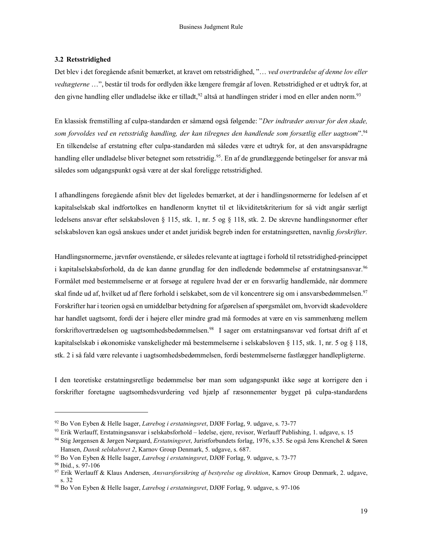#### 3.2 Retsstridighed

Det blev i det foregående afsnit bemærket, at kravet om retsstridighed, "... ved overtrædelse af denne lov eller vedtægterne …", består til trods for ordlyden ikke længere fremgår af loven. Retsstridighed er et udtryk for, at den givne handling eller undladelse ikke er tilladt,<sup>92</sup> altså at handlingen strider i mod en eller anden norm.<sup>93</sup>

En klassisk fremstilling af culpa-standarden er såmænd også følgende: "Der indtræder ansvar for den skade, som forvoldes ved en retsstridig handling, der kan tilregnes den handlende som forsætlig eller uagtsom".<sup>94</sup> En tilkendelse af erstatning efter culpa-standarden må således være et udtryk for, at den ansvarspådragne handling eller undladelse bliver betegnet som retsstridig.<sup>95</sup>. En af de grundlæggende betingelser for ansvar må således som udgangspunkt også være at der skal foreligge retsstridighed.

I afhandlingens foregående afsnit blev det ligeledes bemærket, at der i handlingsnormerne for ledelsen af et kapitalselskab skal indfortolkes en handlenorm knyttet til et likviditetskriterium for så vidt angår særligt ledelsens ansvar efter selskabsloven § 115, stk. 1, nr. 5 og § 118, stk. 2. De skrevne handlingsnormer efter selskabsloven kan også anskues under et andet juridisk begreb inden for erstatningsretten, navnlig forskrifter.

Handlingsnormerne, jævnfør ovenstående, er således relevante at iagttage i forhold til retsstridighed-princippet i kapitalselskabsforhold, da de kan danne grundlag for den indledende bedømmelse af erstatningsansvar.<sup>96</sup> Formålet med bestemmelserne er at forsøge at regulere hvad der er en forsvarlig handlemåde, når dommere skal finde ud af, hvilket ud af flere forhold i selskabet, som de vil koncentrere sig om i ansvarsbedømmelsen.<sup>97</sup> Forskrifter har i teorien også en umiddelbar betydning for afgørelsen af spørgsmålet om, hvorvidt skadevoldere har handlet uagtsomt, fordi der i højere eller mindre grad må formodes at være en vis sammenhæng mellem forskriftovertrædelsen og uagtsomhedsbedømmelsen.<sup>98</sup> I sager om erstatningsansvar ved fortsat drift af et kapitalselskab i økonomiske vanskeligheder må bestemmelserne i selskabsloven § 115, stk. 1, nr. 5 og § 118, stk. 2 i så fald være relevante i uagtsomhedsbedømmelsen, fordi bestemmelserne fastlægger handlepligterne.

I den teoretiske erstatningsretlige bedømmelse bør man som udgangspunkt ikke søge at korrigere den i forskrifter foretagne uagtsomhedsvurdering ved hjælp af ræsonnementer bygget på culpa-standardens

 $92$  Bo Von Eyben & Helle Isager, *Lærebog i erstatningsret*, DJØF Forlag, 9. udgave, s. 73-77

<sup>93</sup> Erik Werlauff, Erstatningsansvar i selskabsforhold – ledelse, ejere, revisor, Werlauff Publishing, 1. udgave, s. 15

<sup>94</sup> Stig Jørgensen & Jørgen Nørgaard, Erstatningsret, Juristforbundets forlag, 1976, s.35. Se også Jens Krenchel & Søren Hansen, Dansk selskabsret 2, Karnov Group Denmark, 5. udgave, s. 687.

<sup>95</sup> Bo Von Eyben & Helle Isager, Lærebog i erstatningsret, DJØF Forlag, 9. udgave, s. 73-77

<sup>96</sup> Ibid., s. 97-106

<sup>97</sup> Erik Werlauff & Klaus Andersen, Ansvarsforsikring af bestyrelse og direktion, Karnov Group Denmark, 2. udgave, s. 32

<sup>98</sup> Bo Von Eyben & Helle Isager, *Lærebog i erstatningsret*, DJØF Forlag, 9. udgave, s. 97-106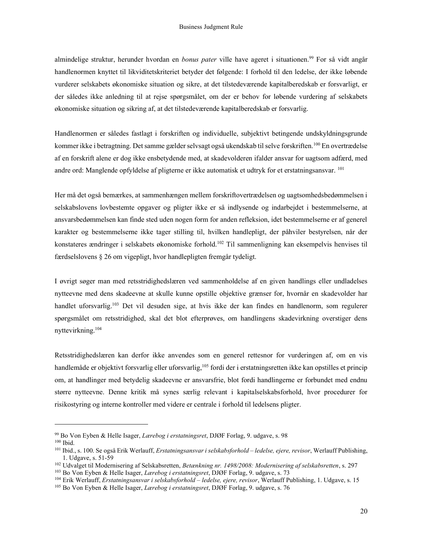almindelige struktur, herunder hvordan en *bonus pater* ville have ageret i situationen.<sup>99</sup> For så vidt angår handlenormen knyttet til likviditetskriteriet betyder det følgende: I forhold til den ledelse, der ikke løbende vurderer selskabets økonomiske situation og sikre, at det tilstedeværende kapitalberedskab er forsvarligt, er der således ikke anledning til at rejse spørgsmålet, om der er behov for løbende vurdering af selskabets økonomiske situation og sikring af, at det tilstedeværende kapitalberedskab er forsvarlig.

Handlenormen er således fastlagt i forskriften og individuelle, subjektivt betingende undskyldningsgrunde kommer ikke i betragtning. Det samme gælder selvsagt også ukendskab til selve forskriften.<sup>100</sup> En overtrædelse af en forskrift alene er dog ikke ensbetydende med, at skadevolderen ifalder ansvar for uagtsom adfærd, med andre ord: Manglende opfyldelse af pligterne er ikke automatisk et udtryk for et erstatningsansvar. <sup>101</sup>

Her må det også bemærkes, at sammenhængen mellem forskriftovertrædelsen og uagtsomhedsbedømmelsen i selskabslovens lovbestemte opgaver og pligter ikke er så indlysende og indarbejdet i bestemmelserne, at ansvarsbedømmelsen kan finde sted uden nogen form for anden refleksion, idet bestemmelserne er af generel karakter og bestemmelserne ikke tager stilling til, hvilken handlepligt, der påhviler bestyrelsen, når der konstateres ændringer i selskabets økonomiske forhold.<sup>102</sup> Til sammenligning kan eksempelvis henvises til færdselslovens § 26 om vigepligt, hvor handlepligten fremgår tydeligt.

I øvrigt søger man med retsstridighedslæren ved sammenholdelse af en given handlings eller undladelses nytteevne med dens skadeevne at skulle kunne opstille objektive grænser for, hvornår en skadevolder har handlet uforsvarlig.<sup>103</sup> Det vil desuden sige, at hvis ikke der kan findes en handlenorm, som regulerer spørgsmålet om retsstridighed, skal det blot efterprøves, om handlingens skadevirkning overstiger dens nyttevirkning.<sup>104</sup>

Retsstridighedslæren kan derfor ikke anvendes som en generel rettesnor for vurderingen af, om en vis handlemåde er objektivt forsvarlig eller uforsvarlig,<sup>105</sup> fordi der i erstatningsretten ikke kan opstilles et princip om, at handlinger med betydelig skadeevne er ansvarsfrie, blot fordi handlingerne er forbundet med endnu større nytteevne. Denne kritik må synes særlig relevant i kapitalselskabsforhold, hvor procedurer for risikostyring og interne kontroller med videre er centrale i forhold til ledelsens pligter.

<sup>99</sup> Bo Von Eyben & Helle Isager, Lærebog i erstatningsret, DJØF Forlag, 9. udgave, s. 98 <sup>100</sup> Ibid.

<sup>101</sup> Ibid., s. 100. Se også Erik Werlauff, Erstatningsansvar i selskabsforhold - ledelse, ejere, revisor, Werlauff Publishing, 1. Udgave, s. 51-59

<sup>&</sup>lt;sup>102</sup> Udvalget til Modernisering af Selskabsretten, Betænkning nr. 1498/2008: Modernisering af selskabsretten, s. 297

<sup>&</sup>lt;sup>103</sup> Bo Von Eyben & Helle Isager, *Lærebog i erstatningsret*, DJØF Forlag, 9. udgave, s. 73

<sup>&</sup>lt;sup>104</sup> Erik Werlauff, *Erstatningsansvar i selskabsforhold – ledelse, ejere, revisor*, Werlauff Publishing, 1. Udgave, s. 15

<sup>&</sup>lt;sup>105</sup> Bo Von Eyben & Helle Isager, *Lærebog i erstatningsret*, DJØF Forlag, 9. udgave, s. 76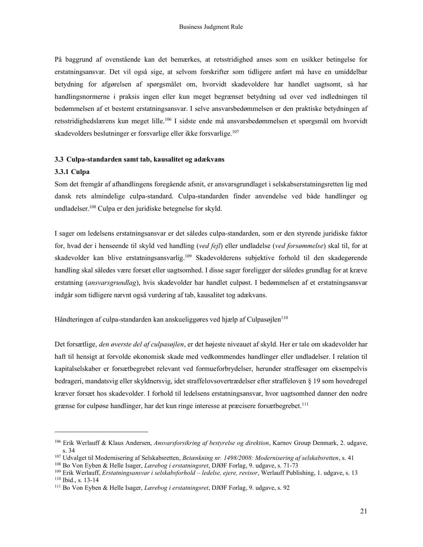På baggrund af ovenstående kan det bemærkes, at retsstridighed anses som en usikker betingelse for erstatningsansvar. Det vil også sige, at selvom forskrifter som tidligere anført må have en umiddelbar betydning for afgørelsen af spørgsmålet om, hvorvidt skadevoldere har handlet uagtsomt, så har handlingsnormerne i praksis ingen eller kun meget begrænset betydning ud over ved indledningen til bedømmelsen af et bestemt erstatningsansvar. I selve ansvarsbedømmelsen er den praktiske betydningen af retsstridighedslærens kun meget lille.<sup>106</sup> I sidste ende må ansvarsbedømmelsen et spørgsmål om hvorvidt skadevolders beslutninger er forsvarlige eller ikke forsvarlige.<sup>107</sup>

#### 3.3 Culpa-standarden samt tab, kausalitet og adækvans

#### 3.3.1 Culpa

Som det fremgår af afhandlingens foregående afsnit, er ansvarsgrundlaget i selskabserstatningsretten lig med dansk rets almindelige culpa-standard. Culpa-standarden finder anvendelse ved både handlinger og undladelser.<sup>108</sup> Culpa er den juridiske betegnelse for skyld.

I sager om ledelsens erstatningsansvar er det således culpa-standarden, som er den styrende juridiske faktor for, hvad der i henseende til skyld ved handling (ved fejl) eller undladelse (ved forsømmelse) skal til, for at skadevolder kan blive erstatningsansvarlig.<sup>109</sup> Skadevolderens subjektive forhold til den skadegørende handling skal således være forsæt eller uagtsomhed. I disse sager foreligger der således grundlag for at kræve erstatning (ansvarsgrundlag), hvis skadevolder har handlet culpøst. I bedømmelsen af et erstatningsansvar indgår som tidligere nævnt også vurdering af tab, kausalitet tog adækvans.

Håndteringen af culpa-standarden kan anskueliggøres ved hjælp af Culpasøjlen<sup>110</sup>

Det forsætlige, den øverste del af culpasøjlen, er det højeste niveauet af skyld. Her er tale om skadevolder har haft til hensigt at forvolde økonomisk skade med vedkommendes handlinger eller undladelser. I relation til kapitalselskaber er forsætbegrebet relevant ved formueforbrydelser, herunder straffesager om eksempelvis bedrageri, mandatsvig eller skyldnersvig, idet straffelovsovertrædelser efter straffeloven § 19 som hovedregel kræver forsæt hos skadevolder. I forhold til ledelsens erstatningsansvar, hvor uagtsomhed danner den nedre grænse for culpøse handlinger, har det kun ringe interesse at præcisere forsætbegrebet.<sup>111</sup>

<sup>&</sup>lt;sup>106</sup> Erik Werlauff & Klaus Andersen, Ansvarsforsikring af bestyrelse og direktion, Karnov Group Denmark, 2. udgave, s. 34

<sup>&</sup>lt;sup>107</sup> Udvalget til Modernisering af Selskabsretten, Betænkning nr. 1498/2008: Modernisering af selskabsretten, s. 41

<sup>&</sup>lt;sup>108</sup> Bo Von Eyben & Helle Isager, *Lærebog i erstatningsret*, DJØF Forlag, 9. udgave, s. 71-73

<sup>&</sup>lt;sup>109</sup> Erik Werlauff, Erstatningsansvar i selskabsforhold – ledelse, ejere, revisor, Werlauff Publishing, 1. udgave, s. 13 <sup>110</sup> Ibid., s. 13-14

<sup>&</sup>lt;sup>111</sup> Bo Von Eyben & Helle Isager, *Lærebog i erstatningsret*, DJØF Forlag, 9. udgave, s. 92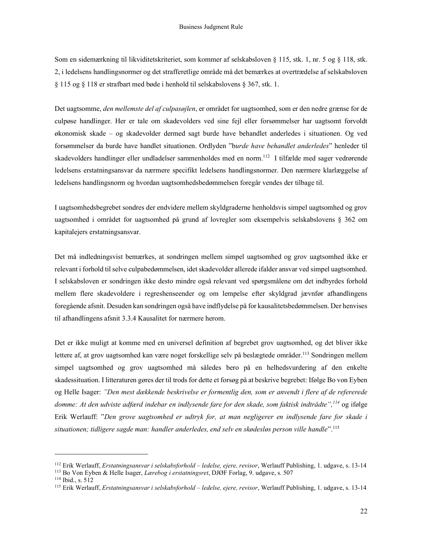Som en sidemærkning til likviditetskriteriet, som kommer af selskabsloven § 115, stk. 1, nr. 5 og § 118, stk. 2, i ledelsens handlingsnormer og det strafferetlige område må det bemærkes at overtrædelse af selskabsloven § 115 og § 118 er strafbart med bøde i henhold til selskabslovens § 367, stk. 1.

Det uagtsomme, den mellemste del af culpasøjlen, er området for uagtsomhed, som er den nedre grænse for de culpøse handlinger. Her er tale om skadevolders ved sine fejl eller forsømmelser har uagtsomt forvoldt økonomisk skade – og skadevolder dermed sagt burde have behandlet anderledes i situationen. Og ved forsømmelser da burde have handlet situationen. Ordlyden "burde have behandlet anderledes" henleder til skadevolders handlinger eller undladelser sammenholdes med en norm.<sup>112</sup> I tilfælde med sager vedrørende ledelsens erstatningsansvar da nærmere specifikt ledelsens handlingsnormer. Den nærmere klarlæggelse af ledelsens handlingsnorm og hvordan uagtsomhedsbedømmelsen foregår vendes der tilbage til.

I uagtsomhedsbegrebet sondres der endvidere mellem skyldgraderne henholdsvis simpel uagtsomhed og grov uagtsomhed i området for uagtsomhed på grund af lovregler som eksempelvis selskabslovens § 362 om kapitalejers erstatningsansvar.

Det må indledningsvist bemærkes, at sondringen mellem simpel uagtsomhed og grov uagtsomhed ikke er relevant i forhold til selve culpabedømmelsen, idet skadevolder allerede ifalder ansvar ved simpel uagtsomhed. I selskabsloven er sondringen ikke desto mindre også relevant ved spørgsmålene om det indbyrdes forhold mellem flere skadevoldere i regreshenseender og om lempelse efter skyldgrad jævnfør afhandlingens foregående afsnit. Desuden kan sondringen også have indflydelse på for kausalitetsbedømmelsen. Der henvises til afhandlingens afsnit 3.3.4 Kausalitet for nærmere herom.

Det er ikke muligt at komme med en universel definition af begrebet grov uagtsomhed, og det bliver ikke lettere af, at grov uagtsomhed kan være noget forskellige selv på beslægtede områder.<sup>113</sup> Sondringen mellem simpel uagtsomhed og grov uagtsomhed må således bero på en helhedsvurdering af den enkelte skadessituation. I litteraturen gøres der til trods for dette et forsøg på at beskrive begrebet: Ifølge Bo von Eyben og Helle Isager: "Den mest dækkende beskrivelse er formentlig den, som er anvendt i flere af de refererede domme: At den udviste adfærd indebar en indlysende fare for den skade, som faktisk indtrådte",<sup>114</sup> og ifølge Erik Werlauff: "Den grove uagtsomhed er udtryk for, at man negligerer en indlysende fare for skade i situationen; tidligere sagde man: handler anderledes, end selv en skødesløs person ville handle".<sup>115</sup>

<sup>&</sup>lt;sup>112</sup> Erik Werlauff, Erstatningsansvar i selskabsforhold – ledelse, ejere, revisor, Werlauff Publishing, 1. udgave, s. 13-14

<sup>&</sup>lt;sup>113</sup> Bo Von Eyben & Helle Isager, Lærebog i erstatningsret, DJØF Forlag, 9. udgave, s. 507

<sup>114</sup> Ibid., s. 512

<sup>&</sup>lt;sup>115</sup> Erik Werlauff, Erstatningsansvar i selskabsforhold - ledelse, ejere, revisor, Werlauff Publishing, 1. udgave, s. 13-14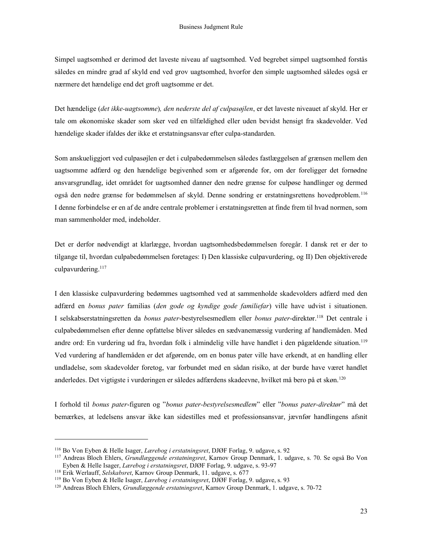Simpel uagtsomhed er derimod det laveste niveau af uagtsomhed. Ved begrebet simpel uagtsomhed forstås således en mindre grad af skyld end ved grov uagtsomhed, hvorfor den simple uagtsomhed således også er nærmere det hændelige end det groft uagtsomme er det.

Det hændelige (det ikke-uagtsomme), den nederste del af culpasøjlen, er det laveste niveauet af skyld. Her er tale om økonomiske skader som sker ved en tilfældighed eller uden bevidst hensigt fra skadevolder. Ved hændelige skader ifaldes der ikke et erstatningsansvar efter culpa-standarden.

Som anskueliggjort ved culpasøjlen er det i culpabedømmelsen således fastlæggelsen af grænsen mellem den uagtsomme adfærd og den hændelige begivenhed som er afgørende for, om der foreligger det fornødne ansvarsgrundlag, idet området for uagtsomhed danner den nedre grænse for culpøse handlinger og dermed også den nedre grænse for bedømmelsen af skyld. Denne sondring er erstatningsrettens hovedproblem.<sup>116</sup> I denne forbindelse er en af de andre centrale problemer i erstatningsretten at finde frem til hvad normen, som man sammenholder med, indeholder.

Det er derfor nødvendigt at klarlægge, hvordan uagtsomhedsbedømmelsen foregår. I dansk ret er der to tilgange til, hvordan culpabedømmelsen foretages: I) Den klassiske culpavurdering, og II) Den objektiverede culpavurdering.<sup>117</sup>

I den klassiske culpavurdering bedømmes uagtsomhed ved at sammenholde skadevolders adfærd med den adfærd en bonus pater familias (den gode og kyndige gode familiefar) ville have udvist i situationen. I selskabserstatningsretten da bonus pater-bestyrelsesmedlem eller bonus pater-direktør.<sup>118</sup> Det centrale i culpabedømmelsen efter denne opfattelse bliver således en sædvanemæssig vurdering af handlemåden. Med andre ord: En vurdering ud fra, hvordan folk i almindelig ville have handlet i den pågældende situation.<sup>119</sup> Ved vurdering af handlemåden er det afgørende, om en bonus pater ville have erkendt, at en handling eller undladelse, som skadevolder foretog, var forbundet med en sådan risiko, at der burde have været handlet anderledes. Det vigtigste i vurderingen er således adfærdens skadeevne, hvilket må bero på et skøn.<sup>120</sup>

I forhold til bonus pater-figuren og "bonus pater-bestyrelsesmedlem" eller "bonus pater-direktør" må det bemærkes, at ledelsens ansvar ikke kan sidestilles med et professionsansvar, jævnfør handlingens afsnit

<sup>116</sup> Bo Von Eyben & Helle Isager, Lærebog i erstatningsret, DJØF Forlag, 9. udgave, s. 92

<sup>&</sup>lt;sup>117</sup> Andreas Bloch Ehlers, *Grundlæggende erstatningsret*, Karnov Group Denmark, 1. udgave, s. 70. Se også Bo Von Eyben & Helle Isager, Lærebog i erstatningsret, DJØF Forlag, 9. udgave, s. 93-97

<sup>&</sup>lt;sup>118</sup> Erik Werlauff, Selskabsret, Karnov Group Denmark, 11. udgave, s. 677

<sup>&</sup>lt;sup>119</sup> Bo Von Eyben & Helle Isager, *Lærebog i erstatningsret*, DJØF Forlag, 9. udgave, s. 93

<sup>&</sup>lt;sup>120</sup> Andreas Bloch Ehlers, Grundlæggende erstatningsret, Karnov Group Denmark, 1. udgave, s. 70-72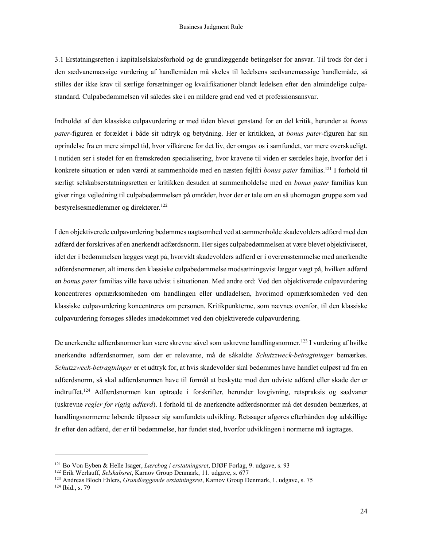3.1 Erstatningsretten i kapitalselskabsforhold og de grundlæggende betingelser for ansvar. Til trods for der i den sædvanemæssige vurdering af handlemåden må skeles til ledelsens sædvanemæssige handlemåde, så stilles der ikke krav til særlige forsætninger og kvalifikationer blandt ledelsen efter den almindelige culpastandard. Culpabedømmelsen vil således ske i en mildere grad end ved et professionsansvar.

Indholdet af den klassiske culpavurdering er med tiden blevet genstand for en del kritik, herunder at bonus pater-figuren er forældet i både sit udtryk og betydning. Her er kritikken, at bonus pater-figuren har sin oprindelse fra en mere simpel tid, hvor vilkårene for det liv, der omgav os i samfundet, var mere overskueligt. I nutiden ser i stedet for en fremskreden specialisering, hvor kravene til viden er særdeles høje, hvorfor det i konkrete situation er uden værdi at sammenholde med en næsten fejlfri bonus pater familias.<sup>121</sup> I forhold til særligt selskabserstatningsretten er kritikken desuden at sammenholdelse med en bonus pater familias kun giver ringe vejledning til culpabedømmelsen på områder, hvor der er tale om en så uhomogen gruppe som ved bestyrelsesmedlemmer og direktører.<sup>122</sup>

I den objektiverede culpavurdering bedømmes uagtsomhed ved at sammenholde skadevolders adfærd med den adfærd der forskrives af en anerkendt adfærdsnorm. Her siges culpabedømmelsen at være blevet objektiviseret, idet der i bedømmelsen lægges vægt på, hvorvidt skadevolders adfærd er i overensstemmelse med anerkendte adfærdsnormener, alt imens den klassiske culpabedømmelse modsætningsvist lægger vægt på, hvilken adfærd en bonus pater familias ville have udvist i situationen. Med andre ord: Ved den objektiverede culpavurdering koncentreres opmærksomheden om handlingen eller undladelsen, hvorimod opmærksomheden ved den klassiske culpavurdering koncentreres om personen. Kritikpunkterne, som nævnes ovenfor, til den klassiske culpavurdering forsøges således imødekommet ved den objektiverede culpavurdering.

De anerkendte adfærdsnormer kan være skrevne såvel som uskrevne handlingsnormer.<sup>123</sup> I vurdering af hvilke anerkendte adfærdsnormer, som der er relevante, må de såkaldte Schutzzweck-betragtninger bemærkes. Schutzzweck-betragtninger er et udtryk for, at hvis skadevolder skal bedømmes have handlet culpøst ud fra en adfærdsnorm, så skal adfærdsnormen have til formål at beskytte mod den udviste adfærd eller skade der er indtruffet.<sup>124</sup> Adfærdsnormen kan optræde i forskrifter, herunder lovgivning, retspraksis og sædvaner (uskrevne regler for rigtig adfærd). I forhold til de anerkendte adfærdsnormer må det desuden bemærkes, at handlingsnormerne løbende tilpasser sig samfundets udvikling. Retssager afgøres efterhånden dog adskillige år efter den adfærd, der er til bedømmelse, har fundet sted, hvorfor udviklingen i normerne må iagttages.

<sup>&</sup>lt;sup>121</sup> Bo Von Eyben & Helle Isager, Lærebog i erstatningsret, DJØF Forlag, 9. udgave, s. 93

<sup>122</sup> Erik Werlauff, Selskabsret, Karnov Group Denmark, 11. udgave, s. 677

<sup>&</sup>lt;sup>123</sup> Andreas Bloch Ehlers, Grundlæggende erstatningsret, Karnov Group Denmark, 1. udgave, s. 75 124 Ibid., s. 79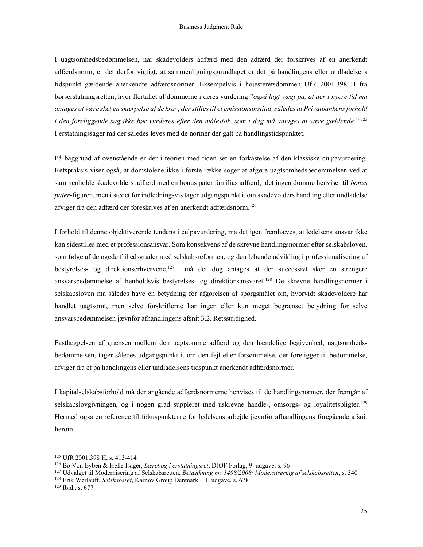I uagtsomhedsbedømmelsen, når skadevolders adfærd med den adfærd der forskrives af en anerkendt adfærdsnorm, er det derfor vigtigt, at sammenligningsgrundlaget er det på handlingens eller undladelsens tidspunkt gældende anerkendte adfærdsnormer. Eksempelvis i højesteretsdommen UfR 2001.398 H fra børserstatningsretten, hvor flertallet af dommerne i deres vurdering "også lagt vægt på, at der i nyere tid må antages at være sket en skærpelse af de krav, der stilles til et emissionsinstitut, således at Privatbankens forhold i den foreliggende sag ikke bør vurderes efter den målestok, som i dag må antages at være gældende.".<sup>125</sup> I erstatningssager må der således leves med de normer der galt på handlingstidspunktet.

På baggrund af ovenstående er der i teorien med tiden set en forkastelse af den klassiske culpavurdering. Retspraksis viser også, at domstolene ikke i første række søger at afgøre uagtsomhedsbedømmelsen ved at sammenholde skadevolders adfærd med en bonus pater familias adfærd, idet ingen domme henviser til bonus pater-figuren, men i stedet for indledningsvis tager udgangspunkt i, om skadevolders handling eller undladelse afviger fra den adfærd der foreskrives af en anerkendt adfærdsnorm.<sup>126</sup>

I forhold til denne objektiverende tendens i culpavurdering, må det igen fremhæves, at ledelsens ansvar ikke kan sidestilles med et professionsansvar. Som konsekvens af de skrevne handlingsnormer efter selskabsloven, som følge af de øgede frihedsgrader med selskabsreformen, og den løbende udvikling i professionalisering af bestyrelses- og direktionserhvervene,<sup>127</sup> må det dog antages at der successivt sker en strengere ansvarsbedømmelse af henholdsvis bestyrelses- og direktionsansvaret.<sup>128</sup> De skrevne handlingsnormer i selskabsloven må således have en betydning for afgørelsen af spørgsmålet om, hvorvidt skadevoldere har handlet uagtsomt, men selve forskrifterne har ingen eller kun meget begrænset betydning for selve ansvarsbedømmelsen jævnfør afhandlingens afsnit 3.2. Retsstridighed.

Fastlæggelsen af grænsen mellem den uagtsomme adfærd og den hændelige begivenhed, uagtsomhedsbedømmelsen, tager således udgangspunkt i, om den fejl eller forsømmelse, der foreligger til bedømmelse, afviger fra et på handlingens eller undladelsens tidspunkt anerkendt adfærdsnormer.

I kapitalselskabsforhold må der angående adfærdsnormerne henvises til de handlingsnormer, der fremgår af selskabslovgivningen, og i nogen grad suppleret med uskrevne handle-, omsorgs- og loyalitetspligter.<sup>129</sup> Hermed også en reference til fokuspunkterne for ledelsens arbejde jævnfør afhandlingens foregående afsnit herom.

<sup>125</sup> UfR 2001.398 H, s. 413-414

<sup>126</sup> Bo Von Eyben & Helle Isager, Lærebog i erstatningsret, DJØF Forlag, 9. udgave, s. 96

 $127$  Udvalget til Modernisering af Selskabsretten, Betænkning nr. 1498/2008: Modernisering af selskabsretten, s. 340

<sup>&</sup>lt;sup>128</sup> Erik Werlauff, Selskabsret, Karnov Group Denmark, 11. udgave, s. 678

<sup>129</sup> Ibid., s. 677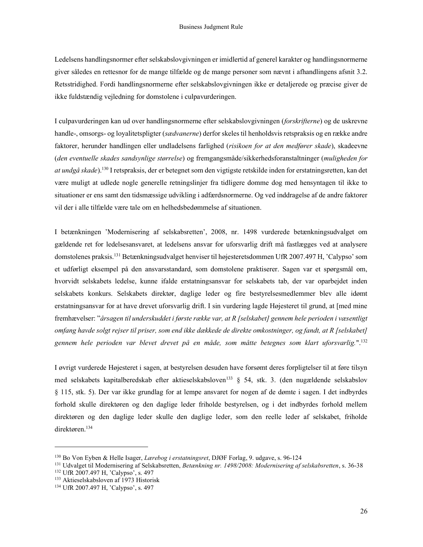Ledelsens handlingsnormer efter selskabslovgivningen er imidlertid af generel karakter og handlingsnormerne giver således en rettesnor for de mange tilfælde og de mange personer som nævnt i afhandlingens afsnit 3.2. Retsstridighed. Fordi handlingsnormerne efter selskabslovgivningen ikke er detaljerede og præcise giver de ikke fuldstændig vejledning for domstolene i culpavurderingen.

I culpavurderingen kan ud over handlingsnormerne efter selskabslovgivningen (forskrifterne) og de uskrevne handle-, omsorgs- og loyalitetspligter (sædvanerne) derfor skeles til henholdsvis retspraksis og en række andre faktorer, herunder handlingen eller undladelsens farlighed (risikoen for at den medfører skade), skadeevne (den eventuelle skades sandsynlige størrelse) og fremgangsmåde/sikkerhedsforanstaltninger (muligheden for at undgå skade).<sup>130</sup> I retspraksis, der er betegnet som den vigtigste retskilde inden for erstatningsretten, kan det være muligt at udlede nogle generelle retningslinjer fra tidligere domme dog med hensyntagen til ikke to situationer er ens samt den tidsmæssige udvikling i adfærdsnormerne. Og ved inddragelse af de andre faktorer vil der i alle tilfælde være tale om en helhedsbedømmelse af situationen.

I betænkningen 'Modernisering af selskabsretten', 2008, nr. 1498 vurderede betænkningsudvalget om gældende ret for ledelsesansvaret, at ledelsens ansvar for uforsvarlig drift må fastlægges ved at analysere domstolenes praksis.<sup>131</sup> Betænkningsudvalget henviser til højesteretsdommen UfR 2007.497 H, 'Calypso' som et udførligt eksempel på den ansvarsstandard, som domstolene praktiserer. Sagen var et spørgsmål om, hvorvidt selskabets ledelse, kunne ifalde erstatningsansvar for selskabets tab, der var oparbejdet inden selskabets konkurs. Selskabets direktør, daglige leder og fire bestyrelsesmedlemmer blev alle idømt erstatningsansvar for at have drevet uforsvarlig drift. I sin vurdering lagde Højesteret til grund, at [med mine fremhævelser: "årsagen til underskuddet i første række var, at R [selskabet] gennem hele perioden i væsentligt omfang havde solgt rejser til priser, som end ikke dækkede de direkte omkostninger, og fandt, at R [selskabet] gennem hele perioden var blevet drevet på en måde, som måtte betegnes som klart uforsvarlig.".<sup>132</sup>

I øvrigt vurderede Højesteret i sagen, at bestyrelsen desuden have forsømt deres forpligtelser til at føre tilsyn med selskabets kapitalberedskab efter aktieselskabsloven<sup>133</sup> § 54, stk. 3. (den nugældende selskabslov § 115, stk. 5). Der var ikke grundlag for at lempe ansvaret for nogen af de dømte i sagen. I det indbyrdes forhold skulle direktøren og den daglige leder friholde bestyrelsen, og i det indbyrdes forhold mellem direktøren og den daglige leder skulle den daglige leder, som den reelle leder af selskabet, friholde direktøren.<sup>134</sup>

<sup>&</sup>lt;sup>130</sup> Bo Von Eyben & Helle Isager, *Lærebog i erstatningsret*, DJØF Forlag, 9. udgave, s. 96-124

<sup>131</sup> Udvalget til Modernisering af Selskabsretten, Betænkning nr. 1498/2008: Modernisering af selskabsretten, s. 36-38

<sup>132</sup> UfR 2007.497 H, 'Calypso', s. 497

<sup>133</sup> Aktieselskabsloven af 1973 Historisk

<sup>134</sup> UfR 2007.497 H, 'Calypso', s. 497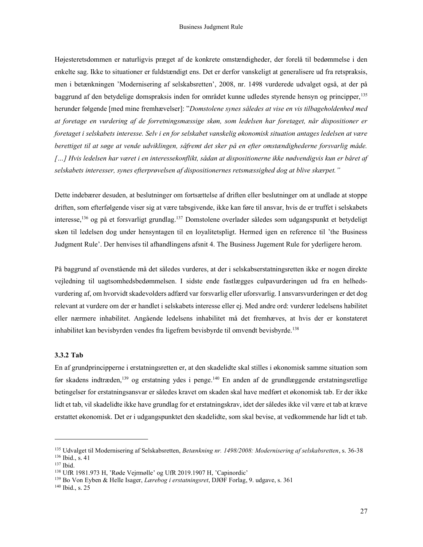Højesteretsdommen er naturligvis præget af de konkrete omstændigheder, der forelå til bedømmelse i den enkelte sag. Ikke to situationer er fuldstændigt ens. Det er derfor vanskeligt at generalisere ud fra retspraksis, men i betænkningen 'Modernisering af selskabsretten', 2008, nr. 1498 vurderede udvalget også, at der på baggrund af den betydelige domspraksis inden for området kunne udledes styrende hensyn og principper,<sup>135</sup> herunder følgende [med mine fremhævelser]: "Domstolene synes således at vise en vis tilbageholdenhed med at foretage en vurdering af de forretningsmæssige skøn, som ledelsen har foretaget, når dispositioner er foretaget i selskabets interesse. Selv i en for selskabet vanskelig økonomisk situation antages ledelsen at være berettiget til at søge at vende udviklingen, såfremt det sker på en efter omstændighederne forsvarlig måde. […] Hvis ledelsen har været i en interessekonflikt, sådan at dispositionerne ikke nødvendigvis kun er båret af selskabets interesser, synes efterprøvelsen af dispositionernes retsmæssighed dog at blive skærpet."

Dette indebærer desuden, at beslutninger om fortsættelse af driften eller beslutninger om at undlade at stoppe driften, som efterfølgende viser sig at være tabsgivende, ikke kan føre til ansvar, hvis de er truffet i selskabets interesse,<sup>136</sup> og på et forsvarligt grundlag.<sup>137</sup> Domstolene overlader således som udgangspunkt et betydeligt skøn til ledelsen dog under hensyntagen til en loyalitetspligt. Hermed igen en reference til 'the Business Judgment Rule'. Der henvises til afhandlingens afsnit 4. The Business Jugement Rule for yderligere herom.

På baggrund af ovenstående må det således vurderes, at der i selskabserstatningsretten ikke er nogen direkte vejledning til uagtsomhedsbedømmelsen. I sidste ende fastlægges culpavurderingen ud fra en helhedsvurdering af, om hvorvidt skadevolders adfærd var forsvarlig eller uforsvarlig. I ansvarsvurderingen er det dog relevant at vurdere om der er handlet i selskabets interesse eller ej. Med andre ord: vurderer ledelsens habilitet eller nærmere inhabilitet. Angående ledelsens inhabilitet må det fremhæves, at hvis der er konstateret inhabilitet kan bevisbyrden vendes fra ligefrem bevisbyrde til omvendt bevisbyrde.<sup>138</sup>

#### 3.3.2 Tab

En af grundprincipperne i erstatningsretten er, at den skadelidte skal stilles i økonomisk samme situation som før skadens indtræden,<sup>139</sup> og erstatning ydes i penge.<sup>140</sup> En anden af de grundlæggende erstatningsretlige betingelser for erstatningsansvar er således kravet om skaden skal have medført et økonomisk tab. Er der ikke lidt et tab, vil skadelidte ikke have grundlag for et erstatningskrav, idet der således ikke vil være et tab at kræve erstattet økonomisk. Det er i udgangspunktet den skadelidte, som skal bevise, at vedkommende har lidt et tab.

<sup>&</sup>lt;sup>135</sup> Udvalget til Modernisering af Selskabsretten, Betænkning nr. 1498/2008: Modernisering af selskabsretten, s. 36-38 <sup>136</sup> Ibid., s. 41

<sup>137</sup> Ibid.

<sup>138</sup> UfR 1981.973 H, 'Røde Vejrmølle' og UfR 2019.1907 H, 'Capinordic'

<sup>&</sup>lt;sup>139</sup> Bo Von Eyben & Helle Isager, *Lærebog i erstatningsret*, DJØF Forlag, 9. udgave, s. 361

<sup>140</sup> Ibid., s. 25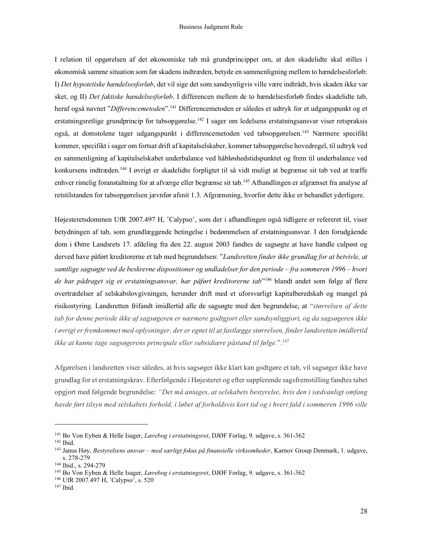I relation til opgørelsen af det økonomiske tab må grundprincippet om, at den skadelidte skal stilles i økonomisk samme situation som før skadens indtræden, betyde en sammenligning mellem to hændelsesforløb: I) Det hypotetiske hændelsesforløb, det vil sige det som sandsynligvis ville være indtrådt, hvis skaden ikke var sket, og II) Det faktiske hændelsesforløb. I differencen mellem de to hændelsesforløb findes skadelidte tab, heraf også navnet "Differencemetoden".<sup>141</sup> Differencemetoden er således et udtryk for et udgangspunkt og et erstatningsretlige grundprincip for tabsopgørelse.<sup>142</sup> I sager om ledelsens erstatningsansvar viser retspraksis også, at domstolene tager udgangspunkt i differencemetoden ved tabsopgørelsen.<sup>143</sup> Nærmere specifikt kommer, specifikt i sager om fortsat drift af kapitalselskaber, kommer tabsopgørelse hovedregel, til udtryk ved en sammenligning af kapitalselskabet underbalance ved håbløshedstidspunktet og frem til underbalance ved konkursens indtræden.<sup>144</sup> I øvrigt er skadelidte forpligtet til så vidt muligt at begrænse sit tab ved at træffe enhver rimelig foranstaltning for at afværge eller begrænse sit tab.<sup>145</sup> Afhandlingen er afgrænset fra analyse af retstilstanden for tabsopgørelsen jævnfør afsnit 1.3. Afgrænsning, hvorfor dette ikke er behandlet yderligere.

Højesteretsdommen UfR 2007.497 H, 'Calypso', som der i afhandlingen også tidligere er refereret til, viser betydningen af tab, som grundlæggende betingelse i bedømmelsen af erstatningsansvar. I den forudgående dom i Østre Landsrets 17. afdeling fra den 22. august 2003 fandtes de sagsøgte at have handle culpøst og derved have påført kreditorerne et tab med begrundelsen: "Landsretten finder ikke grundlag for at betvivle, at samtlige sagsøgte ved de beskrevne dispositioner og undladelser for den periode – fra sommeren 1996 – hvori de har pådraget sig et erstatningsansvar, har påført kreditorerne tab<sup>1146</sup> blandt andet som følge af flere overtrædelser af selskabslovgivningen, herunder drift med et uforsvarligt kapitalberedskab og mangel på risikostyring. Landsretten frifandt imidlertid alle de sagsøgte med den begrundelse, at "størrelsen af dette tab for denne periode ikke af sagsøgeren er nærmere godtgjort eller sandsynliggjort, og da sagsøgeren ikke i øvrigt er fremkommet med oplysninger, der er egnet til at fastlægge størrelsen, finder landsretten imidlertid ikke at kunne tage sagsøgerens principale eller subsidiære påstand til følge.".<sup>147</sup>

Afgørelsen i landsretten viser således, at hvis sagsøger ikke klart kan godtgøre et tab, vil sagsøger ikke have grundlag for et erstatningskrav. Efterfølgende i Højesteret og efter supplerende sagsfremstilling fandtes tabet opgjort med følgende begrundelse: "Det må antages, at selskabets bestyrelse, hvis den i sædvanligt omfang havde ført tilsyn med selskabets forhold, i løbet af forholdsvis kort tid og i hvert fald i sommeren 1996 ville

<sup>&</sup>lt;sup>141</sup> Bo Von Eyben & Helle Isager, Lærebog i erstatningsret, DJØF Forlag, 9. udgave, s. 361-362

<sup>142</sup> Ibid.

<sup>&</sup>lt;sup>143</sup> Janus Høy, Bestyrelsens ansvar – med særligt fokus på finansielle virksomheder, Karnov Group Denmark, 1. udgave, s. 278-279

<sup>144</sup> Ibid., s. 294-279

<sup>&</sup>lt;sup>145</sup> Bo Von Eyben & Helle Isager, *Lærebog i erstatningsret*, DJØF Forlag, 9. udgave, s. 361-362

<sup>146</sup> UfR 2007.497 H, 'Calypso', s. 520

<sup>147</sup> Ibid.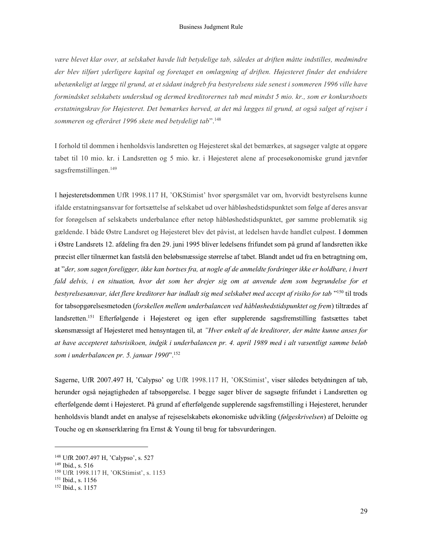være blevet klar over, at selskabet havde lidt betydelige tab, således at driften måtte indstilles, medmindre der blev tilført yderligere kapital og foretaget en omlægning af driften. Højesteret finder det endvidere ubetænkeligt at lægge til grund, at et sådant indgreb fra bestyrelsens side senest i sommeren 1996 ville have formindsket selskabets underskud og dermed kreditorernes tab med mindst 5 mio. kr., som er konkursboets erstatningskrav for Højesteret. Det bemærkes herved, at det må lægges til grund, at også salget af rejser i sommeren og efteråret 1996 skete med betydeligt tab".<sup>148</sup>

I forhold til dommen i henholdsvis landsretten og Højesteret skal det bemærkes, at sagsøger valgte at opgøre tabet til 10 mio. kr. i Landsretten og 5 mio. kr. i Højesteret alene af procesøkonomiske grund jævnfør sagsfremstillingen.<sup>149</sup>

I højesteretsdommen UfR 1998.117 H, 'OKStimist' hvor spørgsmålet var om, hvorvidt bestyrelsens kunne ifalde erstatningsansvar for fortsættelse af selskabet ud over håbløshedstidspunktet som følge af deres ansvar for forøgelsen af selskabets underbalance efter netop håbløshedstidspunktet, gør samme problematik sig gældende. I både Østre Landsret og Højesteret blev det påvist, at ledelsen havde handlet culpøst. I dommen i Østre Landsrets 12. afdeling fra den 29. juni 1995 bliver ledelsens frifundet som på grund af landsretten ikke præcist eller tilnærmet kan fastslå den beløbsmæssige størrelse af tabet. Blandt andet ud fra en betragtning om, at "der, som sagen foreligger, ikke kan bortses fra, at nogle af de anmeldte fordringer ikke er holdbare, i hvert fald delvis, i en situation, hvor det som her drejer sig om at anvende dem som begrundelse for et bestyrelsesansvar, idet flere kreditorer har indladt sig med selskabet med accept af risiko for tab "<sup>150</sup> til trods for tabsopgørelsesmetoden (forskellen mellem underbalancen ved håbløshedstidspunktet og frem) tiltrædes af landsretten.<sup>151</sup> Efterfølgende i Højesteret og igen efter supplerende sagsfremstilling fastsættes tabet skønsmæssigt af Højesteret med hensyntagen til, at "Hver enkelt af de kreditorer, der måtte kunne anses for at have accepteret tabsrisikoen, indgik i underbalancen pr. 4. april 1989 med i alt væsentligt samme beløb som i underbalancen pr. 5. januar 1990".<sup>152</sup>

Sagerne, UfR 2007.497 H, 'Calypso' og UfR 1998.117 H, 'OKStimist', viser således betydningen af tab, herunder også nøjagtigheden af tabsopgørelse. I begge sager bliver de sagsøgte frifundet i Landsretten og efterfølgende dømt i Højesteret. På grund af efterfølgende supplerende sagsfremstilling i Højesteret, herunder henholdsvis blandt andet en analyse af rejseselskabets økonomiske udvikling (følgeskrivelsen) af Deloitte og Touche og en skønserklæring fra Ernst & Young til brug for tabsvurderingen.

<sup>148</sup> UfR 2007.497 H, 'Calypso', s. 527

<sup>149</sup> Ibid., s. 516

<sup>150</sup> UfR 1998.117 H, 'OKStimist', s. 1153

<sup>151</sup> Ibid., s. 1156

<sup>152</sup> Ibid., s. 1157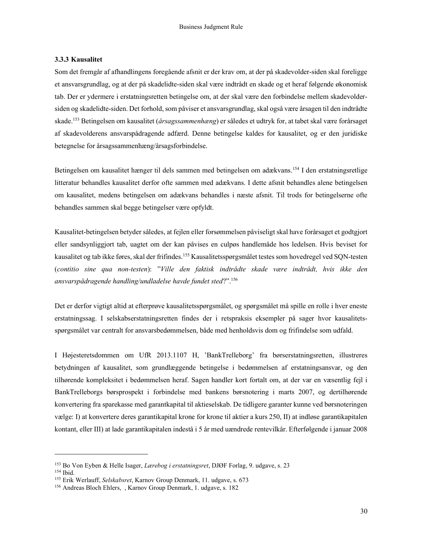#### 3.3.3 Kausalitet

Som det fremgår af afhandlingens foregående afsnit er der krav om, at der på skadevolder-siden skal foreligge et ansvarsgrundlag, og at der på skadelidte-siden skal være indtrådt en skade og et heraf følgende økonomisk tab. Der er ydermere i erstatningsretten betingelse om, at der skal være den forbindelse mellem skadevoldersiden og skadelidte-siden. Det forhold, som påviser et ansvarsgrundlag, skal også være årsagen til den indtrådte skade.<sup>153</sup> Betingelsen om kausalitet (årsagssammenhæng) er således et udtryk for, at tabet skal være forårsaget af skadevolderens ansvarspådragende adfærd. Denne betingelse kaldes for kausalitet, og er den juridiske betegnelse for årsagssammenhæng/årsagsforbindelse.

Betingelsen om kausalitet hænger til dels sammen med betingelsen om adækvans.<sup>154</sup> I den erstatningsretlige litteratur behandles kausalitet derfor ofte sammen med adækvans. I dette afsnit behandles alene betingelsen om kausalitet, medens betingelsen om adækvans behandles i næste afsnit. Til trods for betingelserne ofte behandles sammen skal begge betingelser være opfyldt.

Kausalitet-betingelsen betyder således, at fejlen eller forsømmelsen påviseligt skal have forårsaget et godtgjort eller sandsynliggjort tab, uagtet om der kan påvises en culpøs handlemåde hos ledelsen. Hvis beviset for kausalitet og tab ikke føres, skal der frifindes.<sup>155</sup> Kausalitetsspørgsmålet testes som hovedregel ved SQN-testen (contitio sine qua non-testen): "Ville den faktisk indtrådte skade være indtrådt, hvis ikke den ansvarspådragende handling/undladelse havde fundet sted?".<sup>156</sup>

Det er derfor vigtigt altid at efterprøve kausalitetsspørgsmålet, og spørgsmålet må spille en rolle i hver eneste erstatningssag. I selskabserstatningsretten findes der i retspraksis eksempler på sager hvor kausalitetsspørgsmålet var centralt for ansvarsbedømmelsen, både med henholdsvis dom og frifindelse som udfald.

I Højesteretsdommen om UfR 2013.1107 H, 'BankTrelleborg' fra børserstatningsretten, illustreres betydningen af kausalitet, som grundlæggende betingelse i bedømmelsen af erstatningsansvar, og den tilhørende kompleksitet i bedømmelsen heraf. Sagen handler kort fortalt om, at der var en væsentlig fejl i BankTrelleborgs børsprospekt i forbindelse med bankens børsnotering i marts 2007, og dertilhørende konvertering fra sparekasse med garantkapital til aktieselskab. De tidligere garanter kunne ved børsnoteringen vælge: I) at konvertere deres garantikapital krone for krone til aktier a kurs 250, II) at indløse garantikapitalen kontant, eller III) at lade garantikapitalen indestå i 5 år med uændrede rentevilkår. Efterfølgende i januar 2008

<sup>153</sup> Bo Von Eyben & Helle Isager, Lærebog i erstatningsret, DJØF Forlag, 9. udgave, s. 23

<sup>154</sup> Ibid.

<sup>&</sup>lt;sup>155</sup> Erik Werlauff, Selskabsret, Karnov Group Denmark, 11. udgave, s. 673

<sup>156</sup> Andreas Bloch Ehlers, , Karnov Group Denmark, 1. udgave, s. 182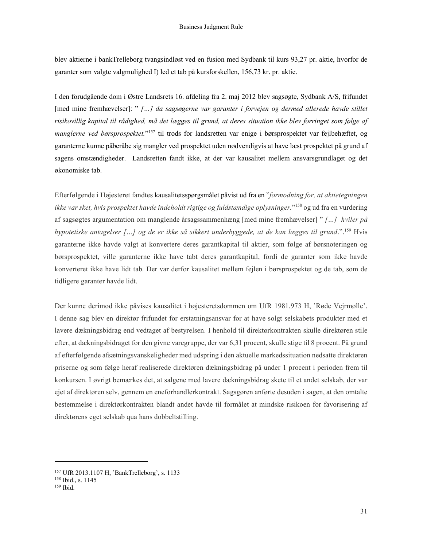blev aktierne i bankTrelleborg tvangsindløst ved en fusion med Sydbank til kurs 93,27 pr. aktie, hvorfor de garanter som valgte valgmulighed I) led et tab på kursforskellen, 156,73 kr. pr. aktie.

I den forudgående dom i Østre Landsrets 16. afdeling fra 2. maj 2012 blev sagsøgte, Sydbank A/S, frifundet [med mine fremhævelser]: " […] da sagsøgerne var garanter i forvejen og dermed allerede havde stillet risikovillig kapital til rådighed, må det lægges til grund, at deres situation ikke blev forringet som følge af manglerne ved børsprospektet."<sup>157</sup> til trods for landsretten var enige i børsprospektet var fejlbehæftet, og garanterne kunne påberåbe sig mangler ved prospektet uden nødvendigvis at have læst prospektet på grund af sagens omstændigheder. Landsretten fandt ikke, at der var kausalitet mellem ansvarsgrundlaget og det økonomiske tab.

Efterfølgende i Højesteret fandtes kausalitetsspørgsmålet påvist ud fra en "formodning for, at aktietegningen ikke var sket, hvis prospektet havde indeholdt rigtige og fuldstændige oplysninger."<sup>158</sup> og ud fra en vurdering af sagsøgtes argumentation om manglende årsagssammenhæng [med mine fremhævelser] " […] hviler på hypotetiske antagelser […] og de er ikke så sikkert underbyggede, at de kan lægges til grund.".<sup>159</sup> Hvis garanterne ikke havde valgt at konvertere deres garantkapital til aktier, som følge af børsnoteringen og børsprospektet, ville garanterne ikke have tabt deres garantkapital, fordi de garanter som ikke havde konverteret ikke have lidt tab. Der var derfor kausalitet mellem fejlen i børsprospektet og de tab, som de tidligere garanter havde lidt.

Der kunne derimod ikke påvises kausalitet i højesteretsdommen om UfR 1981.973 H, 'Røde Vejrmølle'. I denne sag blev en direktør frifundet for erstatningsansvar for at have solgt selskabets produkter med et lavere dækningsbidrag end vedtaget af bestyrelsen. I henhold til direktørkontrakten skulle direktøren stile efter, at dækningsbidraget for den givne varegruppe, der var 6,31 procent, skulle stige til 8 procent. På grund af efterfølgende afsætningsvanskeligheder med udspring i den aktuelle markedssituation nedsatte direktøren priserne og som følge heraf realiserede direktøren dækningsbidrag på under 1 procent i perioden frem til konkursen. I øvrigt bemærkes det, at salgene med lavere dækningsbidrag skete til et andet selskab, der var ejet af direktøren selv, gennem en eneforhandlerkontrakt. Sagsgøren anførte desuden i sagen, at den omtalte bestemmelse i direktørkontrakten blandt andet havde til formålet at mindske risikoen for favorisering af direktørens eget selskab qua hans dobbeltstilling.

<sup>157</sup> UfR 2013.1107 H, 'BankTrelleborg', s. 1133

<sup>158</sup> Ibid., s. 1145

<sup>&</sup>lt;sup>159</sup> Ibid.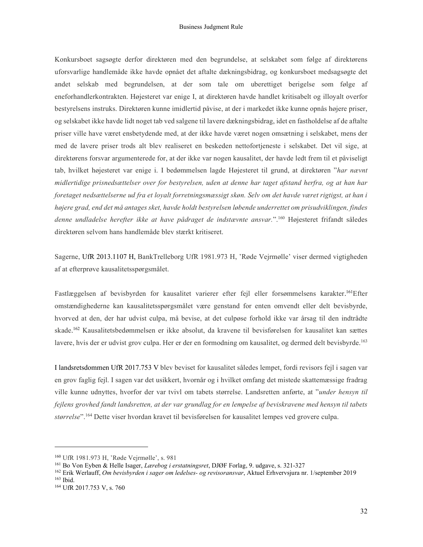Konkursboet sagsøgte derfor direktøren med den begrundelse, at selskabet som følge af direktørens uforsvarlige handlemåde ikke havde opnået det aftalte dækningsbidrag, og konkursboet medsagsøgte det andet selskab med begrundelsen, at der som tale om uberettiget berigelse som følge af eneforhandlerkontrakten. Højesteret var enige I, at direktøren havde handlet kritisabelt og illoyalt overfor bestyrelsens instruks. Direktøren kunne imidlertid påvise, at der i markedet ikke kunne opnås højere priser, og selskabet ikke havde lidt noget tab ved salgene til lavere dækningsbidrag, idet en fastholdelse af de aftalte priser ville have været ensbetydende med, at der ikke havde været nogen omsætning i selskabet, mens der med de lavere priser trods alt blev realiseret en beskeden nettofortjeneste i selskabet. Det vil sige, at direktørens forsvar argumenterede for, at der ikke var nogen kausalitet, der havde ledt frem til et påviseligt tab, hvilket højesteret var enige i. I bedømmelsen lagde Højesteret til grund, at direktøren "har nævnt midlertidige prisnedsættelser over for bestyrelsen, uden at denne har taget afstand herfra, og at han har foretaget nedsættelserne ud fra et loyalt forretningsmæssigt skøn. Selv om det havde været rigtigst, at han i højere grad, end det må antages sket, havde holdt bestyrelsen løbende underrettet om prisudviklingen, findes denne undladelse herefter ikke at have pådraget de indstævnte ansvar.".<sup>160</sup> Højesteret frifandt således direktøren selvom hans handlemåde blev stærkt kritiseret.

Sagerne, UfR 2013.1107 H, BankTrelleborg UfR 1981.973 H, 'Røde Vejrmølle' viser dermed vigtigheden af at efterprøve kausalitetsspørgsmålet.

Fastlæggelsen af bevisbyrden for kausalitet varierer efter fejl eller forsømmelsens karakter. <sup>161</sup>Efter omstændighederne kan kausalitetsspørgsmålet være genstand for enten omvendt eller delt bevisbyrde, hvorved at den, der har udvist culpa, må bevise, at det culpøse forhold ikke var årsag til den indtrådte skade. <sup>162</sup> Kausalitetsbedømmelsen er ikke absolut, da kravene til bevisførelsen for kausalitet kan sættes lavere, hvis der er udvist grov culpa. Her er der en formodning om kausalitet, og dermed delt bevisbyrde.<sup>163</sup>

I landsretsdommen UfR 2017.753 V blev beviset for kausalitet således lempet, fordi revisors fejl i sagen var en grov faglig fejl. I sagen var det usikkert, hvornår og i hvilket omfang det mistede skattemæssige fradrag ville kunne udnyttes, hvorfor der var tvivl om tabets størrelse. Landsretten anførte, at "under hensyn til fejlens grovhed fandt landsretten, at der var grundlag for en lempelse af beviskravene med hensyn til tabets størrelse".<sup>164</sup> Dette viser hvordan kravet til bevisførelsen for kausalitet lempes ved grovere culpa.

<sup>160</sup> UfR 1981.973 H, 'Røde Vejrmølle', s. 981

<sup>&</sup>lt;sup>161</sup> Bo Von Eyben & Helle Isager, *Lærebog i erstatningsret*, DJØF Forlag, 9. udgave, s. 321-327

<sup>&</sup>lt;sup>162</sup> Erik Werlauff, Om bevisbyrden i sager om ledelses- og revisoransvar, Aktuel Erhvervsjura nr. 1/september 2019 <sup>163</sup> Ibid.

<sup>164</sup> UfR 2017.753 V, s. 760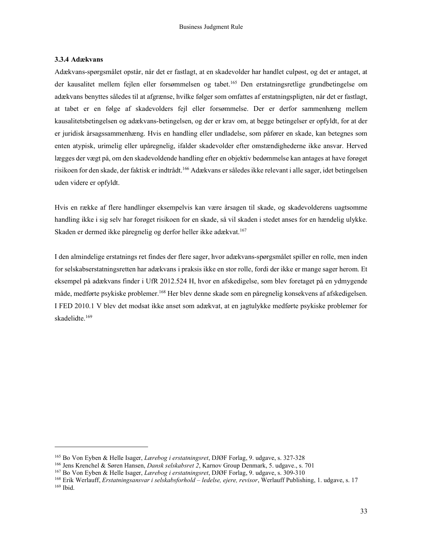#### 3.3.4 Adækvans

Adækvans-spørgsmålet opstår, når det er fastlagt, at en skadevolder har handlet culpøst, og det er antaget, at der kausalitet mellem fejlen eller forsømmelsen og tabet.<sup>165</sup> Den erstatningsretlige grundbetingelse om adækvans benyttes således til at afgrænse, hvilke følger som omfattes af erstatningspligten, når det er fastlagt, at tabet er en følge af skadevolders fejl eller forsømmelse. Der er derfor sammenhæng mellem kausalitetsbetingelsen og adækvans-betingelsen, og der er krav om, at begge betingelser er opfyldt, for at der er juridisk årsagssammenhæng. Hvis en handling eller undladelse, som påfører en skade, kan betegnes som enten atypisk, urimelig eller upåregnelig, ifalder skadevolder efter omstændighederne ikke ansvar. Herved lægges der vægt på, om den skadevoldende handling efter en objektiv bedømmelse kan antages at have forøget risikoen for den skade, der faktisk er indtrådt.<sup>166</sup> Adækvans er således ikke relevant i alle sager, idet betingelsen uden videre er opfyldt.

Hvis en række af flere handlinger eksempelvis kan være årsagen til skade, og skadevolderens uagtsomme handling ikke i sig selv har forøget risikoen for en skade, så vil skaden i stedet anses for en hændelig ulykke. Skaden er dermed ikke påregnelig og derfor heller ikke adækvat.<sup>167</sup>

I den almindelige erstatnings ret findes der flere sager, hvor adækvans-spørgsmålet spiller en rolle, men inden for selskabserstatningsretten har adækvans i praksis ikke en stor rolle, fordi der ikke er mange sager herom. Et eksempel på adækvans finder i UfR 2012.524 H, hvor en afskedigelse, som blev foretaget på en ydmygende måde, medførte psykiske problemer.<sup>168</sup> Her blev denne skade som en påregnelig konsekvens af afskedigelsen. I FED 2010.1 V blev det modsat ikke anset som adækvat, at en jagtulykke medførte psykiske problemer for skadelidte.<sup>169</sup>

<sup>&</sup>lt;sup>165</sup> Bo Von Eyben & Helle Isager, *Lærebog i erstatningsret*, DJØF Forlag, 9. udgave, s. 327-328

<sup>166</sup> Jens Krenchel & Søren Hansen, Dansk selskabsret 2, Karnov Group Denmark, 5. udgave., s. 701

<sup>&</sup>lt;sup>167</sup> Bo Von Eyben & Helle Isager, *Lærebog i erstatningsret*, DJØF Forlag, 9. udgave, s. 309-310

<sup>&</sup>lt;sup>168</sup> Erik Werlauff, *Erstatningsansvar i selskabsforhold – ledelse, ejere, revisor*, Werlauff Publishing, 1. udgave, s. 17 169 Ibid.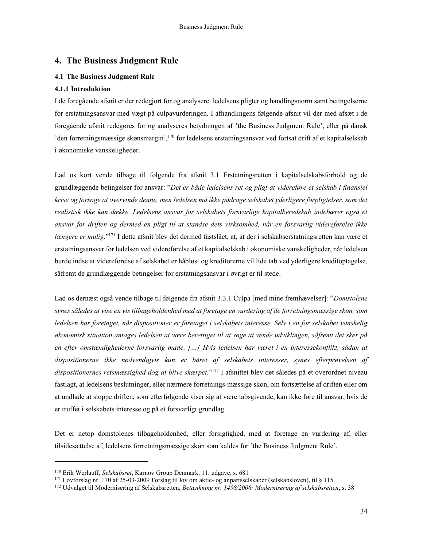# 4. The Business Judgment Rule

#### 4.1 The Business Judgment Rule

#### 4.1.1 Introduktion

I de foregående afsnit er der redegjort for og analyseret ledelsens pligter og handlingsnorm samt betingelserne for erstatningsansvar med vægt på culpavurderingen. I afhandlingens følgende afsnit vil der med afsæt i de foregående afsnit redegøres for og analyseres betydningen af 'the Business Judgment Rule', eller på dansk 'den forretningsmæssige skønsmargin',<sup>170</sup> for ledelsens erstatningsansvar ved fortsat drift af et kapitalselskab i økonomiske vanskeligheder.

Lad os kort vende tilbage til følgende fra afsnit 3.1 Erstatningsretten i kapitalselskabsforhold og de grundlæggende betingelser for ansvar: "Det er både ledelsens ret og pligt at videreføre et selskab i finansiel krise og forsøge at overvinde denne, men ledelsen må ikke pådrage selskabet yderligere forpligtelser, som det realistisk ikke kan dække. Ledelsens ansvar for selskabets forsvarlige kapitalberedskab indebærer også et ansvar for driften og dermed en pligt til at standse dets virksomhed, når en forsvarlig videreførelse ikke længere er mulig."<sup>171</sup> I dette afsnit blev det dermed fastslået, at, at der i selskabserstatningsretten kan være et erstatningsansvar for ledelsen ved videreførelse af et kapitalselskab i økonomiske vanskeligheder, når ledelsen burde indse at videreførelse af selskabet er håbløst og kreditorerne vil lide tab ved yderligere kreditoptagelse, såfremt de grundlæggende betingelser for erstatningsansvar i øvrigt er til stede.

Lad os dernæst også vende tilbage til følgende fra afsnit 3.3.1 Culpa [med mine fremhævelser]: "Domstolene synes således at vise en vis tilbageholdenhed med at foretage en vurdering af de forretningsmæssige skøn, som ledelsen har foretaget, når dispositioner er foretaget i selskabets interesse. Selv i en for selskabet vanskelig økonomisk situation antages ledelsen at være berettiget til at søge at vende udviklingen, såfremt det sker på en efter omstændighederne forsvarlig måde. […] Hvis ledelsen har været i en interessekonflikt, sådan at dispositionerne ikke nødvendigvis kun er båret af selskabets interesser, synes efterprøvelsen af dispositionernes retsmæssighed dog at blive skærpet."<sup>172</sup> I afsnittet blev det således på et overordnet niveau fastlagt, at ledelsens beslutninger, eller nærmere forretnings-mæssige skøn, om fortsættelse af driften eller om at undlade at stoppe driften, som efterfølgende viser sig at være tabsgivende, kan ikke føre til ansvar, hvis de er truffet i selskabets interesse og på et forsvarligt grundlag.

Det er netop domstolenes tilbageholdenhed, eller forsigtighed, med at foretage en vurdering af, eller tilsidesættelse af, ledelsens forretningsmæssige skøn som kaldes for 'the Business Judgment Rule'.

<sup>170</sup> Erik Werlauff, Selskabsret, Karnov Group Denmark, 11. udgave, s. 681

<sup>171</sup> Lovforslag nr. 170 af 25-03-2009 Forslag til lov om aktie- og anpartsselskaber (selskabsloven), til § 115

<sup>&</sup>lt;sup>172</sup> Udvalget til Modernisering af Selskabsretten, Betænkning nr. 1498/2008: Modernisering af selskabsretten, s. 38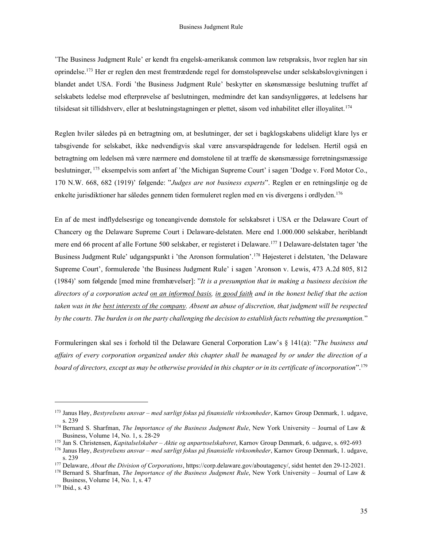'The Business Judgment Rule' er kendt fra engelsk-amerikansk common law retspraksis, hvor reglen har sin oprindelse.<sup>173</sup> Her er reglen den mest fremtrædende regel for domstolsprøvelse under selskabslovgivningen i blandet andet USA. Fordi 'the Business Judgment Rule' beskytter en skønsmæssige beslutning truffet af selskabets ledelse mod efterprøvelse af beslutningen, medmindre det kan sandsynliggøres, at ledelsens har tilsidesat sit tillidshverv, eller at beslutningstagningen er plettet, såsom ved inhabilitet eller illoyalitet.<sup>174</sup>

Reglen hviler således på en betragtning om, at beslutninger, der set i bagklogskabens ulideligt klare lys er tabsgivende for selskabet, ikke nødvendigvis skal være ansvarspådragende for ledelsen. Hertil også en betragtning om ledelsen må være nærmere end domstolene til at træffe de skønsmæssige forretningsmæssige beslutninger, <sup>175</sup> eksempelvis som anført af 'the Michigan Supreme Court' i sagen 'Dodge v. Ford Motor Co., 170 N.W. 668, 682 (1919)' følgende: "Judges are not business experts". Reglen er en retningslinje og de enkelte jurisdiktioner har således gennem tiden formuleret reglen med en vis divergens i ordlyden.<sup>176</sup>

En af de mest indflydelsesrige og toneangivende domstole for selskabsret i USA er the Delaware Court of Chancery og the Delaware Supreme Court i Delaware-delstaten. Mere end 1.000.000 selskaber, heriblandt mere end 66 procent af alle Fortune 500 selskaber, er registeret i Delaware.<sup>177</sup> I Delaware-delstaten tager 'the Business Judgment Rule' udgangspunkt i 'the Aronson formulation'.<sup>178</sup> Højesteret i delstaten, 'the Delaware Supreme Court', formulerede 'the Business Judgment Rule' i sagen 'Aronson v. Lewis, 473 A.2d 805, 812 (1984)' som følgende [med mine fremhævelser]: "It is a presumption that in making a business decision the directors of a corporation acted on an informed basis, in good faith and in the honest belief that the action taken was in the best interests of the company. Absent an abuse of discretion, that judgment will be respected by the courts. The burden is on the party challenging the decision to establish facts rebutting the presumption."

Formuleringen skal ses i forhold til the Delaware General Corporation Law's § 141(a): "The business and affairs of every corporation organized under this chapter shall be managed by or under the direction of a board of directors, except as may be otherwise provided in this chapter or in its certificate of incorporation".<sup>179</sup>

<sup>173</sup> Janus Høy, Bestyrelsens ansvar – med særligt fokus på finansielle virksomheder, Karnov Group Denmark, 1. udgave, s. 239

 $174$  Bernard S. Sharfman, The Importance of the Business Judgment Rule, New York University - Journal of Law & Business, Volume 14, No. 1, s. 28-29

<sup>&</sup>lt;sup>175</sup> Jan S. Christensen, *Kapitalselskaber – Aktie og anpartsselskabsret*, Karnov Group Denmark, 6. udgave, s. 692-693

<sup>&</sup>lt;sup>176</sup> Janus Høy, Bestyrelsens ansvar – med særligt fokus på finansielle virksomheder, Karnov Group Denmark, 1. udgave, s. 239

<sup>&</sup>lt;sup>177</sup> Delaware, *About the Division of Corporations*, https://corp.delaware.gov/aboutagency/, sidst hentet den 29-12-2021.

<sup>&</sup>lt;sup>178</sup> Bernard S. Sharfman, *The Importance of the Business Judgment Rule*, New York University – Journal of Law & Business, Volume 14, No. 1, s. 47

<sup>179</sup> Ibid., s. 43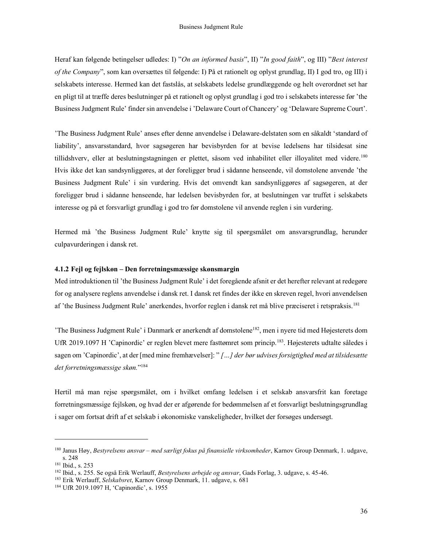Heraf kan følgende betingelser udledes: I) "On an informed basis", II) "In good faith", og III) "Best interest of the Company", som kan oversættes til følgende: I) På et rationelt og oplyst grundlag, II) I god tro, og III) i selskabets interesse. Hermed kan det fastslås, at selskabets ledelse grundlæggende og helt overordnet set har en pligt til at træffe deres beslutninger på et rationelt og oplyst grundlag i god tro i selskabets interesse før 'the Business Judgment Rule' finder sin anvendelse i 'Delaware Court of Chancery' og 'Delaware Supreme Court'.

'The Business Judgment Rule' anses efter denne anvendelse i Delaware-delstaten som en såkaldt 'standard of liability', ansvarsstandard, hvor sagsøgeren har bevisbyrden for at bevise ledelsens har tilsidesat sine tillidshverv, eller at beslutningstagningen er plettet, såsom ved inhabilitet eller illoyalitet med videre.<sup>180</sup> Hvis ikke det kan sandsynliggøres, at der foreligger brud i sådanne henseende, vil domstolene anvende 'the Business Judgment Rule' i sin vurdering. Hvis det omvendt kan sandsynliggøres af sagsøgeren, at der foreligger brud i sådanne henseende, har ledelsen bevisbyrden for, at beslutningen var truffet i selskabets interesse og på et forsvarligt grundlag i god tro før domstolene vil anvende reglen i sin vurdering.

Hermed må 'the Business Judgment Rule' knytte sig til spørgsmålet om ansvarsgrundlag, herunder culpavurderingen i dansk ret.

#### 4.1.2 Fejl og fejlskøn – Den forretningsmæssige skønsmargin

Med introduktionen til 'the Business Judgment Rule' i det foregående afsnit er det herefter relevant at redegøre for og analysere reglens anvendelse i dansk ret. I dansk ret findes der ikke en skreven regel, hvori anvendelsen af 'the Business Judgment Rule' anerkendes, hvorfor reglen i dansk ret må blive præciseret i retspraksis.<sup>181</sup>

'The Business Judgment Rule' i Danmark er anerkendt af domstolene<sup>182</sup>, men i nyere tid med Højesterets dom UfR 2019.1097 H 'Capinordic' er reglen blevet mere fasttømret som princip.<sup>183</sup>. Højesterets udtalte således i sagen om 'Capinordic', at der [med mine fremhævelser]: " [...] der bør udvises forsigtighed med at tilsidesætte det forretningsmæssige skøn." 184

Hertil må man rejse spørgsmålet, om i hvilket omfang ledelsen i et selskab ansvarsfrit kan foretage forretningsmæssige fejlskøn, og hvad der er afgørende for bedømmelsen af et forsvarligt beslutningsgrundlag i sager om fortsat drift af et selskab i økonomiske vanskeligheder, hvilket der forsøges undersøgt.

<sup>&</sup>lt;sup>180</sup> Janus Høy, Bestyrelsens ansvar – med særligt fokus på finansielle virksomheder, Karnov Group Denmark, 1. udgave, s. 248

<sup>181</sup> Ibid., s. 253

<sup>&</sup>lt;sup>182</sup> Ibid., s. 255. Se også Erik Werlauff, *Bestyrelsens arbejde og ansvar*, Gads Forlag, 3. udgave, s. 45-46.

<sup>183</sup> Erik Werlauff, Selskabsret, Karnov Group Denmark, 11. udgave, s. 681

<sup>184</sup> UfR 2019.1097 H, 'Capinordic', s. 1955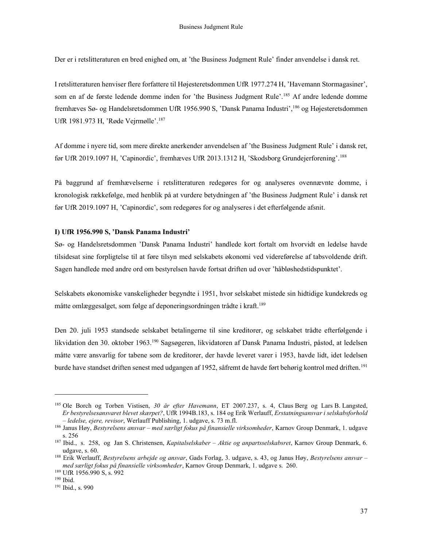Der er i retslitteraturen en bred enighed om, at 'the Business Judgment Rule' finder anvendelse i dansk ret.

I retslitteraturen henviser flere forfattere til Højesteretsdommen UfR 1977.274 H, 'Havemann Stormagasiner', som en af de første ledende domme inden for 'the Business Judgment Rule'.<sup>185</sup> Af andre ledende domme fremhæves Sø- og Handelsretsdommen UfR 1956.990 S, 'Dansk Panama Industri',<sup>186</sup> og Højesteretsdommen UfR 1981.973 H, 'Røde Vejrmølle'.<sup>187</sup>

Af domme i nyere tid, som mere direkte anerkender anvendelsen af 'the Business Judgment Rule' i dansk ret, før UfR 2019.1097 H, 'Capinordic', fremhæves UfR 2013.1312 H, 'Skodsborg Grundejerforening'.<sup>188</sup>

På baggrund af fremhævelserne i retslitteraturen redegøres for og analyseres ovennævnte domme, i kronologisk rækkefølge, med henblik på at vurdere betydningen af 'the Business Judgment Rule' i dansk ret før UfR 2019.1097 H, 'Capinordic', som redegøres for og analyseres i det efterfølgende afsnit.

#### I) UfR 1956.990 S, 'Dansk Panama Industri'

Sø- og Handelsretsdommen 'Dansk Panama Industri' handlede kort fortalt om hvorvidt en ledelse havde tilsidesat sine forpligtelse til at føre tilsyn med selskabets økonomi ved videreførelse af tabsvoldende drift. Sagen handlede med andre ord om bestyrelsen havde fortsat driften ud over 'håbløshedstidspunktet'.

Selskabets økonomiske vanskeligheder begyndte i 1951, hvor selskabet mistede sin hidtidige kundekreds og måtte omlæggesalget, som følge af deponeringsordningen trådte i kraft.<sup>189</sup>

Den 20. juli 1953 standsede selskabet betalingerne til sine kreditorer, og selskabet trådte efterfølgende i likvidation den 30. oktober 1963.<sup>190</sup> Sagsøgeren, likvidatoren af Dansk Panama Industri, påstod, at ledelsen måtte være ansvarlig for tabene som de kreditorer, der havde leveret varer i 1953, havde lidt, idet ledelsen burde have standset driften senest med udgangen af 1952, såfremt de havde ført behørig kontrol med driften.<sup>191</sup>

<sup>&</sup>lt;sup>185</sup> Ole Borch og Torben Vistisen, 30 år efter Havemann, ET 2007.237, s. 4, Claus Berg og Lars B. Langsted, <sup>185</sup> Er bestyrelsesansvaret blevet skærpet?, UfR 1994B.183, s. 184 og Erik Werlauff, Erstatningsansvar i selskabsforhold - ledelse, ejere, revisor, Werlauff Publishing, 1. udgave, s. 73 m.fl.

<sup>&</sup>lt;sup>186</sup> Janus Høy, Bestyrelsens ansvar – med særligt fokus på finansielle virksomheder, Karnov Group Denmark, 1. udgave s. 256

<sup>&</sup>lt;sup>187</sup> Ibid., s. 258, og Jan S. Christensen, Kapitalselskaber – Aktie og anpartsselskabsret, Karnov Group Denmark, 6. udgave, s. 60.

<sup>&</sup>lt;sup>188</sup> Erik Werlauff, Bestyrelsens arbejde og ansvar, Gads Forlag, 3. udgave, s. 43, og Janus Høy, Bestyrelsens ansvar – med særligt fokus på finansielle virksomheder, Karnov Group Denmark, 1. udgave s. 260.

<sup>189</sup> UfR 1956.990 S, s. 992

<sup>190</sup> Ibid.

<sup>191</sup> Ibid., s. 990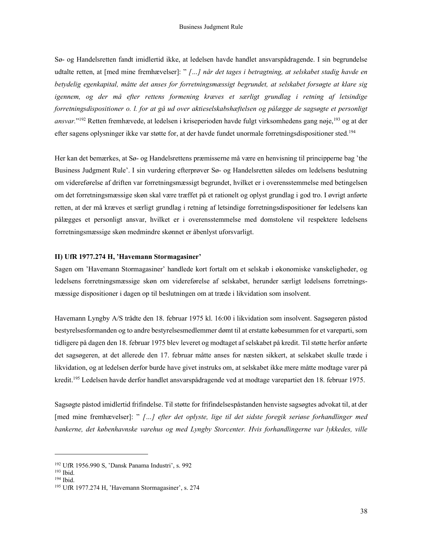Sø- og Handelsretten fandt imidlertid ikke, at ledelsen havde handlet ansvarspådragende. I sin begrundelse udtalte retten, at [med mine fremhævelser]: " [...] når det tages i betragtning, at selskabet stadig havde en betydelig egenkapital, måtte det anses for forretningsmæssigt begrundet, at selskabet forsøgte at klare sig igennem, og der må efter rettens formening kræves et særligt grundlag i retning af letsindige forretningsdispositioner o. l. for at gå ud over aktieselskabshæftelsen og pålægge de sagsøgte et personligt ansvar."<sup>192</sup> Retten fremhævede, at ledelsen i kriseperioden havde fulgt virksomhedens gang nøje,<sup>193</sup> og at der efter sagens oplysninger ikke var støtte for, at der havde fundet unormale forretningsdispositioner sted.<sup>194</sup>

Her kan det bemærkes, at Sø- og Handelsrettens præmisserne må være en henvisning til principperne bag 'the Business Judgment Rule'. I sin vurdering efterprøver Sø- og Handelsretten således om ledelsens beslutning om videreførelse af driften var forretningsmæssigt begrundet, hvilket er i overensstemmelse med betingelsen om det forretningsmæssige skøn skal være træffet på et rationelt og oplyst grundlag i god tro. I øvrigt anførte retten, at der må kræves et særligt grundlag i retning af letsindige forretningsdispositioner før ledelsens kan pålægges et personligt ansvar, hvilket er i overensstemmelse med domstolene vil respektere ledelsens forretningsmæssige skøn medmindre skønnet er åbenlyst uforsvarligt.

#### II) UfR 1977.274 H, 'Havemann Stormagasiner'

Sagen om 'Havemann Stormagasiner' handlede kort fortalt om et selskab i økonomiske vanskeligheder, og ledelsens forretningsmæssige skøn om videreførelse af selskabet, herunder særligt ledelsens forretningsmæssige dispositioner i dagen op til beslutningen om at træde i likvidation som insolvent.

Havemann Lyngby A/S trådte den 18. februar 1975 kl. 16:00 i likvidation som insolvent. Sagsøgeren påstod bestyrelsesformanden og to andre bestyrelsesmedlemmer dømt til at erstatte købesummen for et vareparti, som tidligere på dagen den 18. februar 1975 blev leveret og modtaget af selskabet på kredit. Til støtte herfor anførte det sagsøgeren, at det allerede den 17. februar måtte anses for næsten sikkert, at selskabet skulle træde i likvidation, og at ledelsen derfor burde have givet instruks om, at selskabet ikke mere måtte modtage varer på kredit.<sup>195</sup> Ledelsen havde derfor handlet ansvarspådragende ved at modtage varepartiet den 18. februar 1975.

Sagsøgte påstod imidlertid frifindelse. Til støtte for frifindelsespåstanden henviste sagsøgtes advokat til, at der [med mine fremhævelser]: " […] efter det oplyste, lige til det sidste foregik seriøse forhandlinger med bankerne, det københavnske varehus og med Lyngby Storcenter. Hvis forhandlingerne var lykkedes, ville

<sup>192</sup> UfR 1956.990 S, 'Dansk Panama Industri', s. 992

 $193$  Ibid.

<sup>194</sup> Ibid.

<sup>195</sup> UfR 1977.274 H, 'Havemann Stormagasiner', s. 274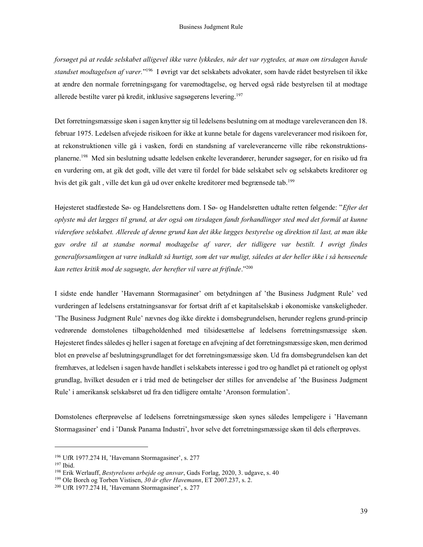forsøget på at redde selskabet alligevel ikke være lykkedes, når det var rygtedes, at man om tirsdagen havde standset modtagelsen af varer."<sup>196</sup> I øvrigt var det selskabets advokater, som havde rådet bestyrelsen til ikke at ændre den normale forretningsgang for varemodtagelse, og herved også råde bestyrelsen til at modtage allerede bestilte varer på kredit, inklusive sagsøgerens levering.<sup>197</sup>

Det forretningsmæssige skøn i sagen knytter sig til ledelsens beslutning om at modtage vareleverancen den 18. februar 1975. Ledelsen afvejede risikoen for ikke at kunne betale for dagens vareleverancer mod risikoen for, at rekonstruktionen ville gå i vasken, fordi en standsning af vareleverancerne ville råbe rekonstruktionsplanerne.<sup>198</sup> Med sin beslutning udsatte ledelsen enkelte leverandører, herunder sagsøger, for en risiko ud fra en vurdering om, at gik det godt, ville det være til fordel for både selskabet selv og selskabets kreditorer og hvis det gik galt, ville det kun gå ud over enkelte kreditorer med begrænsede tab.<sup>199</sup>

Højesteret stadfæstede Sø- og Handelsrettens dom. I Sø- og Handelsretten udtalte retten følgende: "Efter det oplyste må det lægges til grund, at der også om tirsdagen fandt forhandlinger sted med det formål at kunne videreføre selskabet. Allerede af denne grund kan det ikke lægges bestyrelse og direktion til last, at man ikke gav ordre til at standse normal modtagelse af varer, der tidligere var bestilt. I øvrigt findes generalforsamlingen at være indkaldt så hurtigt, som det var muligt, således at der heller ikke i så henseende kan rettes kritik mod de sagsøgte, der herefter vil være at frifinde." $^{200}$ 

I sidste ende handler 'Havemann Stormagasiner' om betydningen af 'the Business Judgment Rule' ved vurderingen af ledelsens erstatningsansvar for fortsat drift af et kapitalselskab i økonomiske vanskeligheder. 'The Business Judgment Rule' nævnes dog ikke direkte i domsbegrundelsen, herunder reglens grund-princip vedrørende domstolenes tilbageholdenhed med tilsidesættelse af ledelsens forretningsmæssige skøn. Højesteret findes således ej heller i sagen at foretage en afvejning af det forretningsmæssige skøn, men derimod blot en prøvelse af beslutningsgrundlaget for det forretningsmæssige skøn. Ud fra domsbegrundelsen kan det fremhæves, at ledelsen i sagen havde handlet i selskabets interesse i god tro og handlet på et rationelt og oplyst grundlag, hvilket desuden er i tråd med de betingelser der stilles for anvendelse af 'the Business Judgment Rule' i amerikansk selskabsret ud fra den tidligere omtalte 'Aronson formulation'.

Domstolenes efterprøvelse af ledelsens forretningsmæssige skøn synes således lempeligere i 'Havemann Stormagasiner' end i 'Dansk Panama Industri', hvor selve det forretningsmæssige skøn til dels efterprøves.

<sup>196</sup> UfR 1977.274 H, 'Havemann Stormagasiner', s. 277

<sup>197</sup> Ibid.

<sup>&</sup>lt;sup>198</sup> Erik Werlauff, Bestyrelsens arbejde og ansvar, Gads Forlag, 2020, 3. udgave, s. 40

<sup>&</sup>lt;sup>199</sup> Ole Borch og Torben Vistisen, 30 år efter Havemann, ET 2007.237, s. 2.

<sup>200</sup> UfR 1977.274 H, 'Havemann Stormagasiner', s. 277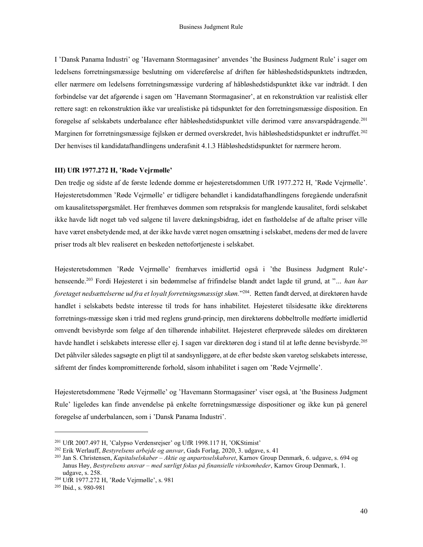I 'Dansk Panama Industri' og 'Havemann Stormagasiner' anvendes 'the Business Judgment Rule' i sager om ledelsens forretningsmæssige beslutning om videreførelse af driften før håbløshedstidspunktets indtræden, eller nærmere om ledelsens forretningsmæssige vurdering af håbløshedstidspunktet ikke var indtrådt. I den forbindelse var det afgørende i sagen om 'Havemann Stormagasiner', at en rekonstruktion var realistisk eller rettere sagt: en rekonstruktion ikke var urealistiske på tidspunktet for den forretningsmæssige disposition. En forøgelse af selskabets underbalance efter håbløshedstidspunktet ville derimod være ansvarspådragende.<sup>201</sup> Marginen for forretningsmæssige fejlskøn er dermed overskredet, hvis håbløshedstidspunktet er indtruffet.<sup>202</sup> Der henvises til kandidatafhandlingens underafsnit 4.1.3 Håbløshedstidspunktet for nærmere herom.

# III) UfR 1977.272 H, 'Røde Vejrmølle'

Den tredje og sidste af de første ledende domme er højesteretsdommen UfR 1977.272 H, 'Røde Vejrmølle'. Højesteretsdommen 'Røde Vejrmølle' er tidligere behandlet i kandidatafhandlingens foregående underafsnit om kausalitetsspørgsmålet. Her fremhæves dommen som retspraksis for manglende kausalitet, fordi selskabet ikke havde lidt noget tab ved salgene til lavere dækningsbidrag, idet en fastholdelse af de aftalte priser ville have været ensbetydende med, at der ikke havde været nogen omsætning i selskabet, medens der med de lavere priser trods alt blev realiseret en beskeden nettofortjeneste i selskabet.

Højesteretsdommen 'Røde Vejrmølle' fremhæves imidlertid også i 'the Business Judgment Rule' henseende.<sup>203</sup> Fordi Højesteret i sin bedømmelse af frifindelse blandt andet lagde til grund, at "... han har foretaget nedsættelserne ud fra et loyalt forretningsmæssigt skøn."<sup>204</sup>. Retten fandt derved, at direktøren havde handlet i selskabets bedste interesse til trods for hans inhabilitet. Højesteret tilsidesatte ikke direktørens forretnings-mæssige skøn i tråd med reglens grund-princip, men direktørens dobbeltrolle medførte imidlertid omvendt bevisbyrde som følge af den tilhørende inhabilitet. Højesteret efterprøvede således om direktøren havde handlet i selskabets interesse eller ej. I sagen var direktøren dog i stand til at løfte denne bevisbyrde.<sup>205</sup> Det påhviler således sagsøgte en pligt til at sandsynliggøre, at de efter bedste skøn varetog selskabets interesse, såfremt der findes kompromitterende forhold, såsom inhabilitet i sagen om 'Røde Vejrmølle'.

Højesteretsdommene 'Røde Vejrmølle' og 'Havemann Stormagasiner' viser også, at 'the Business Judgment Rule' ligeledes kan finde anvendelse på enkelte forretningsmæssige dispositioner og ikke kun på generel forøgelse af underbalancen, som i 'Dansk Panama Industri'.

<sup>201</sup> UfR 2007.497 H, 'Calypso Verdensrejser' og UfR 1998.117 H, 'OKStimist'

<sup>&</sup>lt;sup>202</sup> Erik Werlauff, Bestyrelsens arbejde og ansvar, Gads Forlag, 2020, 3. udgave, s. 41

<sup>&</sup>lt;sup>203</sup> Jan S. Christensen, *Kapitalselskaber – Aktie og anpartsselskabsret*, Karnov Group Denmark, 6. udgave, s. 694 og Janus Høy, Bestyrelsens ansvar – med særligt fokus på finansielle virksomheder, Karnov Group Denmark, 1. udgave, s. 258.

<sup>204</sup> UfR 1977.272 H, 'Røde Vejrmølle', s. 981

<sup>205</sup> Ibid., s. 980-981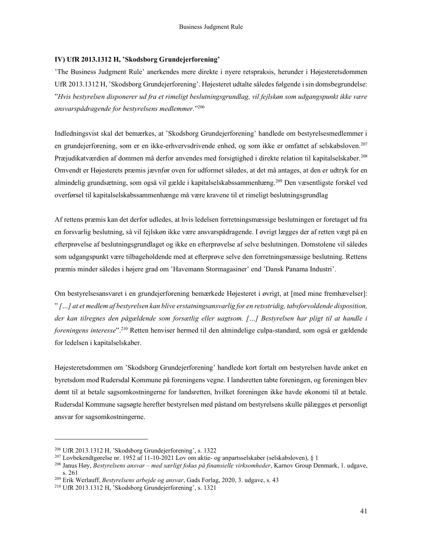#### IV) UfR 2013.1312 H, 'Skodsborg Grundejerforening'

'The Business Judgment Rule' anerkendes mere direkte i nyere retspraksis, herunder i Højesteretsdommen UfR 2013.1312 H, 'Skodsborg Grundejerforening'. Højesteret udtalte således følgende i sin domsbegrundelse: "Hvis bestyrelsen disponerer ud fra et rimeligt beslutningsgrundlag, vil fejlskøn som udgangspunkt ikke være ansvarspådragende for bestyrelsens medlemmer."<sup>206</sup>

Indledningsvist skal det bemærkes, at 'Skodsborg Grundejerforening' handlede om bestyrelsesmedlemmer i en grundejerforening, som er en ikke-erhvervsdrivende enhed, og som ikke er omfattet af selskabsloven.<sup>207</sup> Præjudikatværdien af dommen må derfor anvendes med forsigtighed i direkte relation til kapitalselskaber.<sup>208</sup> Omvendt er Højesterets præmis jævnfør oven for udformet således, at det må antages, at den er udtryk for en almindelig grundsætning, som også vil gælde i kapitalselskabssammenhæng.<sup>209</sup> Den væsentligste forskel ved overførsel til kapitalselskabssammenhænge må være kravene til et rimeligt beslutningsgrundlag

Af rettens præmis kan det derfor udledes, at hvis ledelsen forretningsmæssige beslutningen er foretaget ud fra en forsvarlig beslutning, så vil fejlskøn ikke være ansvarspådragende. I øvrigt lægges der af retten vægt på en efterprøvelse af beslutningsgrundlaget og ikke en efterprøvelse af selve beslutningen. Domstolene vil således som udgangspunkt være tilbageholdende med at efterprøve selve den forretningsmæssige beslutning. Rettens præmis minder således i højere grad om 'Havemann Stormagasiner' end 'Dansk Panama Industri'.

Om bestyrelsesansvaret i en grundejerforening bemærkede Højesteret i øvrigt, at [med mine fremhævelser]: " […] at et medlem af bestyrelsen kan blive erstatningsansvarlig for en retsstridig, tabsforvoldende disposition, der kan tilregnes den pågældende som forsætlig eller uagtsom. […] Bestyrelsen har pligt til at handle i foreningens interesse".<sup>210</sup> Retten henviser hermed til den almindelige culpa-standard, som også er gældende for ledelsen i kapitalselskaber.

Højesteretsdommen om 'Skodsborg Grundejerforening' handlede kort fortalt om bestyrelsen havde anket en byretsdom mod Rudersdal Kommune på foreningens vegne. I landsretten tabte foreningen, og foreningen blev dømt til at betale sagsomkostningerne for landsretten, hvilket foreningen ikke havde økonomi til at betale. Rudersdal Kommune sagsøgte herefter bestyrelsen med påstand om bestyrelsens skulle pålægges et personligt ansvar for sagsomkostningerne.

<sup>206</sup> UfR 2013.1312 H, 'Skodsborg Grundejerforening', s. 1322

<sup>&</sup>lt;sup>207</sup> Lovbekendtgørelse nr. 1952 af 11-10-2021 Lov om aktie- og anpartsselskaber (selskabsloven), § 1

<sup>&</sup>lt;sup>208</sup> Janus Høy, Bestyrelsens ansvar – med særligt fokus på finansielle virksomheder, Karnov Group Denmark, 1. udgave, s. 261

<sup>&</sup>lt;sup>209</sup> Erik Werlauff, Bestyrelsens arbejde og ansvar, Gads Forlag, 2020, 3. udgave, s. 43

<sup>210</sup> UfR 2013.1312 H, 'Skodsborg Grundejerforening', s. 1321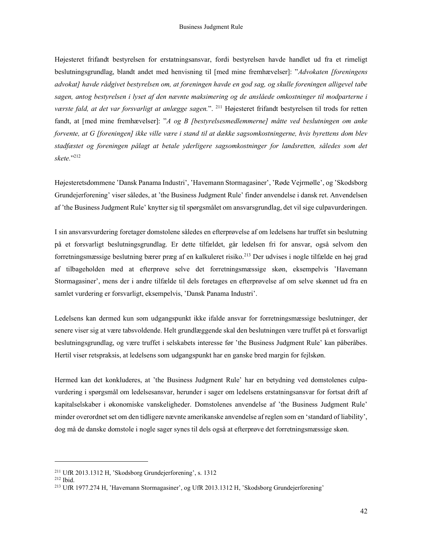Højesteret frifandt bestyrelsen for erstatningsansvar, fordi bestyrelsen havde handlet ud fra et rimeligt beslutningsgrundlag, blandt andet med henvisning til [med mine fremhævelser]: "Advokaten [foreningens advokat] havde rådgivet bestyrelsen om, at foreningen havde en god sag, og skulle foreningen alligevel tabe sagen, antog bestyrelsen i lyset af den nævnte maksimering og de anslåede omkostninger til modparterne i værste fald, at det var forsvarligt at anlægge sagen.". <sup>211</sup> Højesteret frifandt bestyrelsen til trods for retten fandt, at [med mine fremhævelser]: "A og B [bestyrelsesmedlemmerne] måtte ved beslutningen om anke forvente, at G [foreningen] ikke ville være i stand til at dække sagsomkostningerne, hvis byrettens dom blev stadfæstet og foreningen pålagt at betale yderligere sagsomkostninger for landsretten, således som det skete." 212

Højesteretsdommene 'Dansk Panama Industri', 'Havemann Stormagasiner', 'Røde Vejrmølle', og 'Skodsborg Grundejerforening' viser således, at 'the Business Judgment Rule' finder anvendelse i dansk ret. Anvendelsen af 'the Business Judgment Rule' knytter sig til spørgsmålet om ansvarsgrundlag, det vil sige culpavurderingen.

I sin ansvarsvurdering foretager domstolene således en efterprøvelse af om ledelsens har truffet sin beslutning på et forsvarligt beslutningsgrundlag. Er dette tilfældet, går ledelsen fri for ansvar, også selvom den forretningsmæssige beslutning bærer præg af en kalkuleret risiko.<sup>213</sup> Der udvises i nogle tilfælde en høj grad af tilbageholden med at efterprøve selve det forretningsmæssige skøn, eksempelvis 'Havemann Stormagasiner', mens der i andre tilfælde til dels foretages en efterprøvelse af om selve skønnet ud fra en samlet vurdering er forsvarligt, eksempelvis, 'Dansk Panama Industri'.

Ledelsens kan dermed kun som udgangspunkt ikke ifalde ansvar for forretningsmæssige beslutninger, der senere viser sig at være tabsvoldende. Helt grundlæggende skal den beslutningen være truffet på et forsvarligt beslutningsgrundlag, og være truffet i selskabets interesse før 'the Business Judgment Rule' kan påberåbes. Hertil viser retspraksis, at ledelsens som udgangspunkt har en ganske bred margin for fejlskøn.

Hermed kan det konkluderes, at 'the Business Judgment Rule' har en betydning ved domstolenes culpavurdering i spørgsmål om ledelsesansvar, herunder i sager om ledelsens erstatningsansvar for fortsat drift af kapitalselskaber i økonomiske vanskeligheder. Domstolenes anvendelse af 'the Business Judgment Rule' minder overordnet set om den tidligere nævnte amerikanske anvendelse af reglen som en 'standard of liability', dog må de danske domstole i nogle sager synes til dels også at efterprøve det forretningsmæssige skøn.

<sup>211</sup> UfR 2013.1312 H, 'Skodsborg Grundejerforening', s. 1312

<sup>212</sup> Ibid.

<sup>213</sup> UfR 1977.274 H, 'Havemann Stormagasiner', og UfR 2013.1312 H, 'Skodsborg Grundejerforening'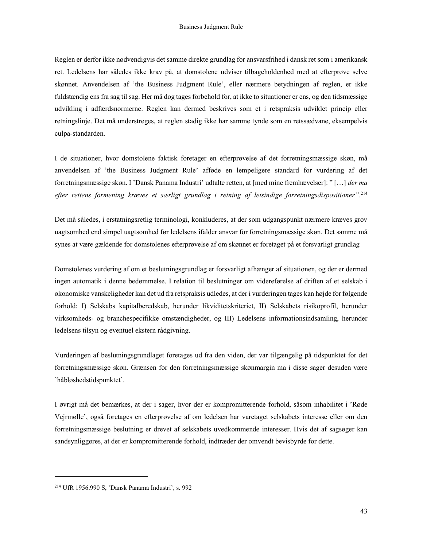Reglen er derfor ikke nødvendigvis det samme direkte grundlag for ansvarsfrihed i dansk ret som i amerikansk ret. Ledelsens har således ikke krav på, at domstolene udviser tilbageholdenhed med at efterprøve selve skønnet. Anvendelsen af 'the Business Judgment Rule', eller nærmere betydningen af reglen, er ikke fuldstændig ens fra sag til sag. Her må dog tages forbehold for, at ikke to situationer er ens, og den tidsmæssige udvikling i adfærdsnormerne. Reglen kan dermed beskrives som et i retspraksis udviklet princip eller retningslinje. Det må understreges, at reglen stadig ikke har samme tynde som en retssædvane, eksempelvis culpa-standarden.

I de situationer, hvor domstolene faktisk foretager en efterprøvelse af det forretningsmæssige skøn, må anvendelsen af 'the Business Judgment Rule' afføde en lempeligere standard for vurdering af det forretningsmæssige skøn. I 'Dansk Panama Industri' udtalte retten, at [med mine fremhævelser]: " [...] der må efter rettens formening kræves et særligt grundlag i retning af letsindige forretningsdispositioner".<sup>214</sup>

Det må således, i erstatningsretlig terminologi, konkluderes, at der som udgangspunkt nærmere kræves grov uagtsomhed end simpel uagtsomhed før ledelsens ifalder ansvar for forretningsmæssige skøn. Det samme må synes at være gældende for domstolenes efterprøvelse af om skønnet er foretaget på et forsvarligt grundlag

Domstolenes vurdering af om et beslutningsgrundlag er forsvarligt afhænger af situationen, og der er dermed ingen automatik i denne bedømmelse. I relation til beslutninger om videreførelse af driften af et selskab i økonomiske vanskeligheder kan det ud fra retspraksis udledes, at der i vurderingen tages kan højde for følgende forhold: I) Selskabs kapitalberedskab, herunder likviditetskriteriet, II) Selskabets risikoprofil, herunder virksomheds- og branchespecifikke omstændigheder, og III) Ledelsens informationsindsamling, herunder ledelsens tilsyn og eventuel ekstern rådgivning.

Vurderingen af beslutningsgrundlaget foretages ud fra den viden, der var tilgængelig på tidspunktet for det forretningsmæssige skøn. Grænsen for den forretningsmæssige skønmargin må i disse sager desuden være 'håbløshedstidspunktet'.

I øvrigt må det bemærkes, at der i sager, hvor der er kompromitterende forhold, såsom inhabilitet i 'Røde Vejrmølle', også foretages en efterprøvelse af om ledelsen har varetaget selskabets interesse eller om den forretningsmæssige beslutning er drevet af selskabets uvedkommende interesser. Hvis det af sagsøger kan sandsynliggøres, at der er kompromitterende forhold, indtræder der omvendt bevisbyrde for dette.

<sup>214</sup> UfR 1956.990 S, 'Dansk Panama Industri', s. 992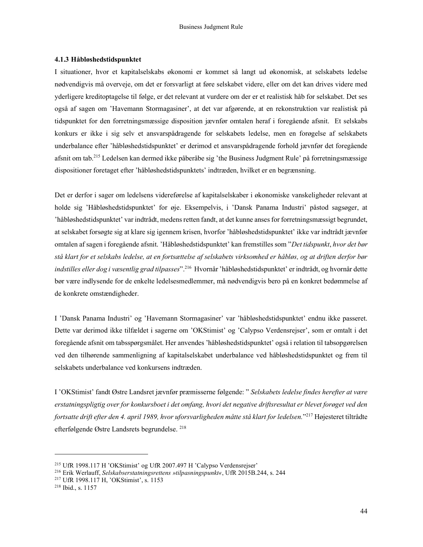#### 4.1.3 Håbløshedstidspunktet

I situationer, hvor et kapitalselskabs økonomi er kommet så langt ud økonomisk, at selskabets ledelse nødvendigvis må overveje, om det er forsvarligt at føre selskabet videre, eller om det kan drives videre med yderligere kreditoptagelse til følge, er det relevant at vurdere om der er et realistisk håb for selskabet. Det ses også af sagen om 'Havemann Stormagasiner', at det var afgørende, at en rekonstruktion var realistisk på tidspunktet for den forretningsmæssige disposition jævnfør omtalen heraf i foregående afsnit. Et selskabs konkurs er ikke i sig selv et ansvarspådragende for selskabets ledelse, men en forøgelse af selskabets underbalance efter 'håbløshedstidspunktet' er derimod et ansvarspådragende forhold jævnfør det foregående afsnit om tab.<sup>215</sup> Ledelsen kan dermed ikke påberåbe sig 'the Business Judgment Rule' på forretningsmæssige dispositioner foretaget efter 'håbløshedstidspunktets' indtræden, hvilket er en begrænsning.

Det er derfor i sager om ledelsens videreførelse af kapitalselskaber i økonomiske vanskeligheder relevant at holde sig 'Håbløshedstidspunktet' for øje. Eksempelvis, i 'Dansk Panama Industri' påstod sagsøger, at 'håbløshedstidspunktet' var indtrådt, medens retten fandt, at det kunne anses for forretningsmæssigt begrundet, at selskabet forsøgte sig at klare sig igennem krisen, hvorfor 'håbløshedstidspunktet' ikke var indtrådt jævnfør omtalen af sagen i foregående afsnit. 'Håbløshedstidspunktet' kan fremstilles som "Det tidspunkt, hvor det bør stå klart for et selskabs ledelse, at en fortsættelse af selskabets virksomhed er håbløs, og at driften derfor bør indstilles eller dog i væsentlig grad tilpasses".<sup>216</sup> Hvornår 'håbløshedstidspunktet' er indtrådt, og hvornår dette bør være indlysende for de enkelte ledelsesmedlemmer, må nødvendigvis bero på en konkret bedømmelse af de konkrete omstændigheder.

I 'Dansk Panama Industri' og 'Havemann Stormagasiner' var 'håbløshedstidspunktet' endnu ikke passeret. Dette var derimod ikke tilfældet i sagerne om 'OKStimist' og 'Calypso Verdensrejser', som er omtalt i det foregående afsnit om tabsspørgsmålet. Her anvendes 'håbløshedstidspunktet' også i relation til tabsopgørelsen ved den tilhørende sammenligning af kapitalselskabet underbalance ved håbløshedstidspunktet og frem til selskabets underbalance ved konkursens indtræden.

I 'OKStimist' fandt Østre Landsret jævnfør præmisserne følgende: " Selskabets ledelse findes herefter at være erstatningspligtig over for konkursboet i det omfang, hvori det negative driftsresultat er blevet forøget ved den fortsatte drift efter den 4. april 1989, hvor uforsvarligheden måtte stå klart for ledelsen." <sup>217</sup> Højesteret tiltrådte efterfølgende Østre Landsrets begrundelse. <sup>218</sup>

<sup>215</sup> UfR 1998.117 H 'OKStimist' og UfR 2007.497 H 'Calypso Verdensrejser'

<sup>216</sup> Erik Werlauff, Selskabserstatningsrettens »tilpasningspunkt«, UfR 2015B.244, s. 244

<sup>217</sup> UfR 1998.117 H, 'OKStimist', s. 1153

<sup>218</sup> Ibid., s. 1157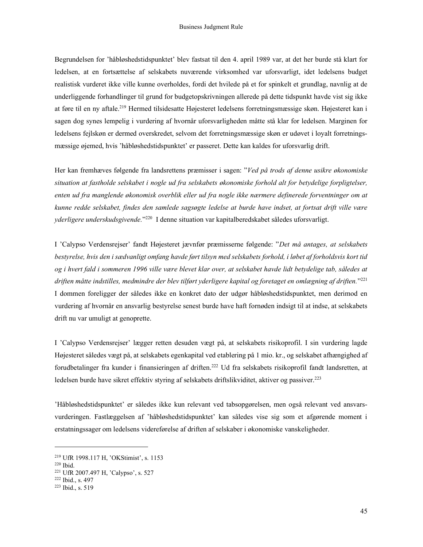Begrundelsen for 'håbløshedstidspunktet' blev fastsat til den 4. april 1989 var, at det her burde stå klart for ledelsen, at en fortsættelse af selskabets nuværende virksomhed var uforsvarligt, idet ledelsens budget realistisk vurderet ikke ville kunne overholdes, fordi det hvilede på et for spinkelt et grundlag, navnlig at de underliggende forhandlinger til grund for budgetopskrivningen allerede på dette tidspunkt havde vist sig ikke at føre til en ny aftale.<sup>219</sup> Hermed tilsidesatte Højesteret ledelsens forretningsmæssige skøn. Højesteret kan i sagen dog synes lempelig i vurdering af hvornår uforsvarligheden måtte stå klar for ledelsen. Marginen for ledelsens fejlskøn er dermed overskredet, selvom det forretningsmæssige skøn er udøvet i loyalt forretningsmæssige øjemed, hvis 'håbløshedstidspunktet' er passeret. Dette kan kaldes for uforsvarlig drift.

Her kan fremhæves følgende fra landsrettens præmisser i sagen: "Ved på trods af denne usikre økonomiske situation at fastholde selskabet i nogle ud fra selskabets økonomiske forhold alt for betydelige forpligtelser, enten ud fra manglende økonomisk overblik eller ud fra nogle ikke nærmere definerede forventninger om at kunne redde selskabet, findes den samlede sagsøgte ledelse at burde have indset, at fortsat drift ville være yderligere underskudsgivende.<sup>1920</sup> I denne situation var kapitalberedskabet således uforsvarligt.

I 'Calypso Verdensrejser' fandt Højesteret jævnfør præmisserne følgende: "Det må antages, at selskabets bestyrelse, hvis den i sædvanligt omfang havde ført tilsyn med selskabets forhold, i løbet af forholdsvis kort tid og i hvert fald i sommeren 1996 ville være blevet klar over, at selskabet havde lidt betydelige tab, således at driften måtte indstilles, medmindre der blev tilført yderligere kapital og foretaget en omlægning af driften."<sup>221</sup> I dommen foreligger der således ikke en konkret dato der udgør håbløshedstidspunktet, men derimod en vurdering af hvornår en ansvarlig bestyrelse senest burde have haft fornøden indsigt til at indse, at selskabets drift nu var umuligt at genoprette.

I 'Calypso Verdensrejser' lægger retten desuden vægt på, at selskabets risikoprofil. I sin vurdering lagde Højesteret således vægt på, at selskabets egenkapital ved etablering på 1 mio. kr., og selskabet afhængighed af forudbetalinger fra kunder i finansieringen af driften.<sup>222</sup> Ud fra selskabets risikoprofil fandt landsretten, at ledelsen burde have sikret effektiv styring af selskabets driftslikviditet, aktiver og passiver.<sup>223</sup>

'Håbløshedstidspunktet' er således ikke kun relevant ved tabsopgørelsen, men også relevant ved ansvarsvurderingen. Fastlæggelsen af 'håbløshedstidspunktet' kan således vise sig som et afgørende moment i erstatningssager om ledelsens videreførelse af driften af selskaber i økonomiske vanskeligheder.

<sup>219</sup> UfR 1998.117 H, 'OKStimist', s. 1153

<sup>220</sup> Ibid.

<sup>221</sup> UfR 2007.497 H, 'Calypso', s. 527

<sup>222</sup> Ibid., s. 497

<sup>223</sup> Ibid., s. 519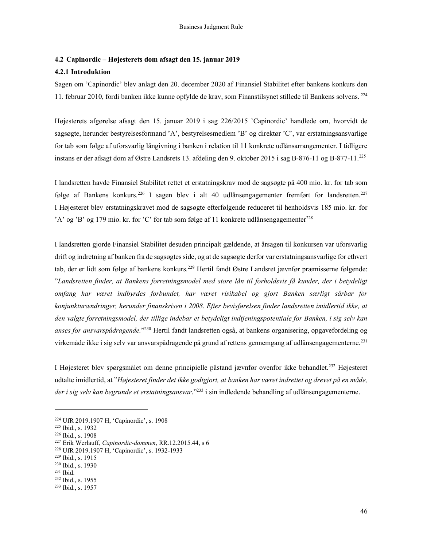#### 4.2 Capinordic – Højesterets dom afsagt den 15. januar 2019

#### 4.2.1 Introduktion

Sagen om 'Capinordic' blev anlagt den 20. december 2020 af Finansiel Stabilitet efter bankens konkurs den 11. februar 2010, fordi banken ikke kunne opfylde de krav, som Finanstilsynet stillede til Bankens solvens.<sup>224</sup>

Højesterets afgørelse afsagt den 15. januar 2019 i sag 226/2015 'Capinordic' handlede om, hvorvidt de sagsøgte, herunder bestyrelsesformand 'A', bestyrelsesmedlem 'B' og direktør 'C', var erstatningsansvarlige for tab som følge af uforsvarlig långivning i banken i relation til 11 konkrete udlånsarrangementer. I tidligere instans er der afsagt dom af Østre Landsrets 13. afdeling den 9. oktober 2015 i sag B-876-11 og B-877-11.<sup>225</sup>

I landsretten havde Finansiel Stabilitet rettet et erstatningskrav mod de sagsøgte på 400 mio. kr. for tab som følge af Bankens konkurs.<sup>226</sup> I sagen blev i alt 40 udlånsengagementer fremført for landsretten.<sup>227</sup> I Højesteret blev erstatningskravet mod de sagsøgte efterfølgende reduceret til henholdsvis 185 mio. kr. for 'A' og 'B' og 179 mio. kr. for 'C' for tab som følge af 11 konkrete udlånsengagementer<sup>228</sup>

I landsretten gjorde Finansiel Stabilitet desuden principalt gældende, at årsagen til konkursen var uforsvarlig drift og indretning af banken fra de sagsøgtes side, og at de sagsøgte derfor var erstatningsansvarlige for ethvert tab, der er lidt som følge af bankens konkurs.<sup>229</sup> Hertil fandt Østre Landsret jævnfør præmisserne følgende: "Landsretten finder, at Bankens forretningsmodel med store lån til forholdsvis få kunder, der i betydeligt omfang har været indbyrdes forbundet, har været risikabel og gjort Banken særligt sårbar for konjunkturændringer, herunder finanskrisen i 2008. Efter bevisførelsen finder landsretten imidlertid ikke, at den valgte forretningsmodel, der tillige indebar et betydeligt indtjeningspotentiale for Banken, i sig selv kan anses for ansvarspådragende."<sup>230</sup> Hertil fandt landsretten også, at bankens organisering, opgavefordeling og virkemåde ikke i sig selv var ansvarspådragende på grund af rettens gennemgang af udlånsengagementerne.<sup>231</sup>

I Højesteret blev spørgsmålet om denne principielle påstand jævnfør ovenfor ikke behandlet.<sup>232</sup> Højesteret udtalte imidlertid, at "Højesteret finder det ikke godtgjort, at banken har været indrettet og drevet på en måde, der i sig selv kan begrunde et erstatningsansvar."<sup>233</sup> i sin indledende behandling af udlånsengagementerne.

<sup>230</sup> Ibid., s. 1930

<sup>232</sup> Ibid., s. 1955

<sup>224</sup> UfR 2019.1907 H, 'Capinordic', s. 1908

<sup>225</sup> Ibid., s. 1932

<sup>226</sup> Ibid., s. 1908

<sup>&</sup>lt;sup>227</sup> Erik Werlauff, Capinordic-dommen, RR.12.2015.44, s 6

<sup>228</sup> UfR 2019.1907 H, 'Capinordic', s. 1932-1933

 $229$  Ibid., s. 1915

 $231$  Ibid.

<sup>233</sup> Ibid., s. 1957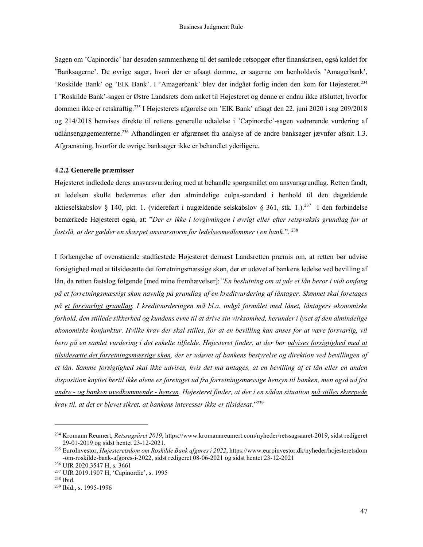Sagen om 'Capinordic' har desuden sammenhæng til det samlede retsopgør efter finanskrisen, også kaldet for 'Banksagerne'. De øvrige sager, hvori der er afsagt domme, er sagerne om henholdsvis 'Amagerbank', 'Roskilde Bank' og 'EIK Bank'. I 'Amagerbank' blev der indgået forlig inden den kom for Højesteret.<sup>234</sup> I 'Roskilde Bank'-sagen er Østre Landsrets dom anket til Højesteret og denne er endnu ikke afsluttet, hvorfor dommen ikke er retskraftig.<sup>235</sup> I Højesterets afgørelse om 'EIK Bank' afsagt den 22. juni 2020 i sag 209/2018 og 214/2018 henvises direkte til rettens generelle udtalelse i 'Capinordic'-sagen vedrørende vurdering af udlånsengagementerne.<sup>236</sup> Afhandlingen er afgrænset fra analyse af de andre banksager jævnfør afsnit 1.3. Afgrænsning, hvorfor de øvrige banksager ikke er behandlet yderligere.

#### 4.2.2 Generelle præmisser

Højesteret indledede deres ansvarsvurdering med at behandle spørgsmålet om ansvarsgrundlag. Retten fandt, at ledelsen skulle bedømmes efter den almindelige culpa-standard i henhold til den dagældende aktieselskabslov § 140, pkt. 1. (videreført i nugældende selskabslov § 361, stk. 1.).<sup>237</sup> I den forbindelse bemærkede Højesteret også, at: "Der er ikke i lovgivningen i øvrigt eller efter retspraksis grundlag for at fastslå, at der gælder en skærpet ansvarsnorm for ledelsesmedlemmer i en bank.". <sup>238</sup>

I forlængelse af ovenstående stadfæstede Højesteret dernæst Landsretten præmis om, at retten bør udvise forsigtighed med at tilsidesætte det forretningsmæssige skøn, der er udøvet af bankens ledelse ved bevilling af lån, da retten fastslog følgende [med mine fremhævelser]: "En beslutning om at yde et lån beror i vidt omfang på et forretningsmæssigt skøn navnlig på grundlag af en kreditvurdering af låntager. Skønnet skal foretages på et forsvarligt grundlag. I kreditvurderingen må bl.a. indgå formålet med lånet, låntagers økonomiske forhold, den stillede sikkerhed og kundens evne til at drive sin virksomhed, herunder i lyset af den almindelige økonomiske konjunktur. Hvilke krav der skal stilles, for at en bevilling kan anses for at være forsvarlig, vil bero på en samlet vurdering i det enkelte tilfælde. Højesteret finder, at der bør udvises forsigtighed med at tilsidesætte det forretningsmæssige skøn, der er udøvet af bankens bestyrelse og direktion ved bevillingen af et lån. Samme forsigtighed skal ikke udvises, hvis det må antages, at en bevilling af et lån eller en anden disposition knyttet hertil ikke alene er foretaget ud fra forretningsmæssige hensyn til banken, men også ud fra andre - og banken uvedkommende - hensyn. Højesteret finder, at der i en sådan situation må stilles skærpede krav til, at det er blevet sikret, at bankens interesser ikke er tilsidesat."<sup>239</sup>

<sup>&</sup>lt;sup>234</sup> Kromann Reumert, Retssagsåret 2019, https://www.kromannreumert.com/nyheder/retssagsaaret-2019, sidst redigeret <sup>234</sup> 29-01-2019 og sidst hentet 23-12-2021.

<sup>&</sup>lt;sup>235</sup> EuroInvestor, Højesteretsdom om Roskilde Bank afgøres i 2022, https://www.euroinvestor.dk/nyheder/hojesteretsdom <sup>235</sup> -om-roskilde-bank-afgores-i-2022, sidst redigeret 08-06-2021 og sidst hentet 23-12-2021

<sup>236</sup> UfR 2020.3547 H, s. 3661

<sup>237</sup> UfR 2019.1907 H, 'Capinordic', s. 1995

<sup>238</sup> Ibid.

<sup>239</sup> Ibid., s. 1995-1996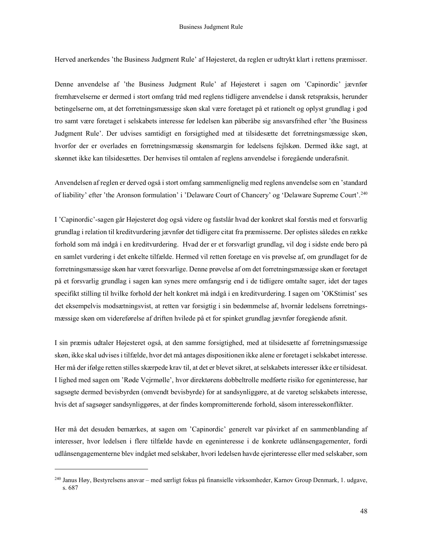Herved anerkendes 'the Business Judgment Rule' af Højesteret, da reglen er udtrykt klart i rettens præmisser.

Denne anvendelse af 'the Business Judgment Rule' af Højesteret i sagen om 'Capinordic' jævnfør fremhævelserne er dermed i stort omfang tråd med reglens tidligere anvendelse i dansk retspraksis, herunder betingelserne om, at det forretningsmæssige skøn skal være foretaget på et rationelt og oplyst grundlag i god tro samt være foretaget i selskabets interesse før ledelsen kan påberåbe sig ansvarsfrihed efter 'the Business Judgment Rule'. Der udvises samtidigt en forsigtighed med at tilsidesætte det forretningsmæssige skøn, hvorfor der er overlades en forretningsmæssig skønsmargin for ledelsens fejlskøn. Dermed ikke sagt, at skønnet ikke kan tilsidesættes. Der henvises til omtalen af reglens anvendelse i foregående underafsnit.

Anvendelsen af reglen er derved også i stort omfang sammenlignelig med reglens anvendelse som en 'standard of liability' efter 'the Aronson formulation' i 'Delaware Court of Chancery' og 'Delaware Supreme Court'.<sup>240</sup>

I 'Capinordic'-sagen går Højesteret dog også videre og fastslår hvad der konkret skal forstås med et forsvarlig grundlag i relation til kreditvurdering jævnfør det tidligere citat fra præmisserne. Der oplistes således en række forhold som må indgå i en kreditvurdering. Hvad der er et forsvarligt grundlag, vil dog i sidste ende bero på en samlet vurdering i det enkelte tilfælde. Hermed vil retten foretage en vis prøvelse af, om grundlaget for de forretningsmæssige skøn har været forsvarlige. Denne prøvelse af om det forretningsmæssige skøn er foretaget på et forsvarlig grundlag i sagen kan synes mere omfangsrig end i de tidligere omtalte sager, idet der tages specifikt stilling til hvilke forhold der helt konkret må indgå i en kreditvurdering. I sagen om 'OKStimist' ses det eksempelvis modsætningsvist, at retten var forsigtig i sin bedømmelse af, hvornår ledelsens forretningsmæssige skøn om videreførelse af driften hvilede på et for spinket grundlag jævnfør foregående afsnit.

I sin præmis udtaler Højesteret også, at den samme forsigtighed, med at tilsidesætte af forretningsmæssige skøn, ikke skal udvises i tilfælde, hvor det må antages dispositionen ikke alene er foretaget i selskabet interesse. Her må der ifølge retten stilles skærpede krav til, at det er blevet sikret, at selskabets interesser ikke er tilsidesat. I lighed med sagen om 'Røde Vejrmølle', hvor direktørens dobbeltrolle medførte risiko for egeninteresse, har sagsøgte dermed bevisbyrden (omvendt bevisbyrde) for at sandsynliggøre, at de varetog selskabets interesse, hvis det af sagsøger sandsynliggøres, at der findes kompromitterende forhold, såsom interessekonflikter.

Her må det desuden bemærkes, at sagen om 'Capinordic' generelt var påvirket af en sammenblanding af interesser, hvor ledelsen i flere tilfælde havde en egeninteresse i de konkrete udlånsengagementer, fordi udlånsengagementerne blev indgået med selskaber, hvori ledelsen havde ejerinteresse eller med selskaber, som

<sup>240</sup> Janus Høy, Bestyrelsens ansvar – med særligt fokus på finansielle virksomheder, Karnov Group Denmark, 1. udgave, s. 687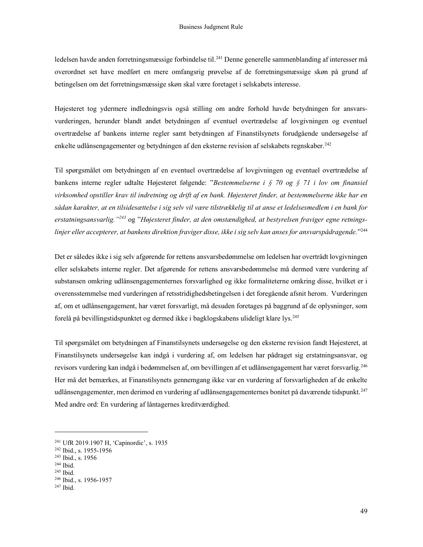ledelsen havde anden forretningsmæssige forbindelse til.<sup>241</sup> Denne generelle sammenblanding af interesser må overordnet set have medført en mere omfangsrig prøvelse af de forretningsmæssige skøn på grund af betingelsen om det forretningsmæssige skøn skal være foretaget i selskabets interesse.

Højesteret tog ydermere indledningsvis også stilling om andre forhold havde betydningen for ansvarsvurderingen, herunder blandt andet betydningen af eventuel overtrædelse af lovgivningen og eventuel overtrædelse af bankens interne regler samt betydningen af Finanstilsynets forudgående undersøgelse af enkelte udlånsengagementer og betydningen af den eksterne revision af selskabets regnskaber.<sup>242</sup>

Til spørgsmålet om betydningen af en eventuel overtrædelse af lovgivningen og eventuel overtrædelse af bankens interne regler udtalte Højesteret følgende: "Bestemmelserne i § 70 og § 71 i lov om finansiel virksomhed opstiller krav til indretning og drift af en bank. Højesteret finder, at bestemmelserne ikke har en sådan karakter, at en tilsidesættelse i sig selv vil være tilstrækkelig til at anse et ledelsesmedlem i en bank for erstatningsansvarlig."<sup>243</sup> og "Højesteret finder, at den omstændighed, at bestyrelsen fraviger egne retningslinjer eller accepterer, at bankens direktion fraviger disse, ikke i sig selv kan anses for ansvarspådragende."<sup>244</sup>

Det er således ikke i sig selv afgørende for rettens ansvarsbedømmelse om ledelsen har overtrådt lovgivningen eller selskabets interne regler. Det afgørende for rettens ansvarsbedømmelse må dermed være vurdering af substansen omkring udlånsengagementernes forsvarlighed og ikke formaliteterne omkring disse, hvilket er i overensstemmelse med vurderingen af retsstridighedsbetingelsen i det foregående afsnit herom. Vurderingen af, om et udlånsengagement, har været forsvarligt, må desuden foretages på baggrund af de oplysninger, som forelå på bevillingstidspunktet og dermed ikke i bagklogskabens ulideligt klare lys.<sup>245</sup>

Til spørgsmålet om betydningen af Finanstilsynets undersøgelse og den eksterne revision fandt Højesteret, at Finanstilsynets undersøgelse kan indgå i vurdering af, om ledelsen har pådraget sig erstatningsansvar, og revisors vurdering kan indgå i bedømmelsen af, om bevillingen af et udlånsengagement har været forsvarlig.<sup>246</sup> Her må det bemærkes, at Finanstilsynets gennemgang ikke var en vurdering af forsvarligheden af de enkelte udlånsengagementer, men derimod en vurdering af udlånsengagementernes bonitet på daværende tidspunkt.<sup>247</sup> Med andre ord: En vurdering af låntagernes kreditværdighed.

 $245$  Ibid.

<sup>241</sup> UfR 2019.1907 H, 'Capinordic', s. 1935

<sup>242</sup> Ibid., s. 1955-1956

<sup>243</sup> Ibid., s. 1956

<sup>244</sup> Ibid.

<sup>246</sup> Ibid., s. 1956-1957

 $247$  Ibid.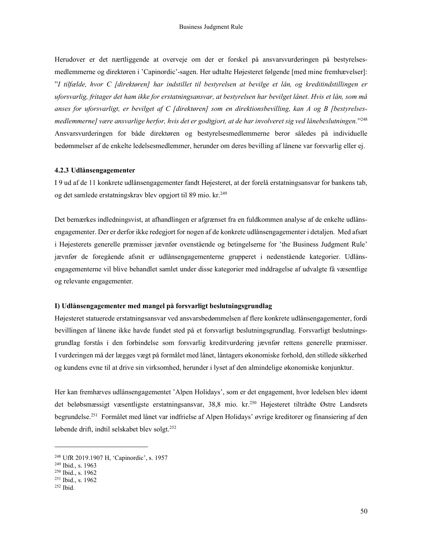Herudover er det nærtliggende at overveje om der er forskel på ansvarsvurderingen på bestyrelsesmedlemmerne og direktøren i 'Capinordic'-sagen. Her udtalte Højesteret følgende [med mine fremhævelser]: "I tilfælde, hvor C [direktøren] har indstillet til bestyrelsen at bevilge et lån, og kreditindstillingen er uforsvarlig, fritager det ham ikke for erstatningsansvar, at bestyrelsen har bevilget lånet. Hvis et lån, som må anses for uforsvarligt, er bevilget af C [direktøren] som en direktionsbevilling, kan A og B [bestyrelsesmedlemmerne] være ansvarlige herfor, hvis det er godtgjort, at de har involveret sig ved lånebeslutningen."<sup>248</sup> Ansvarsvurderingen for både direktøren og bestyrelsesmedlemmerne beror således på individuelle bedømmelser af de enkelte ledelsesmedlemmer, herunder om deres bevilling af lånene var forsvarlig eller ej.

#### 4.2.3 Udlånsengagementer

I 9 ud af de 11 konkrete udlånsengagementer fandt Højesteret, at der forelå erstatningsansvar for bankens tab, og det samlede erstatningskrav blev opgjort til 89 mio. kr.<sup>249</sup>

Det bemærkes indledningsvist, at afhandlingen er afgrænset fra en fuldkommen analyse af de enkelte udlånsengagementer. Der er derfor ikke redegjort for nogen af de konkrete udlånsengagementer i detaljen. Med afsæt i Højesterets generelle præmisser jævnfør ovenstående og betingelserne for 'the Business Judgment Rule' jævnfør de foregående afsnit er udlånsengagementerne grupperet i nedenstående kategorier. Udlånsengagementerne vil blive behandlet samlet under disse kategorier med inddragelse af udvalgte få væsentlige og relevante engagementer.

#### I) Udlånsengagementer med mangel på forsvarligt beslutningsgrundlag

Højesteret statuerede erstatningsansvar ved ansvarsbedømmelsen af flere konkrete udlånsengagementer, fordi bevillingen af lånene ikke havde fundet sted på et forsvarligt beslutningsgrundlag. Forsvarligt beslutningsgrundlag forstås i den forbindelse som forsvarlig kreditvurdering jævnfør rettens generelle præmisser. I vurderingen må der lægges vægt på formålet med lånet, låntagers økonomiske forhold, den stillede sikkerhed og kundens evne til at drive sin virksomhed, herunder i lyset af den almindelige økonomiske konjunktur.

Her kan fremhæves udlånsengagementet 'Alpen Holidays', som er det engagement, hvor ledelsen blev idømt det beløbsmæssigt væsentligste erstatningsansvar, 38,8 mio. kr.<sup>250</sup> Højesteret tiltrådte Østre Landsrets begrundelse.<sup>251</sup> Formålet med lånet var indfrielse af Alpen Holidays' øvrige kreditorer og finansiering af den løbende drift, indtil selskabet blev solgt.<sup>252</sup>

<sup>248</sup> UfR 2019.1907 H, 'Capinordic', s. 1957

<sup>249</sup> Ibid., s. 1963

<sup>250</sup> Ibid., s. 1962

<sup>251</sup> Ibid., s. 1962

<sup>252</sup> Ibid.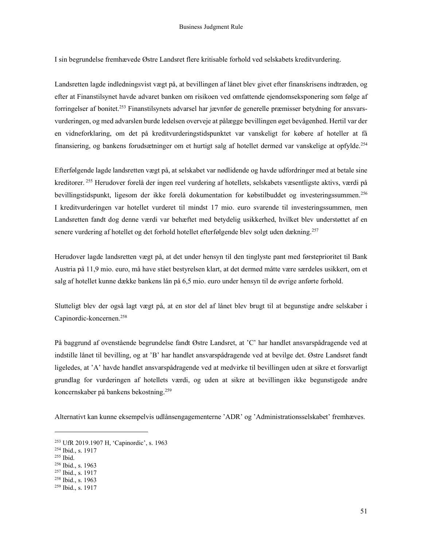I sin begrundelse fremhævede Østre Landsret flere kritisable forhold ved selskabets kreditvurdering.

Landsretten lagde indledningsvist vægt på, at bevillingen af lånet blev givet efter finanskrisens indtræden, og efter at Finanstilsynet havde advaret banken om risikoen ved omfattende ejendomseksponering som følge af forringelser af bonitet.253 Finanstilsynets advarsel har jævnfør de generelle præmisser betydning for ansvarsvurderingen, og med advarslen burde ledelsen overveje at pålægge bevillingen øget bevågenhed. Hertil var der en vidneforklaring, om det på kreditvurderingstidspunktet var vanskeligt for købere af hoteller at få finansiering, og bankens forudsætninger om et hurtigt salg af hotellet dermed var vanskelige at opfylde.<sup>254</sup>

Efterfølgende lagde landsretten vægt på, at selskabet var nødlidende og havde udfordringer med at betale sine kreditorer.<sup>255</sup> Herudover forelå der ingen reel vurdering af hotellets, selskabets væsentligste aktivs, værdi på bevillingstidspunkt, ligesom der ikke forelå dokumentation for købstilbuddet og investeringssummen.<sup>256</sup> I kreditvurderingen var hotellet vurderet til mindst 17 mio. euro svarende til investeringssummen, men Landsretten fandt dog denne værdi var behæftet med betydelig usikkerhed, hvilket blev understøttet af en senere vurdering af hotellet og det forhold hotellet efterfølgende blev solgt uden dækning.<sup>257</sup>

Herudover lagde landsretten vægt på, at det under hensyn til den tinglyste pant med førsteprioritet til Bank Austria på 11,9 mio. euro, må have stået bestyrelsen klart, at det dermed måtte være særdeles usikkert, om et salg af hotellet kunne dække bankens lån på 6,5 mio. euro under hensyn til de øvrige anførte forhold.

Slutteligt blev der også lagt vægt på, at en stor del af lånet blev brugt til at begunstige andre selskaber i Capinordic-koncernen.<sup>258</sup>

På baggrund af ovenstående begrundelse fandt Østre Landsret, at 'C' har handlet ansvarspådragende ved at indstille lånet til bevilling, og at 'B' har handlet ansvarspådragende ved at bevilge det. Østre Landsret fandt ligeledes, at 'A' havde handlet ansvarspådragende ved at medvirke til bevillingen uden at sikre et forsvarligt grundlag for vurderingen af hotellets værdi, og uden at sikre at bevillingen ikke begunstigede andre koncernskaber på bankens bekostning.<sup>259</sup>

Alternativt kan kunne eksempelvis udlånsengagementerne 'ADR' og 'Administrationsselskabet' fremhæves.

<sup>253</sup> UfR 2019.1907 H, 'Capinordic', s. 1963

<sup>254</sup> Ibid., s. 1917

<sup>255</sup> Ibid.

<sup>256</sup> Ibid., s. 1963

<sup>&</sup>lt;sup>257</sup> Ibid., s. 1917

<sup>258</sup> Ibid., s. 1963

<sup>259</sup> Ibid., s. 1917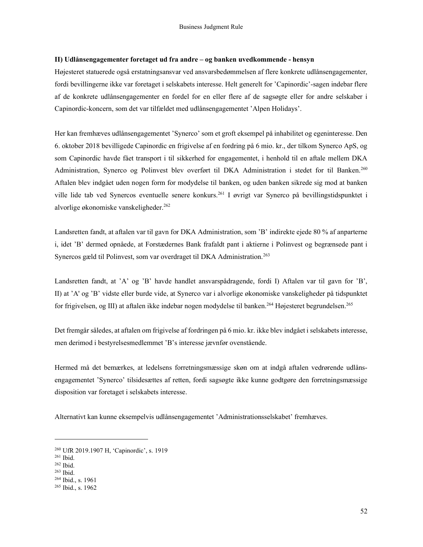#### II) Udlånsengagementer foretaget ud fra andre – og banken uvedkommende - hensyn

Højesteret statuerede også erstatningsansvar ved ansvarsbedømmelsen af flere konkrete udlånsengagementer, fordi bevillingerne ikke var foretaget i selskabets interesse. Helt generelt for 'Capinordic'-sagen indebar flere af de konkrete udlånsengagementer en fordel for en eller flere af de sagsøgte eller for andre selskaber i Capinordic-koncern, som det var tilfældet med udlånsengagementet 'Alpen Holidays'.

Her kan fremhæves udlånsengagementet 'Synerco' som et groft eksempel på inhabilitet og egeninteresse. Den 6. oktober 2018 bevilligede Capinordic en frigivelse af en fordring på 6 mio. kr., der tilkom Synerco ApS, og som Capinordic havde fået transport i til sikkerhed for engagementet, i henhold til en aftale mellem DKA Administration, Synerco og Polinvest blev overført til DKA Administration i stedet for til Banken.<sup>260</sup> Aftalen blev indgået uden nogen form for modydelse til banken, og uden banken sikrede sig mod at banken ville lide tab ved Synercos eventuelle senere konkurs.<sup>261</sup> I øvrigt var Synerco på bevillingstidspunktet i alvorlige økonomiske vanskeligheder.<sup>262</sup>

Landsretten fandt, at aftalen var til gavn for DKA Administration, som 'B' indirekte ejede 80 % af anparterne i, idet 'B' dermed opnåede, at Forstædernes Bank frafaldt pant i aktierne i Polinvest og begrænsede pant i Synercos gæld til Polinvest, som var overdraget til DKA Administration.<sup>263</sup>

Landsretten fandt, at 'A' og 'B' havde handlet ansvarspådragende, fordi I) Aftalen var til gavn for 'B', II) at 'A' og 'B' vidste eller burde vide, at Synerco var i alvorlige økonomiske vanskeligheder på tidspunktet for frigivelsen, og III) at aftalen ikke indebar nogen modydelse til banken.<sup>264</sup> Højesteret begrundelsen.<sup>265</sup>

Det fremgår således, at aftalen om frigivelse af fordringen på 6 mio. kr. ikke blev indgået i selskabets interesse, men derimod i bestyrelsesmedlemmet 'B's interesse jævnfør ovenstående.

Hermed må det bemærkes, at ledelsens forretningsmæssige skøn om at indgå aftalen vedrørende udlånsengagementet 'Synerco' tilsidesættes af retten, fordi sagsøgte ikke kunne godtgøre den forretningsmæssige disposition var foretaget i selskabets interesse.

Alternativt kan kunne eksempelvis udlånsengagementet 'Administrationsselskabet' fremhæves.

<sup>260</sup> UfR 2019.1907 H, 'Capinordic', s. 1919

<sup>261</sup> Ibid.

<sup>262</sup> Ibid.

 $263$  Ibid.

<sup>264</sup> Ibid., s. 1961

<sup>265</sup> Ibid., s. 1962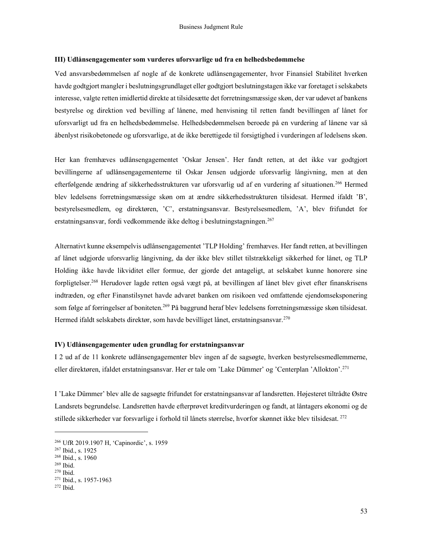#### III) Udlånsengagementer som vurderes uforsvarlige ud fra en helhedsbedømmelse

Ved ansvarsbedømmelsen af nogle af de konkrete udlånsengagementer, hvor Finansiel Stabilitet hverken havde godtgjort mangler i beslutningsgrundlaget eller godtgjort beslutningstagen ikke var foretaget i selskabets interesse, valgte retten imidlertid direkte at tilsidesætte det forretningsmæssige skøn, der var udøvet af bankens bestyrelse og direktion ved bevilling af lånene, med henvisning til retten fandt bevillingen af lånet for uforsvarligt ud fra en helhedsbedømmelse. Helhedsbedømmelsen beroede på en vurdering af lånene var så åbenlyst risikobetonede og uforsvarlige, at de ikke berettigede til forsigtighed i vurderingen af ledelsens skøn.

Her kan fremhæves udlånsengagementet 'Oskar Jensen'. Her fandt retten, at det ikke var godtgjort bevillingerne af udlånsengagementerne til Oskar Jensen udgjorde uforsvarlig långivning, men at den efterfølgende ændring af sikkerhedsstrukturen var uforsvarlig ud af en vurdering af situationen.<sup>266</sup> Hermed blev ledelsens forretningsmæssige skøn om at ændre sikkerhedsstrukturen tilsidesat. Hermed ifaldt 'B', bestyrelsesmedlem, og direktøren, 'C', erstatningsansvar. Bestyrelsesmedlem, 'A', blev frifundet for erstatningsansvar, fordi vedkommende ikke deltog i beslutningstagningen.<sup>267</sup>

Alternativt kunne eksempelvis udlånsengagementet 'TLP Holding' fremhæves. Her fandt retten, at bevillingen af lånet udgjorde uforsvarlig långivning, da der ikke blev stillet tilstrækkeligt sikkerhed for lånet, og TLP Holding ikke havde likviditet eller formue, der gjorde det antageligt, at selskabet kunne honorere sine forpligtelser.<sup>268</sup> Herudover lagde retten også vægt på, at bevillingen af lånet blev givet efter finanskrisens indtræden, og efter Finanstilsynet havde advaret banken om risikoen ved omfattende ejendomseksponering som følge af forringelser af boniteten.<sup>269</sup> På baggrund heraf blev ledelsens forretningsmæssige skøn tilsidesat. Hermed ifaldt selskabets direktør, som havde bevilliget lånet, erstatningsansvar.<sup>270</sup>

#### IV) Udlånsengagementer uden grundlag for erstatningsansvar

I 2 ud af de 11 konkrete udlånsengagementer blev ingen af de sagsøgte, hverken bestyrelsesmedlemmerne, eller direktøren, ifaldet erstatningsansvar. Her er tale om 'Lake Dümmer' og 'Centerplan 'Allokton'.<sup>271</sup>

I 'Lake Dümmer' blev alle de sagsøgte frifundet for erstatningsansvar af landsretten. Højesteret tiltrådte Østre Landsrets begrundelse. Landsretten havde efterprøvet kreditvurderingen og fandt, at låntagers økonomi og de stillede sikkerheder var forsvarlige i forhold til lånets størrelse, hvorfor skønnet ikke blev tilsidesat. <sup>272</sup>

<sup>266</sup> UfR 2019.1907 H, 'Capinordic', s. 1959

<sup>267</sup> Ibid., s. 1925

<sup>268</sup> Ibid., s. 1960

<sup>269</sup> Ibid.

 $270$  Ibid.

<sup>271</sup> Ibid., s. 1957-1963

 $272$  Ibid.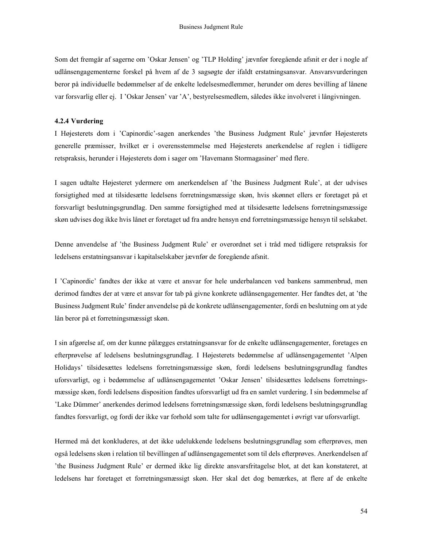Som det fremgår af sagerne om 'Oskar Jensen' og 'TLP Holding' jævnfør foregående afsnit er der i nogle af udlånsengagementerne forskel på hvem af de 3 sagsøgte der ifaldt erstatningsansvar. Ansvarsvurderingen beror på individuelle bedømmelser af de enkelte ledelsesmedlemmer, herunder om deres bevilling af lånene var forsvarlig eller ej. I 'Oskar Jensen' var 'A', bestyrelsesmedlem, således ikke involveret i långivningen.

#### 4.2.4 Vurdering

I Højesterets dom i 'Capinordic'-sagen anerkendes 'the Business Judgment Rule' jævnfør Højesterets generelle præmisser, hvilket er i overensstemmelse med Højesterets anerkendelse af reglen i tidligere retspraksis, herunder i Højesterets dom i sager om 'Havemann Stormagasiner' med flere.

I sagen udtalte Højesteret ydermere om anerkendelsen af 'the Business Judgment Rule', at der udvises forsigtighed med at tilsidesætte ledelsens forretningsmæssige skøn, hvis skønnet ellers er foretaget på et forsvarligt beslutningsgrundlag. Den samme forsigtighed med at tilsidesætte ledelsens forretningsmæssige skøn udvises dog ikke hvis lånet er foretaget ud fra andre hensyn end forretningsmæssige hensyn til selskabet.

Denne anvendelse af 'the Business Judgment Rule' er overordnet set i tråd med tidligere retspraksis for ledelsens erstatningsansvar i kapitalselskaber jævnfør de foregående afsnit.

I 'Capinordic' fandtes der ikke at være et ansvar for hele underbalancen ved bankens sammenbrud, men derimod fandtes der at være et ansvar for tab på givne konkrete udlånsengagementer. Her fandtes det, at 'the Business Judgment Rule' finder anvendelse på de konkrete udlånsengagementer, fordi en beslutning om at yde lån beror på et forretningsmæssigt skøn.

I sin afgørelse af, om der kunne pålægges erstatningsansvar for de enkelte udlånsengagementer, foretages en efterprøvelse af ledelsens beslutningsgrundlag. I Højesterets bedømmelse af udlånsengagementet 'Alpen Holidays' tilsidesættes ledelsens forretningsmæssige skøn, fordi ledelsens beslutningsgrundlag fandtes uforsvarligt, og i bedømmelse af udlånsengagementet 'Oskar Jensen' tilsidesættes ledelsens forretningsmæssige skøn, fordi ledelsens disposition fandtes uforsvarligt ud fra en samlet vurdering. I sin bedømmelse af 'Lake Dümmer' anerkendes derimod ledelsens forretningsmæssige skøn, fordi ledelsens beslutningsgrundlag fandtes forsvarligt, og fordi der ikke var forhold som talte for udlånsengagementet i øvrigt var uforsvarligt.

Hermed må det konkluderes, at det ikke udelukkende ledelsens beslutningsgrundlag som efterprøves, men også ledelsens skøn i relation til bevillingen af udlånsengagementet som til dels efterprøves. Anerkendelsen af 'the Business Judgment Rule' er dermed ikke lig direkte ansvarsfritagelse blot, at det kan konstateret, at ledelsens har foretaget et forretningsmæssigt skøn. Her skal det dog bemærkes, at flere af de enkelte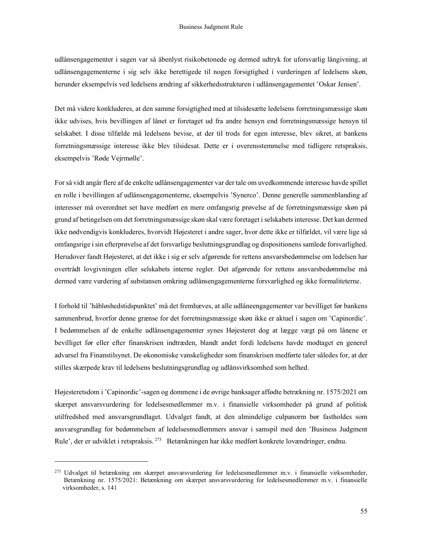udlånsengagementer i sagen var så åbenlyst risikobetonede og dermed udtryk for uforsvarlig långivning, at udlånsengagementerne i sig selv ikke berettigede til nogen forsigtighed i vurderingen af ledelsens skøn, herunder eksempelvis ved ledelsens ændring af sikkerhedsstrukturen i udlånsengagementet 'Oskar Jensen'.

Det må videre konkluderes, at den samme forsigtighed med at tilsidesætte ledelsens forretningsmæssige skøn ikke udvises, hvis bevillingen af lånet er foretaget ud fra andre hensyn end forretningsmæssige hensyn til selskabet. I disse tilfælde må ledelsens bevise, at der til trods for egen interesse, blev sikret, at bankens forretningsmæssige interesse ikke blev tilsidesat. Dette er i overensstemmelse med tidligere retspraksis, eksempelvis 'Røde Vejrmølle'.

For så vidt angår flere af de enkelte udlånsengagementer var der tale om uvedkommende interesse havde spillet en rolle i bevillingen af udlånsengagementerne, eksempelvis 'Synerco'. Denne generelle sammenblanding af interesser må overordnet set have medført en mere omfangsrig prøvelse af de forretningsmæssige skøn på grund af betingelsen om det forretningsmæssige skøn skal være foretaget i selskabets interesse. Det kan dermed ikke nødvendigvis konkluderes, hvorvidt Højesteret i andre sager, hvor dette ikke er tilfældet, vil være lige så omfangsrige i sin efterprøvelse af det forsvarlige beslutningsgrundlag og dispositionens samlede forsvarlighed. Herudover fandt Højesteret, at det ikke i sig er selv afgørende for rettens ansvarsbedømmelse om ledelsen har overtrådt lovgivningen eller selskabets interne regler. Det afgørende for rettens ansvarsbedømmelse må dermed være vurdering af substansen omkring udlånsengagementerne forsvarlighed og ikke formaliteterne.

I forhold til 'håbløshedstidspunktet' må det fremhæves, at alle udlåneengagementer var bevilliget før bankens sammenbrud, hvorfor denne grænse for det forretningsmæssige skøn ikke er aktuel i sagen om 'Capinordic'. I bedømmelsen af de enkelte udlånsengagementer synes Højesteret dog at lægge vægt på om lånene er bevilliget før eller efter finanskrisen indtræden, blandt andet fordi ledelsens havde modtaget en generel advarsel fra Finanstilsynet. De økonomiske vanskeligheder som finanskrisen medførte taler således for, at der stilles skærpede krav til ledelsens beslutningsgrundlag og udlånsvirksomhed som helhed.

Højesteretsdom i 'Capinordic'-sagen og dommene i de øvrige banksager affødte betrækning nr. 1575/2021 om skærpet ansvarsvurdering for ledelsesmedlemmer m.v. i finansielle virksomheder på grund af politisk utilfredshed med ansvarsgrundlaget. Udvalget fandt, at den almindelige culpanorm bør fastholdes som ansvarsgrundlag for bedømmelsen af ledelsesmedlemmers ansvar i samspil med den 'Business Judgment Rule', der er udviklet i retspraksis.<sup>273</sup> Betænkningen har ikke medført konkrete lovændringer, endnu.

<sup>273</sup> Udvalget til betænkning om skærpet ansvarsvurdering for ledelsesmedlemmer m.v. i finansielle virksomheder, <sup>273</sup> Betænkning nr. 1575/2021: Betænkning om skærpet ansvarsvurdering for ledelsesmedlemmer m.v. i finansielle virksomheder, s. 141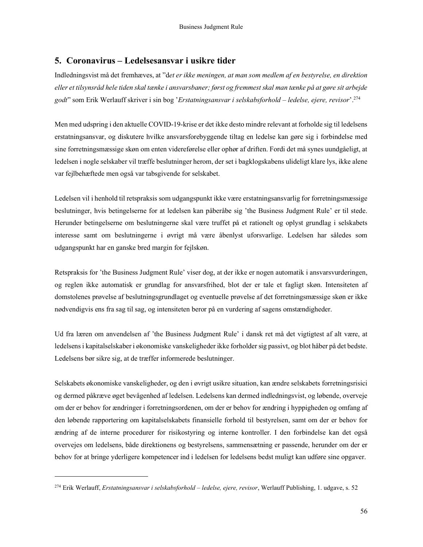# 5. Coronavirus – Ledelsesansvar i usikre tider

Indledningsvist må det fremhæves, at "det er ikke meningen, at man som medlem af en bestyrelse, en direktion eller et tilsynsråd hele tiden skal tænke i ansvarsbaner; først og fremmest skal man tænke på at gøre sit arbejde godt" som Erik Werlauff skriver i sin bog 'Erstatningsansvar i selskabsforhold – ledelse, ejere, revisor'.<sup>274</sup>

Men med udspring i den aktuelle COVID-19-krise er det ikke desto mindre relevant at forholde sig til ledelsens erstatningsansvar, og diskutere hvilke ansvarsforebyggende tiltag en ledelse kan gøre sig i forbindelse med sine forretningsmæssige skøn om enten videreførelse eller ophør af driften. Fordi det må synes uundgåeligt, at ledelsen i nogle selskaber vil træffe beslutninger herom, der set i bagklogskabens ulideligt klare lys, ikke alene var fejlbehæftede men også var tabsgivende for selskabet.

Ledelsen vil i henhold til retspraksis som udgangspunkt ikke være erstatningsansvarlig for forretningsmæssige beslutninger, hvis betingelserne for at ledelsen kan påberåbe sig 'the Business Judgment Rule' er til stede. Herunder betingelserne om beslutningerne skal være truffet på et rationelt og oplyst grundlag i selskabets interesse samt om beslutningerne i øvrigt må være åbenlyst uforsvarlige. Ledelsen har således som udgangspunkt har en ganske bred margin for fejlskøn.

Retspraksis for 'the Business Judgment Rule' viser dog, at der ikke er nogen automatik i ansvarsvurderingen, og reglen ikke automatisk er grundlag for ansvarsfrihed, blot der er tale et fagligt skøn. Intensiteten af domstolenes prøvelse af beslutningsgrundlaget og eventuelle prøvelse af det forretningsmæssige skøn er ikke nødvendigvis ens fra sag til sag, og intensiteten beror på en vurdering af sagens omstændigheder.

Ud fra læren om anvendelsen af 'the Business Judgment Rule' i dansk ret må det vigtigtest af alt være, at ledelsens i kapitalselskaber i økonomiske vanskeligheder ikke forholder sig passivt, og blot håber på det bedste. Ledelsens bør sikre sig, at de træffer informerede beslutninger.

Selskabets økonomiske vanskeligheder, og den i øvrigt usikre situation, kan ændre selskabets forretningsrisici og dermed påkræve øget bevågenhed af ledelsen. Ledelsens kan dermed indledningsvist, og løbende, overveje om der er behov for ændringer i forretningsordenen, om der er behov for ændring i hyppigheden og omfang af den løbende rapportering om kapitalselskabets finansielle forhold til bestyrelsen, samt om der er behov for ændring af de interne procedurer for risikostyring og interne kontroller. I den forbindelse kan det også overvejes om ledelsens, både direktionens og bestyrelsens, sammensætning er passende, herunder om der er behov for at bringe yderligere kompetencer ind i ledelsen for ledelsens bedst muligt kan udføre sine opgaver.

<sup>&</sup>lt;sup>274</sup> Erik Werlauff, Erstatningsansvar i selskabsforhold - ledelse, ejere, revisor, Werlauff Publishing, 1. udgave, s. 52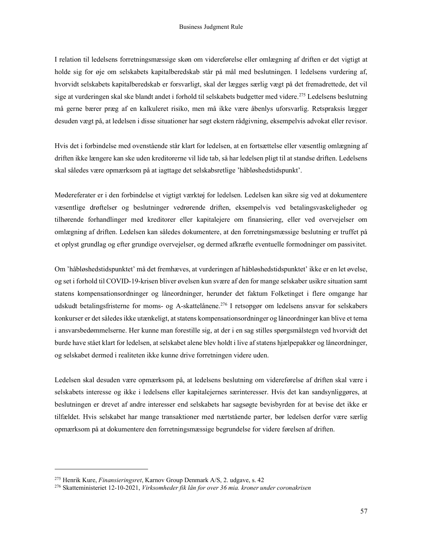I relation til ledelsens forretningsmæssige skøn om videreførelse eller omlægning af driften er det vigtigt at holde sig for øje om selskabets kapitalberedskab står på mål med beslutningen. I ledelsens vurdering af, hvorvidt selskabets kapitalberedskab er forsvarligt, skal der lægges særlig vægt på det fremadrettede, det vil sige at vurderingen skal ske blandt andet i forhold til selskabets budgetter med videre.<sup>275</sup> Ledelsens beslutning må gerne bærer præg af en kalkuleret risiko, men må ikke være åbenlys uforsvarlig. Retspraksis lægger desuden vægt på, at ledelsen i disse situationer har søgt ekstern rådgivning, eksempelvis advokat eller revisor.

Hvis det i forbindelse med ovenstående står klart for ledelsen, at en fortsættelse eller væsentlig omlægning af driften ikke længere kan ske uden kreditorerne vil lide tab, så har ledelsen pligt til at standse driften. Ledelsens skal således være opmærksom på at iagttage det selskabsretlige 'håbløshedstidspunkt'.

Mødereferater er i den forbindelse et vigtigt værktøj for ledelsen. Ledelsen kan sikre sig ved at dokumentere væsentlige drøftelser og beslutninger vedrørende driften, eksempelvis ved betalingsvaskeligheder og tilhørende forhandlinger med kreditorer eller kapitalejere om finansiering, eller ved overvejelser om omlægning af driften. Ledelsen kan således dokumentere, at den forretningsmæssige beslutning er truffet på et oplyst grundlag og efter grundige overvejelser, og dermed afkræfte eventuelle formodninger om passivitet.

Om 'håbløshedstidspunktet' må det fremhæves, at vurderingen af håbløshedstidspunktet' ikke er en let øvelse, og set i forhold til COVID-19-krisen bliver øvelsen kun svære af den for mange selskaber usikre situation samt statens kompensationsordninger og låneordninger, herunder det faktum Folketinget i flere omgange har udskudt betalingsfristerne for moms- og A-skattelånene.<sup>276</sup> I retsopgør om ledelsens ansvar for selskabers konkurser er det således ikke utænkeligt, at statens kompensationsordninger og låneordninger kan blive et tema i ansvarsbedømmelserne. Her kunne man forestille sig, at der i en sag stilles spørgsmålstegn ved hvorvidt det burde have stået klart for ledelsen, at selskabet alene blev holdt i live af statens hjælpepakker og låneordninger, og selskabet dermed i realiteten ikke kunne drive forretningen videre uden.

Ledelsen skal desuden være opmærksom på, at ledelsens beslutning om videreførelse af driften skal være i selskabets interesse og ikke i ledelsens eller kapitalejernes særinteresser. Hvis det kan sandsynliggøres, at beslutningen er drevet af andre interesser end selskabets har sagsøgte bevisbyrden for at bevise det ikke er tilfældet. Hvis selskabet har mange transaktioner med nærtstående parter, bør ledelsen derfor være særlig opmærksom på at dokumentere den forretningsmæssige begrundelse for videre førelsen af driften.

<sup>&</sup>lt;sup>275</sup> Henrik Kure, *Finansieringsret*, Karnov Group Denmark A/S, 2. udgave, s. 42

<sup>&</sup>lt;sup>276</sup> Skatteministeriet 12-10-2021, Virksomheder fik lån for over 36 mia. kroner under coronakrisen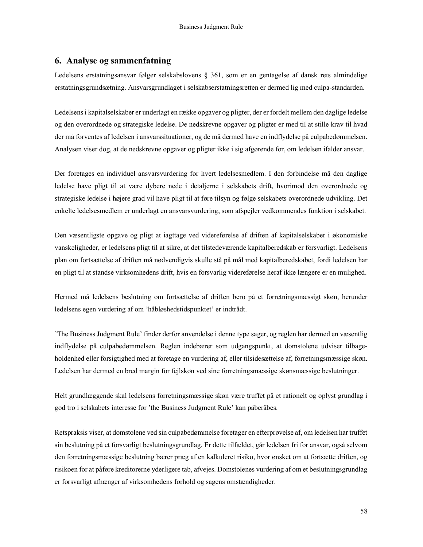# 6. Analyse og sammenfatning

Ledelsens erstatningsansvar følger selskabslovens § 361, som er en gentagelse af dansk rets almindelige erstatningsgrundsætning. Ansvarsgrundlaget i selskabserstatningsretten er dermed lig med culpa-standarden.

Ledelsens i kapitalselskaber er underlagt en række opgaver og pligter, der er fordelt mellem den daglige ledelse og den overordnede og strategiske ledelse. De nedskrevne opgaver og pligter er med til at stille krav til hvad der må forventes af ledelsen i ansvarssituationer, og de må dermed have en indflydelse på culpabedømmelsen. Analysen viser dog, at de nedskrevne opgaver og pligter ikke i sig afgørende for, om ledelsen ifalder ansvar.

Der foretages en individuel ansvarsvurdering for hvert ledelsesmedlem. I den forbindelse må den daglige ledelse have pligt til at være dybere nede i detaljerne i selskabets drift, hvorimod den overordnede og strategiske ledelse i højere grad vil have pligt til at føre tilsyn og følge selskabets overordnede udvikling. Det enkelte ledelsesmedlem er underlagt en ansvarsvurdering, som afspejler vedkommendes funktion i selskabet.

Den væsentligste opgave og pligt at iagttage ved videreførelse af driften af kapitalselskaber i økonomiske vanskeligheder, er ledelsens pligt til at sikre, at det tilstedeværende kapitalberedskab er forsvarligt. Ledelsens plan om fortsættelse af driften må nødvendigvis skulle stå på mål med kapitalberedskabet, fordi ledelsen har en pligt til at standse virksomhedens drift, hvis en forsvarlig videreførelse heraf ikke længere er en mulighed.

Hermed må ledelsens beslutning om fortsættelse af driften bero på et forretningsmæssigt skøn, herunder ledelsens egen vurdering af om 'håbløshedstidspunktet' er indtrådt.

'The Business Judgment Rule' finder derfor anvendelse i denne type sager, og reglen har dermed en væsentlig indflydelse på culpabedømmelsen. Reglen indebærer som udgangspunkt, at domstolene udviser tilbageholdenhed eller forsigtighed med at foretage en vurdering af, eller tilsidesættelse af, forretningsmæssige skøn. Ledelsen har dermed en bred margin for fejlskøn ved sine forretningsmæssige skønsmæssige beslutninger.

Helt grundlæggende skal ledelsens forretningsmæssige skøn være truffet på et rationelt og oplyst grundlag i god tro i selskabets interesse før 'the Business Judgment Rule' kan påberåbes.

Retspraksis viser, at domstolene ved sin culpabedømmelse foretager en efterprøvelse af, om ledelsen har truffet sin beslutning på et forsvarligt beslutningsgrundlag. Er dette tilfældet, går ledelsen fri for ansvar, også selvom den forretningsmæssige beslutning bærer præg af en kalkuleret risiko, hvor ønsket om at fortsætte driften, og risikoen for at påføre kreditorerne yderligere tab, afvejes. Domstolenes vurdering af om et beslutningsgrundlag er forsvarligt afhænger af virksomhedens forhold og sagens omstændigheder.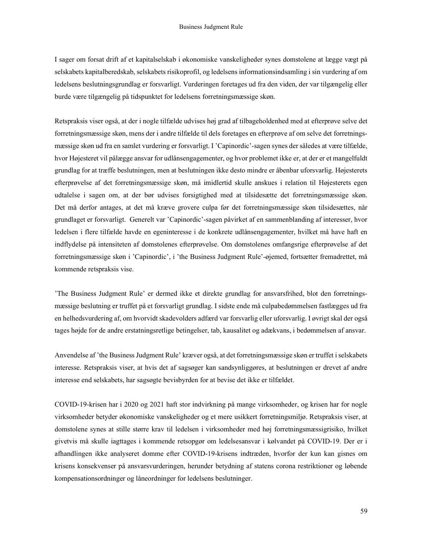I sager om forsat drift af et kapitalselskab i økonomiske vanskeligheder synes domstolene at lægge vægt på selskabets kapitalberedskab, selskabets risikoprofil, og ledelsens informationsindsamling i sin vurdering af om ledelsens beslutningsgrundlag er forsvarligt. Vurderingen foretages ud fra den viden, der var tilgængelig eller burde være tilgængelig på tidspunktet for ledelsens forretningsmæssige skøn.

Retspraksis viser også, at der i nogle tilfælde udvises høj grad af tilbageholdenhed med at efterprøve selve det forretningsmæssige skøn, mens der i andre tilfælde til dels foretages en efterprøve af om selve det forretningsmæssige skøn ud fra en samlet vurdering er forsvarligt. I 'Capinordic'-sagen synes der således at være tilfælde, hvor Højesteret vil pålægge ansvar for udlånsengagementer, og hvor problemet ikke er, at der er et mangelfuldt grundlag for at træffe beslutningen, men at beslutningen ikke desto mindre er åbenbar uforsvarlig. Højesterets efterprøvelse af det forretningsmæssige skøn, må imidlertid skulle anskues i relation til Højesterets egen udtalelse i sagen om, at der bør udvises forsigtighed med at tilsidesætte det forretningsmæssige skøn. Det må derfor antages, at det må kræve grovere culpa før det forretningsmæssige skøn tilsidesættes, når grundlaget er forsvarligt. Generelt var 'Capinordic'-sagen påvirket af en sammenblanding af interesser, hvor ledelsen i flere tilfælde havde en egeninteresse i de konkrete udlånsengagementer, hvilket må have haft en indflydelse på intensiteten af domstolenes efterprøvelse. Om domstolenes omfangsrige efterprøvelse af det forretningsmæssige skøn i 'Capinordic', i 'the Business Judgment Rule'-øjemed, fortsætter fremadrettet, må kommende retspraksis vise.

'The Business Judgment Rule' er dermed ikke et direkte grundlag for ansvarsfrihed, blot den forretningsmæssige beslutning er truffet på et forsvarligt grundlag. I sidste ende må culpabedømmelsen fastlægges ud fra en helhedsvurdering af, om hvorvidt skadevolders adfærd var forsvarlig eller uforsvarlig. I øvrigt skal der også tages højde for de andre erstatningsretlige betingelser, tab, kausalitet og adækvans, i bedømmelsen af ansvar.

Anvendelse af 'the Business Judgment Rule' kræver også, at det forretningsmæssige skøn er truffet i selskabets interesse. Retspraksis viser, at hvis det af sagsøger kan sandsynliggøres, at beslutningen er drevet af andre interesse end selskabets, har sagsøgte bevisbyrden for at bevise det ikke er tilfældet.

COVID-19-krisen har i 2020 og 2021 haft stor indvirkning på mange virksomheder, og krisen har for nogle virksomheder betyder økonomiske vanskeligheder og et mere usikkert forretningsmiljø. Retspraksis viser, at domstolene synes at stille større krav til ledelsen i virksomheder med høj forretningsmæssigrisiko, hvilket givetvis må skulle iagttages i kommende retsopgør om ledelsesansvar i kølvandet på COVID-19. Der er i afhandlingen ikke analyseret domme efter COVID-19-krisens indtræden, hvorfor der kun kan gisnes om krisens konsekvenser på ansvarsvurderingen, herunder betydning af statens corona restriktioner og løbende kompensationsordninger og låneordninger for ledelsens beslutninger.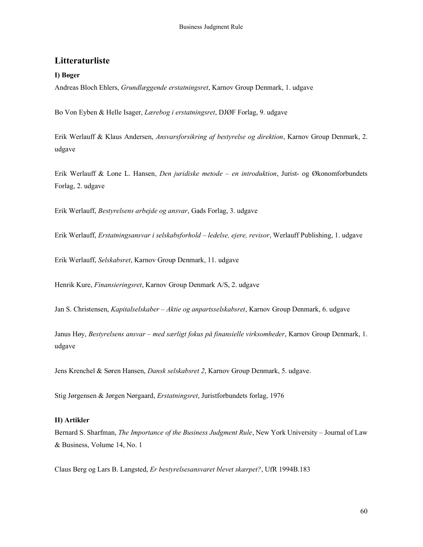# Litteraturliste

## I) Bøger

Andreas Bloch Ehlers, Grundlæggende erstatningsret, Karnov Group Denmark, 1. udgave

Bo Von Eyben & Helle Isager, Lærebog i erstatningsret, DJØF Forlag, 9. udgave

Erik Werlauff & Klaus Andersen, Ansvarsforsikring af bestyrelse og direktion, Karnov Group Denmark, 2. udgave

Erik Werlauff & Lone L. Hansen, *Den juridiske metode – en introduktion*, Jurist- og Økonomforbundets Forlag, 2. udgave

Erik Werlauff, Bestyrelsens arbejde og ansvar, Gads Forlag, 3. udgave

Erik Werlauff, Erstatningsansvar i selskabsforhold – ledelse, ejere, revisor, Werlauff Publishing, 1. udgave

Erik Werlauff, Selskabsret, Karnov Group Denmark, 11. udgave

Henrik Kure, Finansieringsret, Karnov Group Denmark A/S, 2. udgave

Jan S. Christensen, Kapitalselskaber – Aktie og anpartsselskabsret, Karnov Group Denmark, 6. udgave

Janus Høy, Bestyrelsens ansvar – med særligt fokus på finansielle virksomheder, Karnov Group Denmark, 1. udgave

Jens Krenchel & Søren Hansen, Dansk selskabsret 2, Karnov Group Denmark, 5. udgave.

Stig Jørgensen & Jørgen Nørgaard, Erstatningsret, Juristforbundets forlag, 1976

#### II) Artikler

Bernard S. Sharfman, The Importance of the Business Judgment Rule, New York University – Journal of Law & Business, Volume 14, No. 1

Claus Berg og Lars B. Langsted, Er bestyrelsesansvaret blevet skærpet?, UfR 1994B.183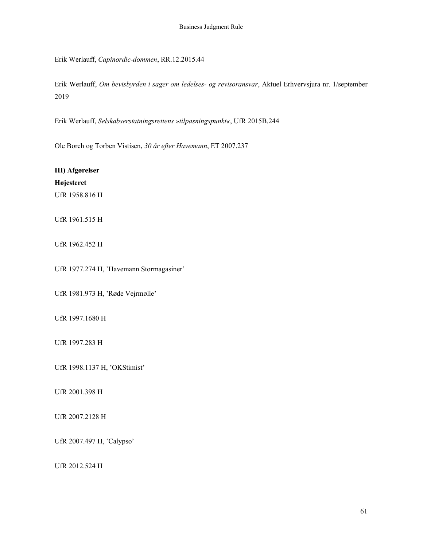Erik Werlauff, Capinordic-dommen, RR.12.2015.44

Erik Werlauff, Om bevisbyrden i sager om ledelses- og revisoransvar, Aktuel Erhvervsjura nr. 1/september 2019

Erik Werlauff, Selskabserstatningsrettens »tilpasningspunkt«, UfR 2015B.244

Ole Borch og Torben Vistisen, 30 år efter Havemann, ET 2007.237

III) Afgørelser Højesteret UfR 1958.816 H

UfR 1961.515 H

UfR 1962.452 H

UfR 1977.274 H, 'Havemann Stormagasiner'

UfR 1981.973 H, 'Røde Vejrmølle'

UfR 1997.1680 H

UfR 1997.283 H

UfR 1998.1137 H, 'OKStimist'

UfR 2001.398 H

UfR 2007.2128 H

UfR 2007.497 H, 'Calypso'

UfR 2012.524 H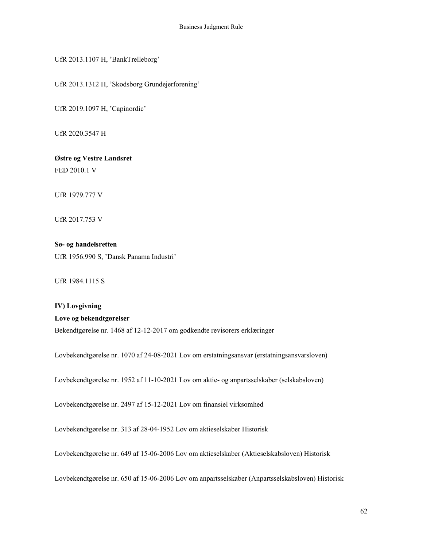UfR 2013.1107 H, 'BankTrelleborg'

UfR 2013.1312 H, 'Skodsborg Grundejerforening'

UfR 2019.1097 H, 'Capinordic'

UfR 2020.3547 H

Østre og Vestre Landsret FED 2010.1 V

UfR 1979.777 V

UfR 2017.753 V

Sø- og handelsretten UfR 1956.990 S, 'Dansk Panama Industri'

UfR 1984.1115 S

IV) Lovgivning Love og bekendtgørelser Bekendtgørelse nr. 1468 af 12-12-2017 om godkendte revisorers erklæringer

Lovbekendtgørelse nr. 1070 af 24-08-2021 Lov om erstatningsansvar (erstatningsansvarsloven)

Lovbekendtgørelse nr. 1952 af 11-10-2021 Lov om aktie- og anpartsselskaber (selskabsloven)

Lovbekendtgørelse nr. 2497 af 15-12-2021 Lov om finansiel virksomhed

Lovbekendtgørelse nr. 313 af 28-04-1952 Lov om aktieselskaber Historisk

Lovbekendtgørelse nr. 649 af 15-06-2006 Lov om aktieselskaber (Aktieselskabsloven) Historisk

Lovbekendtgørelse nr. 650 af 15-06-2006 Lov om anpartsselskaber (Anpartsselskabsloven) Historisk